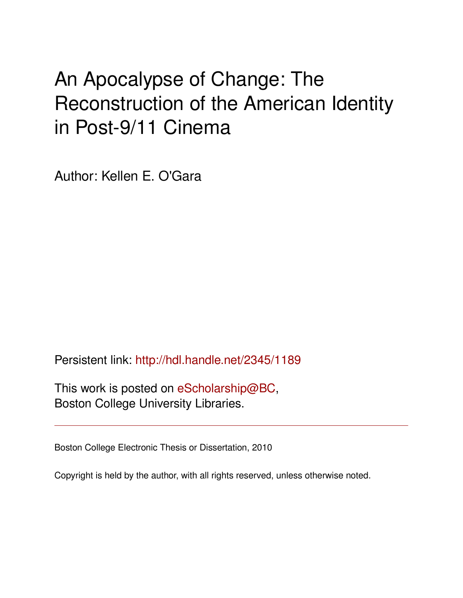# An Apocalypse of Change: The Reconstruction of the American Identity in Post-9/11 Cinema

Author: Kellen E. O'Gara

Persistent link: <http://hdl.handle.net/2345/1189>

This work is posted on [eScholarship@BC](http://escholarship.bc.edu), Boston College University Libraries.

Boston College Electronic Thesis or Dissertation, 2010

Copyright is held by the author, with all rights reserved, unless otherwise noted.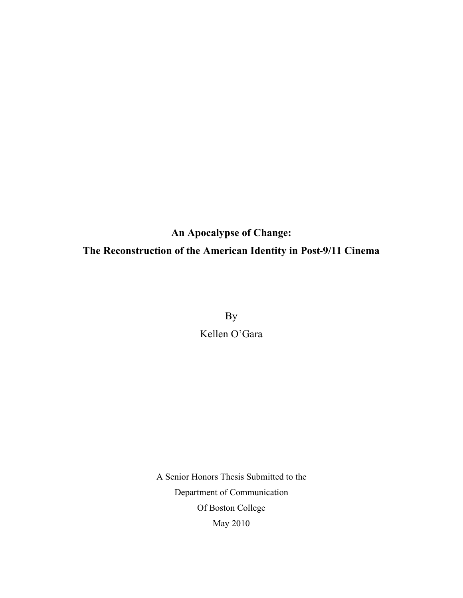# **An Apocalypse of Change: The Reconstruction of the American Identity in Post-9/11 Cinema**

By Kellen O'Gara

A Senior Honors Thesis Submitted to the Department of Communication Of Boston College May 2010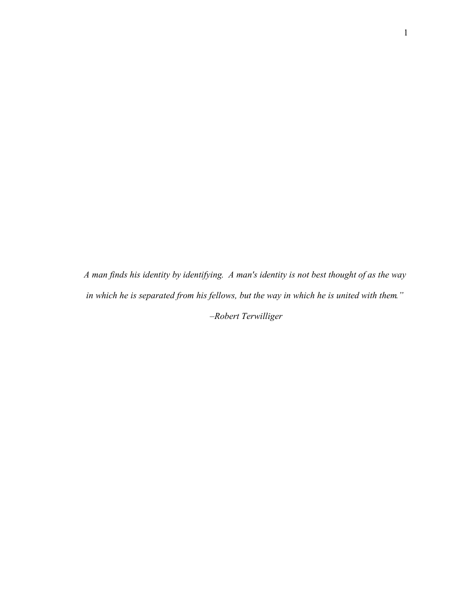*A man finds his identity by identifying. A man's identity is not best thought of as the way in which he is separated from his fellows, but the way in which he is united with them." –Robert Terwilliger*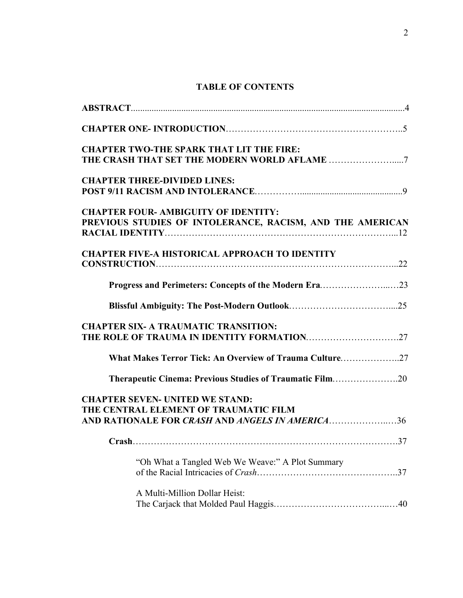# **TABLE OF CONTENTS**

| <b>CHAPTER TWO-THE SPARK THAT LIT THE FIRE:</b>                                                                                    |     |
|------------------------------------------------------------------------------------------------------------------------------------|-----|
| <b>CHAPTER THREE-DIVIDED LINES:</b>                                                                                                |     |
| <b>CHAPTER FOUR- AMBIGUITY OF IDENTITY:</b><br>PREVIOUS STUDIES OF INTOLERANCE, RACISM, AND THE AMERICAN                           |     |
| <b>CHAPTER FIVE-A HISTORICAL APPROACH TO IDENTITY</b>                                                                              |     |
| Progress and Perimeters: Concepts of the Modern Era23                                                                              |     |
|                                                                                                                                    |     |
| <b>CHAPTER SIX- A TRAUMATIC TRANSITION:</b>                                                                                        |     |
| What Makes Terror Tick: An Overview of Trauma Culture                                                                              |     |
| <b>Therapeutic Cinema: Previous Studies of Traumatic Film20</b>                                                                    |     |
| <b>CHAPTER SEVEN- UNITED WE STAND:</b><br>THE CENTRAL ELEMENT OF TRAUMATIC FILM<br>AND RATIONALE FOR CRASH AND ANGELS IN AMERICA36 |     |
|                                                                                                                                    | .37 |
| "Oh What a Tangled Web We Weave:" A Plot Summary                                                                                   |     |
| A Multi-Million Dollar Heist:                                                                                                      |     |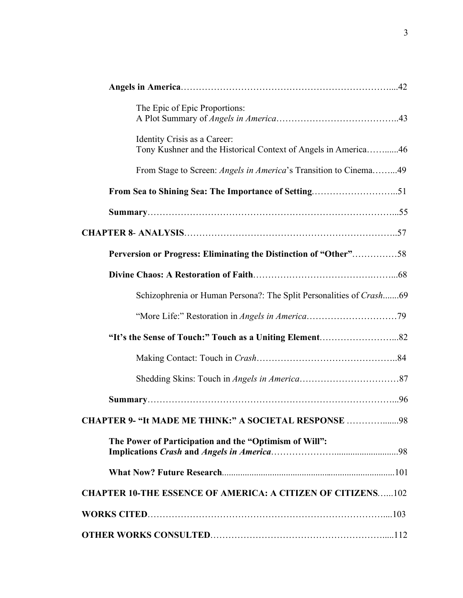| The Epic of Epic Proportions:                                                                  |  |
|------------------------------------------------------------------------------------------------|--|
| Identity Crisis as a Career:<br>Tony Kushner and the Historical Context of Angels in America46 |  |
| From Stage to Screen: <i>Angels in America</i> 's Transition to Cinema49                       |  |
|                                                                                                |  |
|                                                                                                |  |
|                                                                                                |  |
| Perversion or Progress: Eliminating the Distinction of "Other"58                               |  |
|                                                                                                |  |
| Schizophrenia or Human Persona?: The Split Personalities of Crash69                            |  |
|                                                                                                |  |
|                                                                                                |  |
|                                                                                                |  |
|                                                                                                |  |
|                                                                                                |  |
| CHAPTER 9- "It MADE ME THINK:" A SOCIETAL RESPONSE 98                                          |  |
| The Power of Participation and the "Optimism of Will":                                         |  |
|                                                                                                |  |
| <b>CHAPTER 10-THE ESSENCE OF AMERICA: A CITIZEN OF CITIZENS102</b>                             |  |
|                                                                                                |  |
|                                                                                                |  |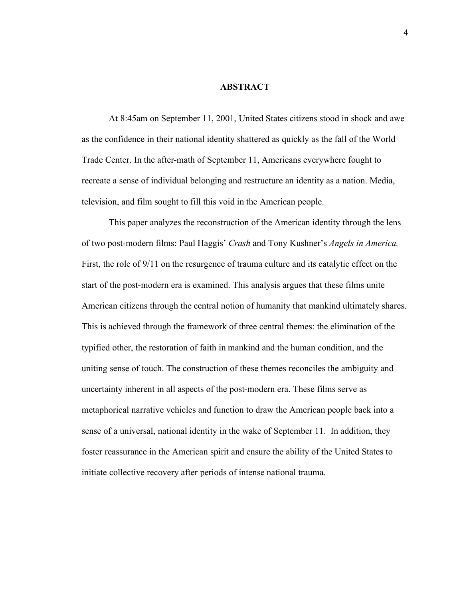#### **ABSTRACT**

At 8:45am on September 11, 2001, United States citizens stood in shock and awe as the confidence in their national identity shattered as quickly as the fall of the World Trade Center. In the after-math of September 11, Americans everywhere fought to recreate a sense of individual belonging and restructure an identity as a nation. Media, television, and film sought to fill this void in the American people.

This paper analyzes the reconstruction of the American identity through the lens of two post-modern films: Paul Haggis' *Crash* and Tony Kushner's *Angels in America.* First, the role of 9/11 on the resurgence of trauma culture and its catalytic effect on the start of the post-modern era is examined. This analysis argues that these films unite American citizens through the central notion of humanity that mankind ultimately shares. This is achieved through the framework of three central themes: the elimination of the typified other, the restoration of faith in mankind and the human condition, and the uniting sense of touch. The construction of these themes reconciles the ambiguity and uncertainty inherent in all aspects of the post-modern era. These films serve as metaphorical narrative vehicles and function to draw the American people back into a sense of a universal, national identity in the wake of September 11. In addition, they foster reassurance in the American spirit and ensure the ability of the United States to initiate collective recovery after periods of intense national trauma.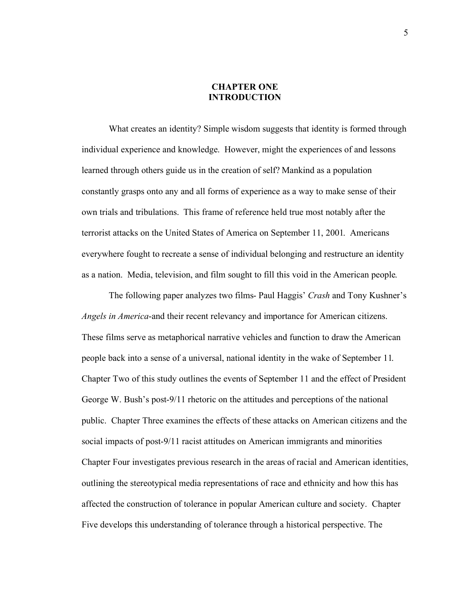#### **CHAPTER ONE INTRODUCTION**

What creates an identity? Simple wisdom suggests that identity is formed through individual experience and knowledge. However, might the experiences of and lessons learned through others guide us in the creation of self? Mankind as a population constantly grasps onto any and all forms of experience as a way to make sense of their own trials and tribulations. This frame of reference held true most notably after the terrorist attacks on the United States of America on September 11, 2001. Americans everywhere fought to recreate a sense of individual belonging and restructure an identity as a nation. Media, television, and film sought to fill this void in the American people.

The following paper analyzes two films- Paul Haggis' *Crash* and Tony Kushner's *Angels in America*-and their recent relevancy and importance for American citizens. These films serve as metaphorical narrative vehicles and function to draw the American people back into a sense of a universal, national identity in the wake of September 11. Chapter Two of this study outlines the events of September 11 and the effect of President George W. Bush's post-9/11 rhetoric on the attitudes and perceptions of the national public. Chapter Three examines the effects of these attacks on American citizens and the social impacts of post-9/11 racist attitudes on American immigrants and minorities Chapter Four investigates previous research in the areas of racial and American identities, outlining the stereotypical media representations of race and ethnicity and how this has affected the construction of tolerance in popular American culture and society. Chapter Five develops this understanding of tolerance through a historical perspective. The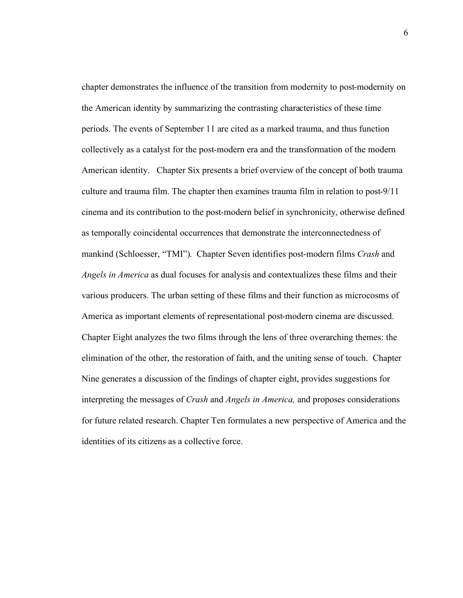chapter demonstrates the influence of the transition from modernity to post-modernity on the American identity by summarizing the contrasting characteristics of these time periods. The events of September 11 are cited as a marked trauma, and thus function collectively as a catalyst for the post-modern era and the transformation of the modern American identity. Chapter Six presents a brief overview of the concept of both trauma culture and trauma film. The chapter then examines trauma film in relation to post-9/11 cinema and its contribution to the post-modern belief in synchronicity, otherwise defined as temporally coincidental occurrences that demonstrate the interconnectedness of mankind (Schloesser, "TMI"). Chapter Seven identifies post-modern films *Crash* and *Angels in America* as dual focuses for analysis and contextualizes these films and their various producers. The urban setting of these films and their function as microcosms of America as important elements of representational post-modern cinema are discussed. Chapter Eight analyzes the two films through the lens of three overarching themes: the elimination of the other, the restoration of faith, and the uniting sense of touch. Chapter Nine generates a discussion of the findings of chapter eight, provides suggestions for interpreting the messages of *Crash* and *Angels in America,* and proposes considerations for future related research. Chapter Ten formulates a new perspective of America and the identities of its citizens as a collective force.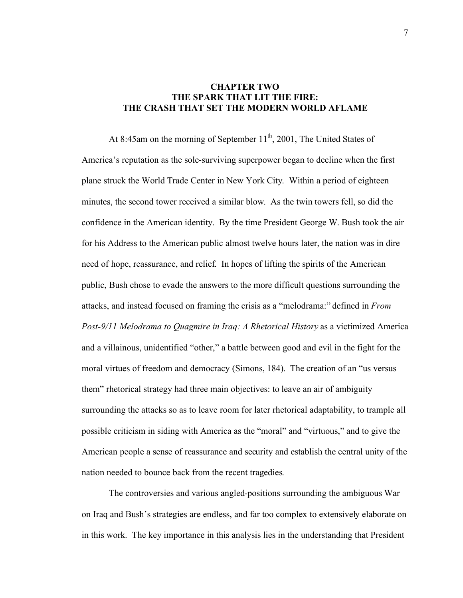# **CHAPTER TWO THE SPARK THAT LIT THE FIRE: THE CRASH THAT SET THE MODERN WORLD AFLAME**

At 8:45am on the morning of September  $11<sup>th</sup>$ , 2001, The United States of America's reputation as the sole-surviving superpower began to decline when the first plane struck the World Trade Center in New York City. Within a period of eighteen minutes, the second tower received a similar blow. As the twin towers fell, so did the confidence in the American identity. By the time President George W. Bush took the air for his Address to the American public almost twelve hours later, the nation was in dire need of hope, reassurance, and relief. In hopes of lifting the spirits of the American public, Bush chose to evade the answers to the more difficult questions surrounding the attacks, and instead focused on framing the crisis as a "melodrama:" defined in *From Post-9/11 Melodrama to Quagmire in Iraq: A Rhetorical History* as a victimized America and a villainous, unidentified "other," a battle between good and evil in the fight for the moral virtues of freedom and democracy (Simons, 184). The creation of an "us versus them" rhetorical strategy had three main objectives: to leave an air of ambiguity surrounding the attacks so as to leave room for later rhetorical adaptability, to trample all possible criticism in siding with America as the "moral" and "virtuous," and to give the American people a sense of reassurance and security and establish the central unity of the nation needed to bounce back from the recent tragedies.

The controversies and various angled-positions surrounding the ambiguous War on Iraq and Bush's strategies are endless, and far too complex to extensively elaborate on in this work. The key importance in this analysis lies in the understanding that President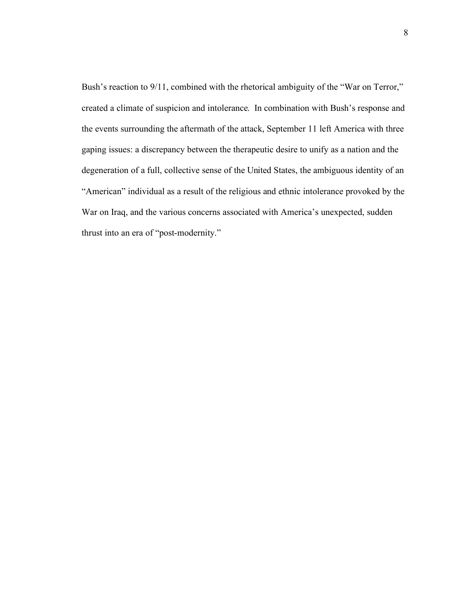Bush's reaction to 9/11, combined with the rhetorical ambiguity of the "War on Terror," created a climate of suspicion and intolerance. In combination with Bush's response and the events surrounding the aftermath of the attack, September 11 left America with three gaping issues: a discrepancy between the therapeutic desire to unify as a nation and the degeneration of a full, collective sense of the United States, the ambiguous identity of an "American" individual as a result of the religious and ethnic intolerance provoked by the War on Iraq, and the various concerns associated with America's unexpected, sudden thrust into an era of "post-modernity."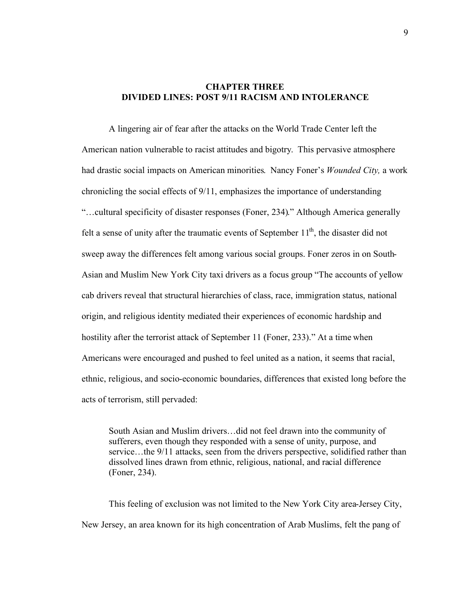### **CHAPTER THREE DIVIDED LINES: POST 9/11 RACISM AND INTOLERANCE**

A lingering air of fear after the attacks on the World Trade Center left the American nation vulnerable to racist attitudes and bigotry. This pervasive atmosphere had drastic social impacts on American minorities. Nancy Foner's *Wounded City,* a work chronicling the social effects of 9/11, emphasizes the importance of understanding "…cultural specificity of disaster responses (Foner, 234)." Although America generally felt a sense of unity after the traumatic events of September  $11<sup>th</sup>$ , the disaster did not sweep away the differences felt among various social groups. Foner zeros in on South-Asian and Muslim New York City taxi drivers as a focus group "The accounts of yellow cab drivers reveal that structural hierarchies of class, race, immigration status, national origin, and religious identity mediated their experiences of economic hardship and hostility after the terrorist attack of September 11 (Foner, 233)." At a time when Americans were encouraged and pushed to feel united as a nation, it seems that racial, ethnic, religious, and socio-economic boundaries, differences that existed long before the acts of terrorism, still pervaded:

South Asian and Muslim drivers…did not feel drawn into the community of sufferers, even though they responded with a sense of unity, purpose, and service…the 9/11 attacks, seen from the drivers perspective, solidified rather than dissolved lines drawn from ethnic, religious, national, and racial difference (Foner, 234).

This feeling of exclusion was not limited to the New York City area-Jersey City, New Jersey, an area known for its high concentration of Arab Muslims, felt the pang of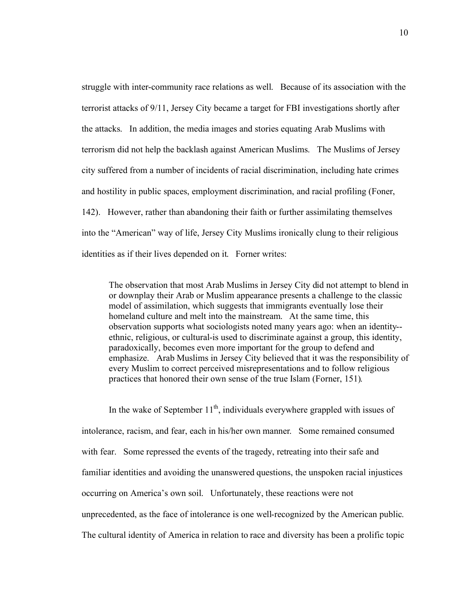struggle with inter-community race relations as well. Because of its association with the terrorist attacks of 9/11, Jersey City became a target for FBI investigations shortly after the attacks. In addition, the media images and stories equating Arab Muslims with terrorism did not help the backlash against American Muslims. The Muslims of Jersey city suffered from a number of incidents of racial discrimination, including hate crimes and hostility in public spaces, employment discrimination, and racial profiling (Foner, 142). However, rather than abandoning their faith or further assimilating themselves into the "American" way of life, Jersey City Muslims ironically clung to their religious identities as if their lives depended on it. Forner writes:

The observation that most Arab Muslims in Jersey City did not attempt to blend in or downplay their Arab or Muslim appearance presents a challenge to the classic model of assimilation, which suggests that immigrants eventually lose their homeland culture and melt into the mainstream. At the same time, this observation supports what sociologists noted many years ago: when an identity- ethnic, religious, or cultural-is used to discriminate against a group, this identity, paradoxically, becomes even more important for the group to defend and emphasize. Arab Muslims in Jersey City believed that it was the responsibility of every Muslim to correct perceived misrepresentations and to follow religious practices that honored their own sense of the true Islam (Forner, 151).

In the wake of September  $11<sup>th</sup>$ , individuals everywhere grappled with issues of intolerance, racism, and fear, each in his/her own manner. Some remained consumed with fear. Some repressed the events of the tragedy, retreating into their safe and familiar identities and avoiding the unanswered questions, the unspoken racial injustices occurring on America's own soil. Unfortunately, these reactions were not unprecedented, as the face of intolerance is one well-recognized by the American public. The cultural identity of America in relation to race and diversity has been a prolific topic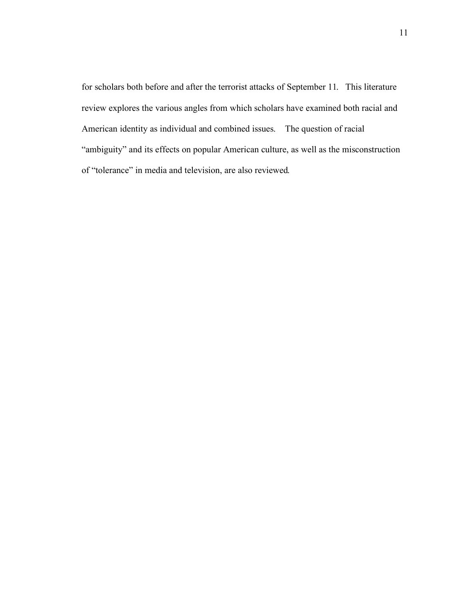for scholars both before and after the terrorist attacks of September 11. This literature review explores the various angles from which scholars have examined both racial and American identity as individual and combined issues. The question of racial "ambiguity" and its effects on popular American culture, as well as the misconstruction of "tolerance" in media and television, are also reviewed.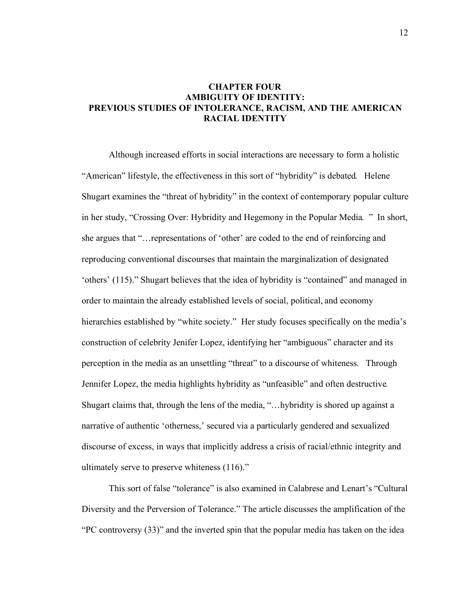# **CHAPTER FOUR AMBIGUITY OF IDENTITY: PREVIOUS STUDIES OF INTOLERANCE, RACISM, AND THE AMERICAN RACIAL IDENTITY**

Although increased efforts in social interactions are necessary to form a holistic "American" lifestyle, the effectiveness in this sort of "hybridity" is debated. Helene Shugart examines the "threat of hybridity" in the context of contemporary popular culture in her study, "Crossing Over: Hybridity and Hegemony in the Popular Media. " In short, she argues that "…representations of 'other' are coded to the end of reinforcing and reproducing conventional discourses that maintain the marginalization of designated 'others' (115)." Shugart believes that the idea of hybridity is "contained" and managed in order to maintain the already established levels of social, political, and economy hierarchies established by "white society." Her study focuses specifically on the media's construction of celebrity Jenifer Lopez, identifying her "ambiguous" character and its perception in the media as an unsettling "threat" to a discourse of whiteness. Through Jennifer Lopez, the media highlights hybridity as "unfeasible" and often destructive. Shugart claims that, through the lens of the media, "…hybridity is shored up against a narrative of authentic 'otherness,' secured via a particularly gendered and sexualized discourse of excess, in ways that implicitly address a crisis of racial/ethnic integrity and ultimately serve to preserve whiteness (116)."

This sort of false "tolerance" is also examined in Calabrese and Lenart's "Cultural Diversity and the Perversion of Tolerance." The article discusses the amplification of the "PC controversy (33)" and the inverted spin that the popular media has taken on the idea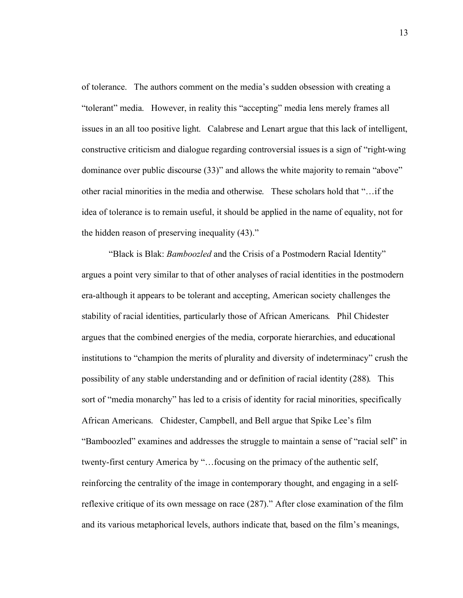of tolerance. The authors comment on the media's sudden obsession with creating a "tolerant" media. However, in reality this "accepting" media lens merely frames all issues in an all too positive light. Calabrese and Lenart argue that this lack of intelligent, constructive criticism and dialogue regarding controversial issues is a sign of "right-wing dominance over public discourse (33)" and allows the white majority to remain "above" other racial minorities in the media and otherwise. These scholars hold that "…if the idea of tolerance is to remain useful, it should be applied in the name of equality, not for the hidden reason of preserving inequality (43)."

"Black is Blak: *Bamboozled* and the Crisis of a Postmodern Racial Identity" argues a point very similar to that of other analyses of racial identities in the postmodern era-although it appears to be tolerant and accepting, American society challenges the stability of racial identities, particularly those of African Americans. Phil Chidester argues that the combined energies of the media, corporate hierarchies, and educational institutions to "champion the merits of plurality and diversity of indeterminacy" crush the possibility of any stable understanding and or definition of racial identity (288). This sort of "media monarchy" has led to a crisis of identity for racial minorities, specifically African Americans. Chidester, Campbell, and Bell argue that Spike Lee's film "Bamboozled" examines and addresses the struggle to maintain a sense of "racial self" in twenty-first century America by "…focusing on the primacy of the authentic self, reinforcing the centrality of the image in contemporary thought, and engaging in a selfreflexive critique of its own message on race (287)." After close examination of the film and its various metaphorical levels, authors indicate that, based on the film's meanings,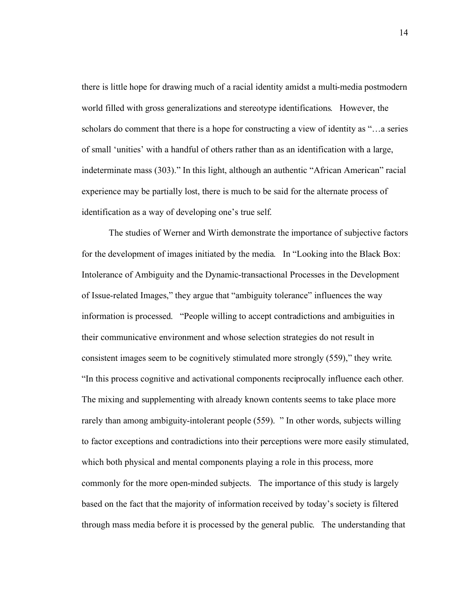there is little hope for drawing much of a racial identity amidst a multi-media postmodern world filled with gross generalizations and stereotype identifications. However, the scholars do comment that there is a hope for constructing a view of identity as "…a series of small 'unities' with a handful of others rather than as an identification with a large, indeterminate mass (303)." In this light, although an authentic "African American" racial experience may be partially lost, there is much to be said for the alternate process of identification as a way of developing one's true self.

The studies of Werner and Wirth demonstrate the importance of subjective factors for the development of images initiated by the media. In "Looking into the Black Box: Intolerance of Ambiguity and the Dynamic-transactional Processes in the Development of Issue-related Images," they argue that "ambiguity tolerance" influences the way information is processed. "People willing to accept contradictions and ambiguities in their communicative environment and whose selection strategies do not result in consistent images seem to be cognitively stimulated more strongly (559)," they write. "In this process cognitive and activational components reciprocally influence each other. The mixing and supplementing with already known contents seems to take place more rarely than among ambiguity-intolerant people (559). " In other words, subjects willing to factor exceptions and contradictions into their perceptions were more easily stimulated, which both physical and mental components playing a role in this process, more commonly for the more open-minded subjects. The importance of this study is largely based on the fact that the majority of information received by today's society is filtered through mass media before it is processed by the general public. The understanding that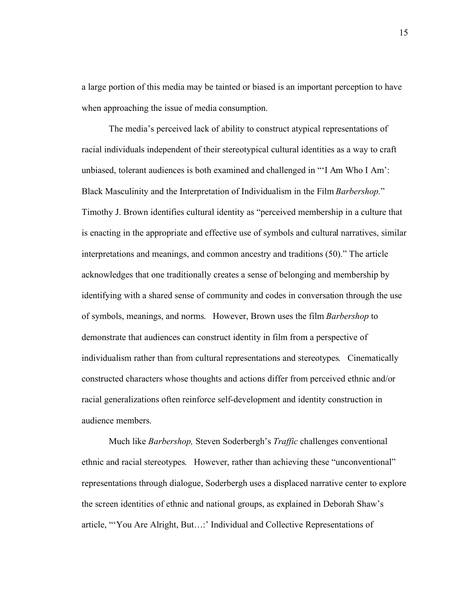a large portion of this media may be tainted or biased is an important perception to have when approaching the issue of media consumption.

The media's perceived lack of ability to construct atypical representations of racial individuals independent of their stereotypical cultural identities as a way to craft unbiased, tolerant audiences is both examined and challenged in "'I Am Who I Am': Black Masculinity and the Interpretation of Individualism in the Film *Barbershop.*" Timothy J. Brown identifies cultural identity as "perceived membership in a culture that is enacting in the appropriate and effective use of symbols and cultural narratives, similar interpretations and meanings, and common ancestry and traditions (50)." The article acknowledges that one traditionally creates a sense of belonging and membership by identifying with a shared sense of community and codes in conversation through the use of symbols, meanings, and norms. However, Brown uses the film *Barbershop* to demonstrate that audiences can construct identity in film from a perspective of individualism rather than from cultural representations and stereotypes. Cinematically constructed characters whose thoughts and actions differ from perceived ethnic and/or racial generalizations often reinforce self-development and identity construction in audience members.

Much like *Barbershop,* Steven Soderbergh's *Traffic* challenges conventional ethnic and racial stereotypes. However, rather than achieving these "unconventional" representations through dialogue, Soderbergh uses a displaced narrative center to explore the screen identities of ethnic and national groups, as explained in Deborah Shaw's article, "'You Are Alright, But…:' Individual and Collective Representations of

15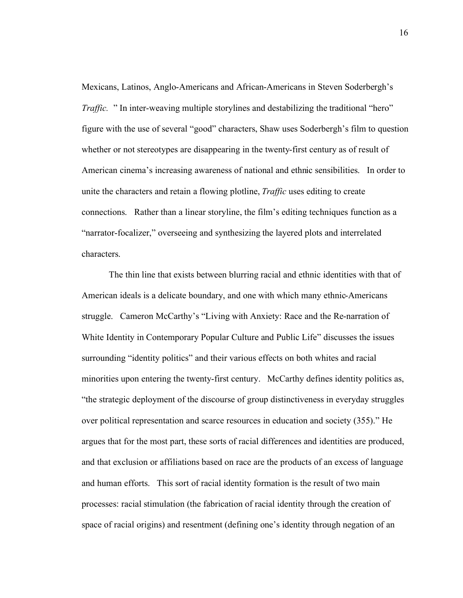Mexicans, Latinos, Anglo-Americans and African-Americans in Steven Soderbergh's *Traffic.* " In inter-weaving multiple storylines and destabilizing the traditional "hero" figure with the use of several "good" characters, Shaw uses Soderbergh's film to question whether or not stereotypes are disappearing in the twenty-first century as of result of American cinema's increasing awareness of national and ethnic sensibilities. In order to unite the characters and retain a flowing plotline, *Traffic* uses editing to create connections. Rather than a linear storyline, the film's editing techniques function as a "narrator-focalizer," overseeing and synthesizing the layered plots and interrelated characters.

The thin line that exists between blurring racial and ethnic identities with that of American ideals is a delicate boundary, and one with which many ethnic-Americans struggle. Cameron McCarthy's "Living with Anxiety: Race and the Re-narration of White Identity in Contemporary Popular Culture and Public Life" discusses the issues surrounding "identity politics" and their various effects on both whites and racial minorities upon entering the twenty-first century. McCarthy defines identity politics as, "the strategic deployment of the discourse of group distinctiveness in everyday struggles over political representation and scarce resources in education and society (355)." He argues that for the most part, these sorts of racial differences and identities are produced, and that exclusion or affiliations based on race are the products of an excess of language and human efforts. This sort of racial identity formation is the result of two main processes: racial stimulation (the fabrication of racial identity through the creation of space of racial origins) and resentment (defining one's identity through negation of an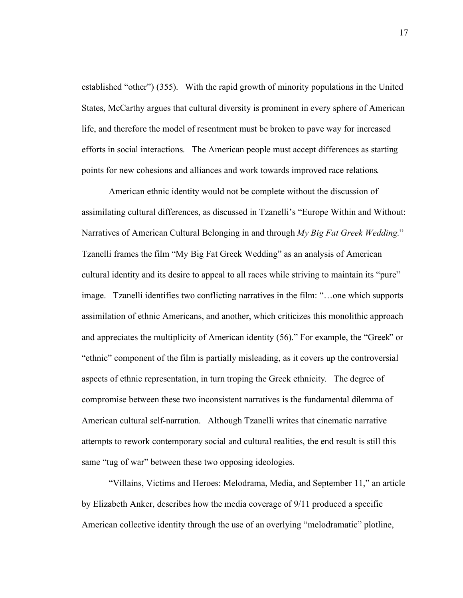established "other") (355). With the rapid growth of minority populations in the United States, McCarthy argues that cultural diversity is prominent in every sphere of American life, and therefore the model of resentment must be broken to pave way for increased efforts in social interactions. The American people must accept differences as starting points for new cohesions and alliances and work towards improved race relations.

American ethnic identity would not be complete without the discussion of assimilating cultural differences, as discussed in Tzanelli's "Europe Within and Without: Narratives of American Cultural Belonging in and through *My Big Fat Greek Wedding.*" Tzanelli frames the film "My Big Fat Greek Wedding" as an analysis of American cultural identity and its desire to appeal to all races while striving to maintain its "pure" image. Tzanelli identifies two conflicting narratives in the film: "…one which supports assimilation of ethnic Americans, and another, which criticizes this monolithic approach and appreciates the multiplicity of American identity (56)." For example, the "Greek" or "ethnic" component of the film is partially misleading, as it covers up the controversial aspects of ethnic representation, in turn troping the Greek ethnicity. The degree of compromise between these two inconsistent narratives is the fundamental dilemma of American cultural self-narration. Although Tzanelli writes that cinematic narrative attempts to rework contemporary social and cultural realities, the end result is still this same "tug of war" between these two opposing ideologies.

"Villains, Victims and Heroes: Melodrama, Media, and September 11," an article by Elizabeth Anker, describes how the media coverage of 9/11 produced a specific American collective identity through the use of an overlying "melodramatic" plotline,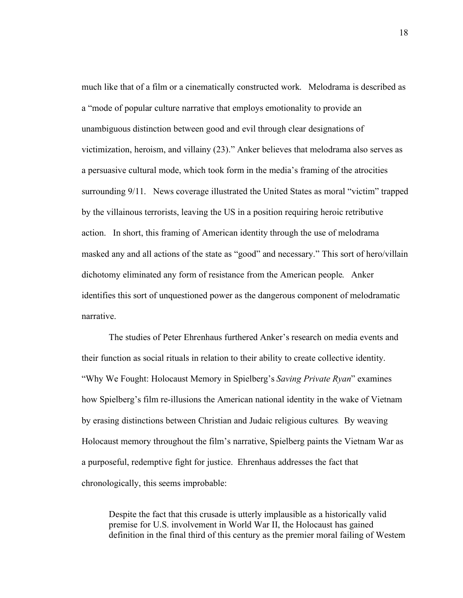much like that of a film or a cinematically constructed work. Melodrama is described as a "mode of popular culture narrative that employs emotionality to provide an unambiguous distinction between good and evil through clear designations of victimization, heroism, and villainy (23)." Anker believes that melodrama also serves as a persuasive cultural mode, which took form in the media's framing of the atrocities surrounding 9/11. News coverage illustrated the United States as moral "victim" trapped by the villainous terrorists, leaving the US in a position requiring heroic retributive action. In short, this framing of American identity through the use of melodrama masked any and all actions of the state as "good" and necessary." This sort of hero/villain dichotomy eliminated any form of resistance from the American people. Anker identifies this sort of unquestioned power as the dangerous component of melodramatic narrative.

The studies of Peter Ehrenhaus furthered Anker's research on media events and their function as social rituals in relation to their ability to create collective identity. "Why We Fought: Holocaust Memory in Spielberg's *Saving Private Ryan*" examines how Spielberg's film re-illusions the American national identity in the wake of Vietnam by erasing distinctions between Christian and Judaic religious cultures. By weaving Holocaust memory throughout the film's narrative, Spielberg paints the Vietnam War as a purposeful, redemptive fight for justice. Ehrenhaus addresses the fact that chronologically, this seems improbable:

Despite the fact that this crusade is utterly implausible as a historically valid premise for U.S. involvement in World War II, the Holocaust has gained definition in the final third of this century as the premier moral failing of Western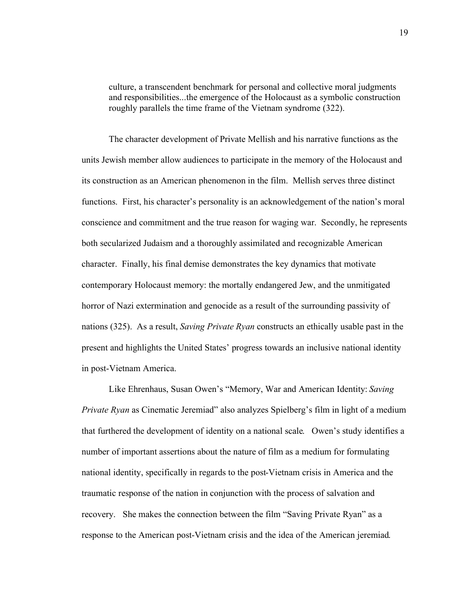culture, a transcendent benchmark for personal and collective moral judgments and responsibilities...the emergence of the Holocaust as a symbolic construction roughly parallels the time frame of the Vietnam syndrome (322).

The character development of Private Mellish and his narrative functions as the units Jewish member allow audiences to participate in the memory of the Holocaust and its construction as an American phenomenon in the film. Mellish serves three distinct functions. First, his character's personality is an acknowledgement of the nation's moral conscience and commitment and the true reason for waging war. Secondly, he represents both secularized Judaism and a thoroughly assimilated and recognizable American character. Finally, his final demise demonstrates the key dynamics that motivate contemporary Holocaust memory: the mortally endangered Jew, and the unmitigated horror of Nazi extermination and genocide as a result of the surrounding passivity of nations (325). As a result, *Saving Private Ryan* constructs an ethically usable past in the present and highlights the United States' progress towards an inclusive national identity in post-Vietnam America.

Like Ehrenhaus, Susan Owen's "Memory, War and American Identity: *Saving Private Ryan* as Cinematic Jeremiad" also analyzes Spielberg's film in light of a medium that furthered the development of identity on a national scale. Owen's study identifies a number of important assertions about the nature of film as a medium for formulating national identity, specifically in regards to the post-Vietnam crisis in America and the traumatic response of the nation in conjunction with the process of salvation and recovery. She makes the connection between the film "Saving Private Ryan" as a response to the American post-Vietnam crisis and the idea of the American jeremiad.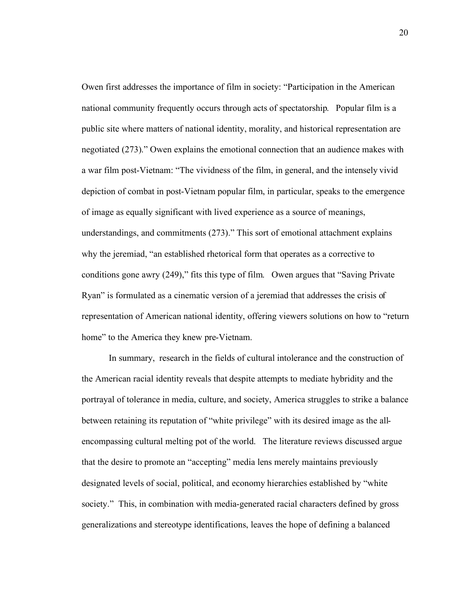Owen first addresses the importance of film in society: "Participation in the American national community frequently occurs through acts of spectatorship. Popular film is a public site where matters of national identity, morality, and historical representation are negotiated (273)." Owen explains the emotional connection that an audience makes with a war film post-Vietnam: "The vividness of the film, in general, and the intensely vivid depiction of combat in post-Vietnam popular film, in particular, speaks to the emergence of image as equally significant with lived experience as a source of meanings, understandings, and commitments (273)." This sort of emotional attachment explains why the jeremiad, "an established rhetorical form that operates as a corrective to conditions gone awry (249)," fits this type of film. Owen argues that "Saving Private Ryan" is formulated as a cinematic version of a jeremiad that addresses the crisis of representation of American national identity, offering viewers solutions on how to "return home" to the America they knew pre-Vietnam.

In summary, research in the fields of cultural intolerance and the construction of the American racial identity reveals that despite attempts to mediate hybridity and the portrayal of tolerance in media, culture, and society, America struggles to strike a balance between retaining its reputation of "white privilege" with its desired image as the allencompassing cultural melting pot of the world. The literature reviews discussed argue that the desire to promote an "accepting" media lens merely maintains previously designated levels of social, political, and economy hierarchies established by "white society." This, in combination with media-generated racial characters defined by gross generalizations and stereotype identifications, leaves the hope of defining a balanced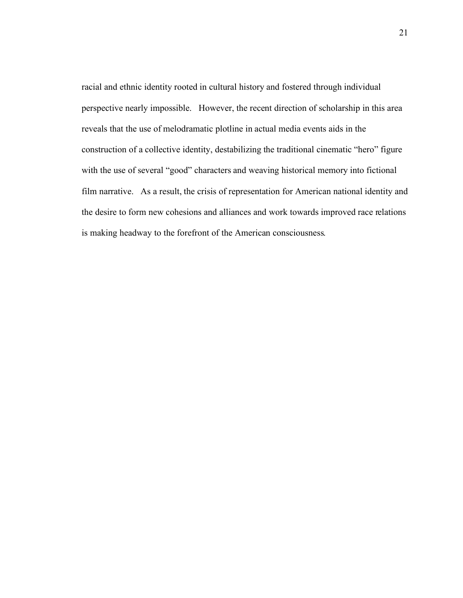racial and ethnic identity rooted in cultural history and fostered through individual perspective nearly impossible. However, the recent direction of scholarship in this area reveals that the use of melodramatic plotline in actual media events aids in the construction of a collective identity, destabilizing the traditional cinematic "hero" figure with the use of several "good" characters and weaving historical memory into fictional film narrative. As a result, the crisis of representation for American national identity and the desire to form new cohesions and alliances and work towards improved race relations is making headway to the forefront of the American consciousness.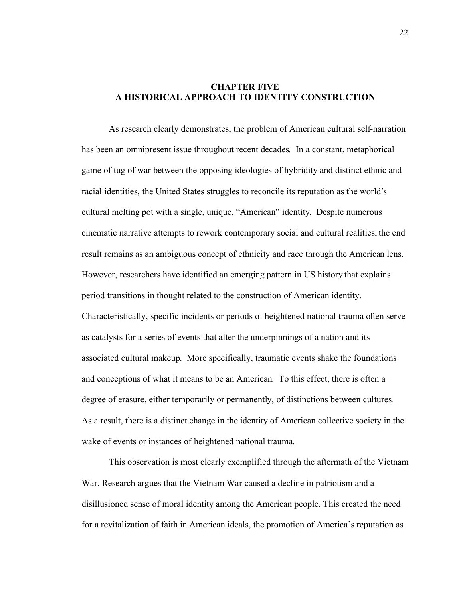# **CHAPTER FIVE A HISTORICAL APPROACH TO IDENTITY CONSTRUCTION**

As research clearly demonstrates, the problem of American cultural self-narration has been an omnipresent issue throughout recent decades. In a constant, metaphorical game of tug of war between the opposing ideologies of hybridity and distinct ethnic and racial identities, the United States struggles to reconcile its reputation as the world's cultural melting pot with a single, unique, "American" identity. Despite numerous cinematic narrative attempts to rework contemporary social and cultural realities, the end result remains as an ambiguous concept of ethnicity and race through the American lens. However, researchers have identified an emerging pattern in US history that explains period transitions in thought related to the construction of American identity. Characteristically, specific incidents or periods of heightened national trauma often serve as catalysts for a series of events that alter the underpinnings of a nation and its associated cultural makeup. More specifically, traumatic events shake the foundations and conceptions of what it means to be an American. To this effect, there is often a degree of erasure, either temporarily or permanently, of distinctions between cultures. As a result, there is a distinct change in the identity of American collective society in the wake of events or instances of heightened national trauma.

This observation is most clearly exemplified through the aftermath of the Vietnam War. Research argues that the Vietnam War caused a decline in patriotism and a disillusioned sense of moral identity among the American people. This created the need for a revitalization of faith in American ideals, the promotion of America's reputation as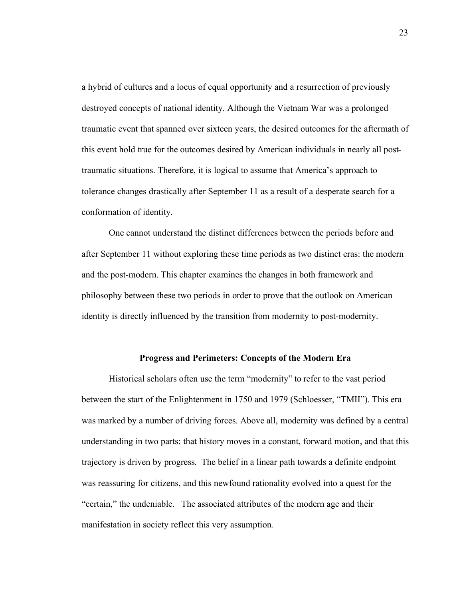a hybrid of cultures and a locus of equal opportunity and a resurrection of previously destroyed concepts of national identity. Although the Vietnam War was a prolonged traumatic event that spanned over sixteen years, the desired outcomes for the aftermath of this event hold true for the outcomes desired by American individuals in nearly all posttraumatic situations. Therefore, it is logical to assume that America's approach to tolerance changes drastically after September 11 as a result of a desperate search for a conformation of identity.

One cannot understand the distinct differences between the periods before and after September 11 without exploring these time periods as two distinct eras: the modern and the post-modern. This chapter examines the changes in both framework and philosophy between these two periods in order to prove that the outlook on American identity is directly influenced by the transition from modernity to post-modernity.

#### **Progress and Perimeters: Concepts of the Modern Era**

Historical scholars often use the term "modernity" to refer to the vast period between the start of the Enlightenment in 1750 and 1979 (Schloesser, "TMII"). This era was marked by a number of driving forces. Above all, modernity was defined by a central understanding in two parts: that history moves in a constant, forward motion, and that this trajectory is driven by progress. The belief in a linear path towards a definite endpoint was reassuring for citizens, and this newfound rationality evolved into a quest for the "certain," the undeniable. The associated attributes of the modern age and their manifestation in society reflect this very assumption.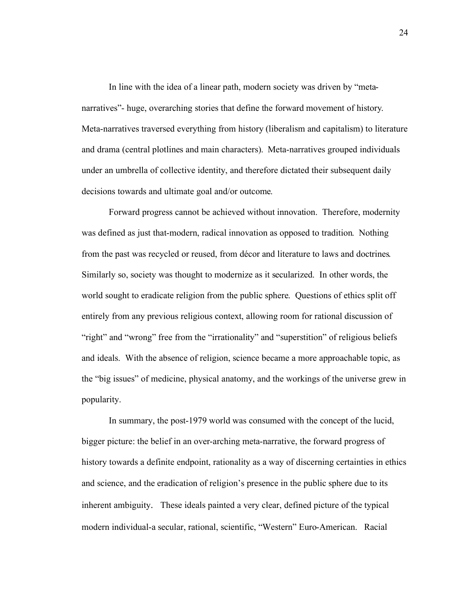In line with the idea of a linear path, modern society was driven by "metanarratives"- huge, overarching stories that define the forward movement of history. Meta-narratives traversed everything from history (liberalism and capitalism) to literature and drama (central plotlines and main characters). Meta-narratives grouped individuals under an umbrella of collective identity, and therefore dictated their subsequent daily decisions towards and ultimate goal and/or outcome.

Forward progress cannot be achieved without innovation. Therefore, modernity was defined as just that-modern, radical innovation as opposed to tradition. Nothing from the past was recycled or reused, from décor and literature to laws and doctrines. Similarly so, society was thought to modernize as it secularized. In other words, the world sought to eradicate religion from the public sphere. Questions of ethics split off entirely from any previous religious context, allowing room for rational discussion of "right" and "wrong" free from the "irrationality" and "superstition" of religious beliefs and ideals. With the absence of religion, science became a more approachable topic, as the "big issues" of medicine, physical anatomy, and the workings of the universe grew in popularity.

In summary, the post-1979 world was consumed with the concept of the lucid, bigger picture: the belief in an over-arching meta-narrative, the forward progress of history towards a definite endpoint, rationality as a way of discerning certainties in ethics and science, and the eradication of religion's presence in the public sphere due to its inherent ambiguity. These ideals painted a very clear, defined picture of the typical modern individual-a secular, rational, scientific, "Western" Euro-American. Racial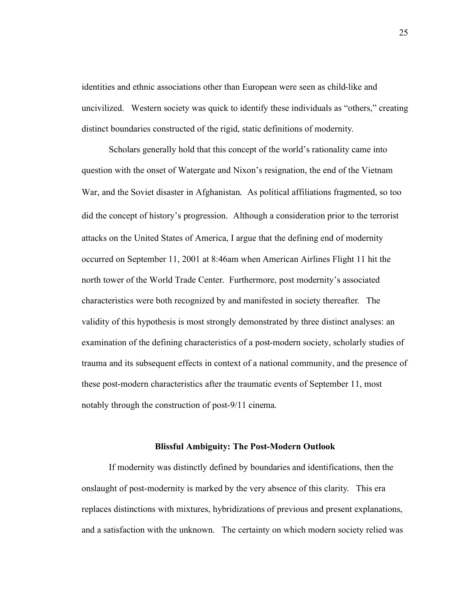identities and ethnic associations other than European were seen as child-like and uncivilized. Western society was quick to identify these individuals as "others," creating distinct boundaries constructed of the rigid, static definitions of modernity.

Scholars generally hold that this concept of the world's rationality came into question with the onset of Watergate and Nixon's resignation, the end of the Vietnam War, and the Soviet disaster in Afghanistan. As political affiliations fragmented, so too did the concept of history's progression. Although a consideration prior to the terrorist attacks on the United States of America, I argue that the defining end of modernity occurred on September 11, 2001 at 8:46am when American Airlines Flight 11 hit the north tower of the World Trade Center. Furthermore, post modernity's associated characteristics were both recognized by and manifested in society thereafter. The validity of this hypothesis is most strongly demonstrated by three distinct analyses: an examination of the defining characteristics of a post-modern society, scholarly studies of trauma and its subsequent effects in context of a national community, and the presence of these post-modern characteristics after the traumatic events of September 11, most notably through the construction of post-9/11 cinema.

#### **Blissful Ambiguity: The Post-Modern Outlook**

If modernity was distinctly defined by boundaries and identifications, then the onslaught of post-modernity is marked by the very absence of this clarity. This era replaces distinctions with mixtures, hybridizations of previous and present explanations, and a satisfaction with the unknown. The certainty on which modern society relied was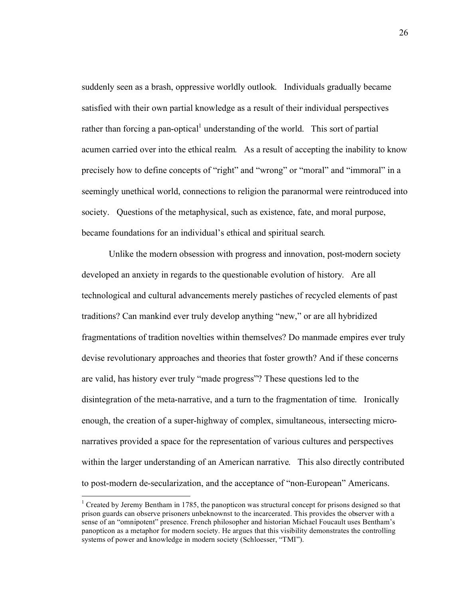suddenly seen as a brash, oppressive worldly outlook. Individuals gradually became satisfied with their own partial knowledge as a result of their individual perspectives rather than forcing a pan-optical<sup>1</sup> understanding of the world. This sort of partial acumen carried over into the ethical realm. As a result of accepting the inability to know precisely how to define concepts of "right" and "wrong" or "moral" and "immoral" in a seemingly unethical world, connections to religion the paranormal were reintroduced into society. Questions of the metaphysical, such as existence, fate, and moral purpose, became foundations for an individual's ethical and spiritual search.

Unlike the modern obsession with progress and innovation, post-modern society developed an anxiety in regards to the questionable evolution of history. Are all technological and cultural advancements merely pastiches of recycled elements of past traditions? Can mankind ever truly develop anything "new," or are all hybridized fragmentations of tradition novelties within themselves? Do manmade empires ever truly devise revolutionary approaches and theories that foster growth? And if these concerns are valid, has history ever truly "made progress"? These questions led to the disintegration of the meta-narrative, and a turn to the fragmentation of time. Ironically enough, the creation of a super-highway of complex, simultaneous, intersecting micronarratives provided a space for the representation of various cultures and perspectives within the larger understanding of an American narrative. This also directly contributed to post-modern de-secularization, and the acceptance of "non-European" Americans.

 $\frac{1}{1}$ <sup>1</sup> Created by Jeremy Bentham in 1785, the panopticon was structural concept for prisons designed so that prison guards can observe prisoners unbeknownst to the incarcerated. This provides the observer with a sense of an "omnipotent" presence. French philosopher and historian Michael Foucault uses Bentham's panopticon as a metaphor for modern society. He argues that this visibility demonstrates the controlling systems of power and knowledge in modern society (Schloesser, "TMI").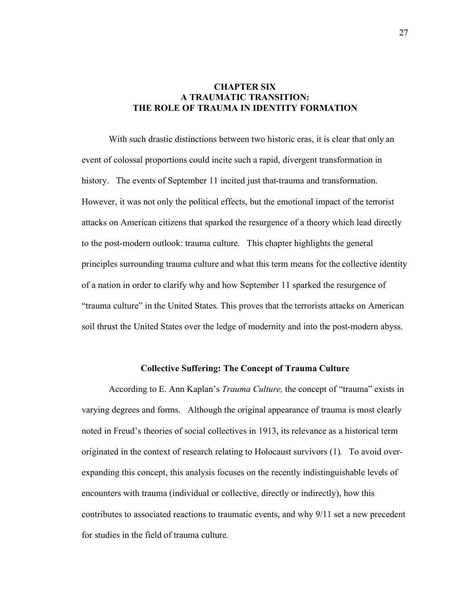# **CHAPTER SIX A TRAUMATIC TRANSITION: THE ROLE OF TRAUMA IN IDENTITY FORMATION**

With such drastic distinctions between two historic eras, it is clear that only an event of colossal proportions could incite such a rapid, divergent transformation in history. The events of September 11 incited just that-trauma and transformation. However, it was not only the political effects, but the emotional impact of the terrorist attacks on American citizens that sparked the resurgence of a theory which lead directly to the post-modern outlook: trauma culture. This chapter highlights the general principles surrounding trauma culture and what this term means for the collective identity of a nation in order to clarify why and how September 11 sparked the resurgence of "trauma culture" in the United States. This proves that the terrorists attacks on American soil thrust the United States over the ledge of modernity and into the post-modern abyss.

#### **Collective Suffering: The Concept of Trauma Culture**

According to E. Ann Kaplan's *Trauma Culture,* the concept of "trauma" exists in varying degrees and forms. Although the original appearance of trauma is most clearly noted in Freud's theories of social collectives in 1913, its relevance as a historical term originated in the context of research relating to Holocaust survivors (1). To avoid overexpanding this concept, this analysis focuses on the recently indistinguishable levels of encounters with trauma (individual or collective, directly or indirectly), how this contributes to associated reactions to traumatic events, and why 9/11 set a new precedent for studies in the field of trauma culture.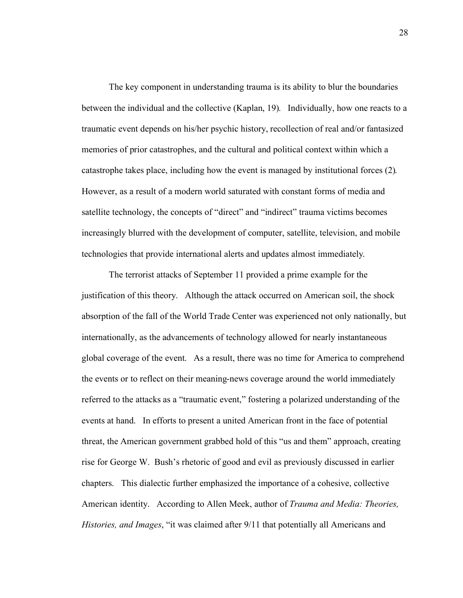The key component in understanding trauma is its ability to blur the boundaries between the individual and the collective (Kaplan, 19). Individually, how one reacts to a traumatic event depends on his/her psychic history, recollection of real and/or fantasized memories of prior catastrophes, and the cultural and political context within which a catastrophe takes place, including how the event is managed by institutional forces (2). However, as a result of a modern world saturated with constant forms of media and satellite technology, the concepts of "direct" and "indirect" trauma victims becomes increasingly blurred with the development of computer, satellite, television, and mobile technologies that provide international alerts and updates almost immediately.

The terrorist attacks of September 11 provided a prime example for the justification of this theory. Although the attack occurred on American soil, the shock absorption of the fall of the World Trade Center was experienced not only nationally, but internationally, as the advancements of technology allowed for nearly instantaneous global coverage of the event. As a result, there was no time for America to comprehend the events or to reflect on their meaning-news coverage around the world immediately referred to the attacks as a "traumatic event," fostering a polarized understanding of the events at hand. In efforts to present a united American front in the face of potential threat, the American government grabbed hold of this "us and them" approach, creating rise for George W. Bush's rhetoric of good and evil as previously discussed in earlier chapters. This dialectic further emphasized the importance of a cohesive, collective American identity. According to Allen Meek, author of *Trauma and Media: Theories, Histories, and Images*, "it was claimed after 9/11 that potentially all Americans and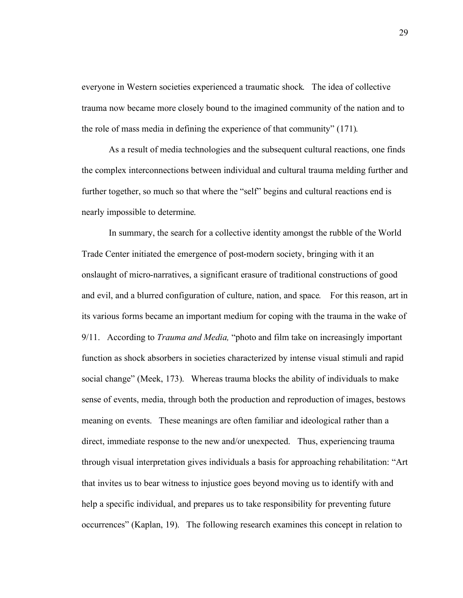everyone in Western societies experienced a traumatic shock. The idea of collective trauma now became more closely bound to the imagined community of the nation and to the role of mass media in defining the experience of that community" (171).

As a result of media technologies and the subsequent cultural reactions, one finds the complex interconnections between individual and cultural trauma melding further and further together, so much so that where the "self" begins and cultural reactions end is nearly impossible to determine.

In summary, the search for a collective identity amongst the rubble of the World Trade Center initiated the emergence of post-modern society, bringing with it an onslaught of micro-narratives, a significant erasure of traditional constructions of good and evil, and a blurred configuration of culture, nation, and space. For this reason, art in its various forms became an important medium for coping with the trauma in the wake of 9/11. According to *Trauma and Media,* "photo and film take on increasingly important function as shock absorbers in societies characterized by intense visual stimuli and rapid social change" (Meek, 173). Whereas trauma blocks the ability of individuals to make sense of events, media, through both the production and reproduction of images, bestows meaning on events. These meanings are often familiar and ideological rather than a direct, immediate response to the new and/or unexpected. Thus, experiencing trauma through visual interpretation gives individuals a basis for approaching rehabilitation: "Art that invites us to bear witness to injustice goes beyond moving us to identify with and help a specific individual, and prepares us to take responsibility for preventing future occurrences" (Kaplan, 19). The following research examines this concept in relation to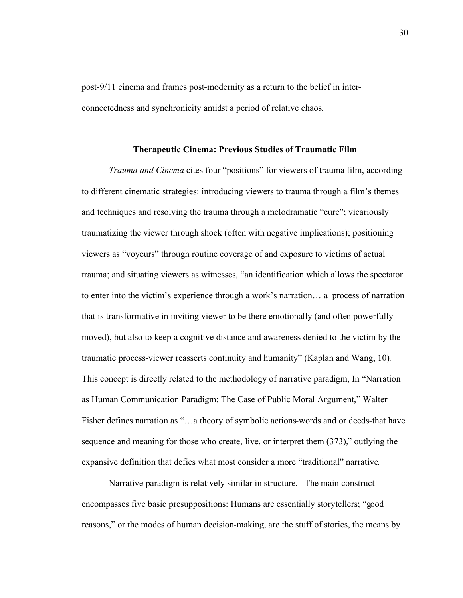post-9/11 cinema and frames post-modernity as a return to the belief in interconnectedness and synchronicity amidst a period of relative chaos.

#### **Therapeutic Cinema: Previous Studies of Traumatic Film**

*Trauma and Cinema* cites four "positions" for viewers of trauma film, according to different cinematic strategies: introducing viewers to trauma through a film's themes and techniques and resolving the trauma through a melodramatic "cure"; vicariously traumatizing the viewer through shock (often with negative implications); positioning viewers as "voyeurs" through routine coverage of and exposure to victims of actual trauma; and situating viewers as witnesses, "an identification which allows the spectator to enter into the victim's experience through a work's narration… a process of narration that is transformative in inviting viewer to be there emotionally (and often powerfully moved), but also to keep a cognitive distance and awareness denied to the victim by the traumatic process-viewer reasserts continuity and humanity" (Kaplan and Wang, 10). This concept is directly related to the methodology of narrative paradigm, In "Narration as Human Communication Paradigm: The Case of Public Moral Argument," Walter Fisher defines narration as "...a theory of symbolic actions-words and or deeds-that have sequence and meaning for those who create, live, or interpret them (373)," outlying the expansive definition that defies what most consider a more "traditional" narrative.

Narrative paradigm is relatively similar in structure. The main construct encompasses five basic presuppositions: Humans are essentially storytellers; "good reasons," or the modes of human decision-making, are the stuff of stories, the means by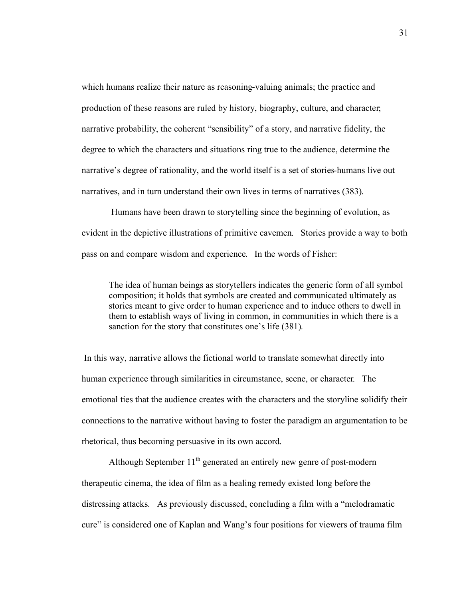which humans realize their nature as reasoning-valuing animals; the practice and production of these reasons are ruled by history, biography, culture, and character; narrative probability, the coherent "sensibility" of a story, and narrative fidelity, the degree to which the characters and situations ring true to the audience, determine the narrative's degree of rationality, and the world itself is a set of stories-humans live out narratives, and in turn understand their own lives in terms of narratives (383).

 Humans have been drawn to storytelling since the beginning of evolution, as evident in the depictive illustrations of primitive cavemen. Stories provide a way to both pass on and compare wisdom and experience. In the words of Fisher:

The idea of human beings as storytellers indicates the generic form of all symbol composition; it holds that symbols are created and communicated ultimately as stories meant to give order to human experience and to induce others to dwell in them to establish ways of living in common, in communities in which there is a sanction for the story that constitutes one's life (381).

 In this way, narrative allows the fictional world to translate somewhat directly into human experience through similarities in circumstance, scene, or character. The emotional ties that the audience creates with the characters and the storyline solidify their connections to the narrative without having to foster the paradigm an argumentation to be rhetorical, thus becoming persuasive in its own accord.

Although September  $11<sup>th</sup>$  generated an entirely new genre of post-modern therapeutic cinema, the idea of film as a healing remedy existed long before the distressing attacks. As previously discussed, concluding a film with a "melodramatic cure" is considered one of Kaplan and Wang's four positions for viewers of trauma film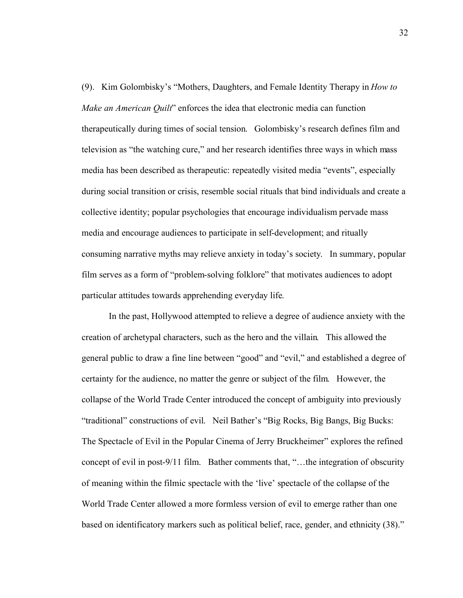(9). Kim Golombisky's "Mothers, Daughters, and Female Identity Therapy in *How to Make an American Quilt*" enforces the idea that electronic media can function therapeutically during times of social tension. Golombisky's research defines film and television as "the watching cure," and her research identifies three ways in which mass media has been described as therapeutic: repeatedly visited media "events", especially during social transition or crisis, resemble social rituals that bind individuals and create a collective identity; popular psychologies that encourage individualism pervade mass media and encourage audiences to participate in self-development; and ritually consuming narrative myths may relieve anxiety in today's society. In summary, popular film serves as a form of "problem-solving folklore" that motivates audiences to adopt particular attitudes towards apprehending everyday life.

In the past, Hollywood attempted to relieve a degree of audience anxiety with the creation of archetypal characters, such as the hero and the villain. This allowed the general public to draw a fine line between "good" and "evil," and established a degree of certainty for the audience, no matter the genre or subject of the film. However, the collapse of the World Trade Center introduced the concept of ambiguity into previously "traditional" constructions of evil. Neil Bather's "Big Rocks, Big Bangs, Big Bucks: The Spectacle of Evil in the Popular Cinema of Jerry Bruckheimer" explores the refined concept of evil in post-9/11 film. Bather comments that, "…the integration of obscurity of meaning within the filmic spectacle with the 'live' spectacle of the collapse of the World Trade Center allowed a more formless version of evil to emerge rather than one based on identificatory markers such as political belief, race, gender, and ethnicity (38)."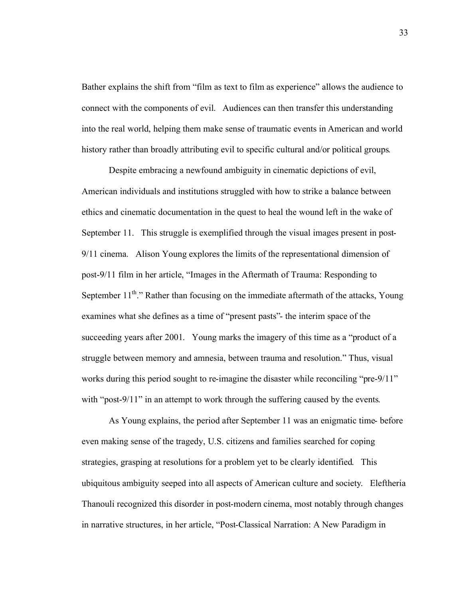Bather explains the shift from "film as text to film as experience" allows the audience to connect with the components of evil. Audiences can then transfer this understanding into the real world, helping them make sense of traumatic events in American and world history rather than broadly attributing evil to specific cultural and/or political groups.

Despite embracing a newfound ambiguity in cinematic depictions of evil, American individuals and institutions struggled with how to strike a balance between ethics and cinematic documentation in the quest to heal the wound left in the wake of September 11. This struggle is exemplified through the visual images present in post-9/11 cinema. Alison Young explores the limits of the representational dimension of post-9/11 film in her article, "Images in the Aftermath of Trauma: Responding to September  $11^{th}$ ." Rather than focusing on the immediate aftermath of the attacks, Young examines what she defines as a time of "present pasts"- the interim space of the succeeding years after 2001. Young marks the imagery of this time as a "product of a struggle between memory and amnesia, between trauma and resolution." Thus, visual works during this period sought to re-imagine the disaster while reconciling "pre-9/11" with "post-9/11" in an attempt to work through the suffering caused by the events.

As Young explains, the period after September 11 was an enigmatic time- before even making sense of the tragedy, U.S. citizens and families searched for coping strategies, grasping at resolutions for a problem yet to be clearly identified. This ubiquitous ambiguity seeped into all aspects of American culture and society. Eleftheria Thanouli recognized this disorder in post-modern cinema, most notably through changes in narrative structures, in her article, "Post-Classical Narration: A New Paradigm in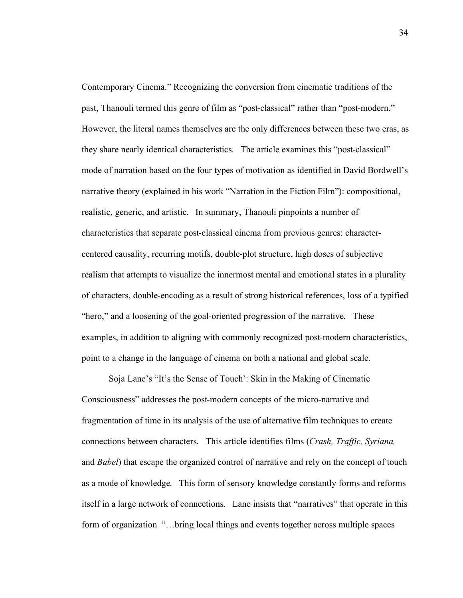Contemporary Cinema." Recognizing the conversion from cinematic traditions of the past, Thanouli termed this genre of film as "post-classical" rather than "post-modern." However, the literal names themselves are the only differences between these two eras, as they share nearly identical characteristics. The article examines this "post-classical" mode of narration based on the four types of motivation as identified in David Bordwell's narrative theory (explained in his work "Narration in the Fiction Film"): compositional, realistic, generic, and artistic. In summary, Thanouli pinpoints a number of characteristics that separate post-classical cinema from previous genres: charactercentered causality, recurring motifs, double-plot structure, high doses of subjective realism that attempts to visualize the innermost mental and emotional states in a plurality of characters, double-encoding as a result of strong historical references, loss of a typified "hero," and a loosening of the goal-oriented progression of the narrative. These examples, in addition to aligning with commonly recognized post-modern characteristics, point to a change in the language of cinema on both a national and global scale.

Soja Lane's "It's the Sense of Touch': Skin in the Making of Cinematic Consciousness" addresses the post-modern concepts of the micro-narrative and fragmentation of time in its analysis of the use of alternative film techniques to create connections between characters. This article identifies films (*Crash, Traffic, Syriana,*  and *Babel*) that escape the organized control of narrative and rely on the concept of touch as a mode of knowledge. This form of sensory knowledge constantly forms and reforms itself in a large network of connections. Lane insists that "narratives" that operate in this form of organization "…bring local things and events together across multiple spaces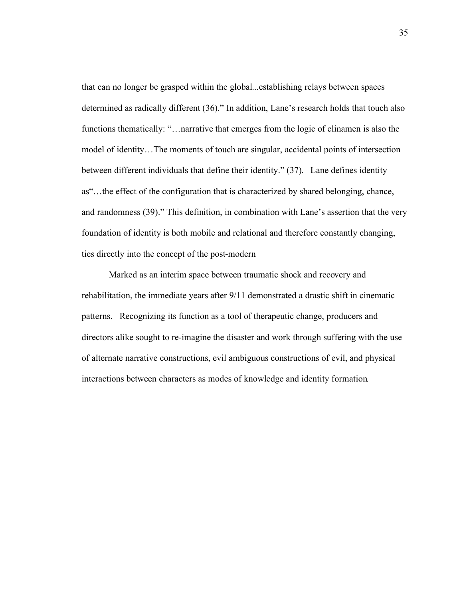that can no longer be grasped within the global...establishing relays between spaces determined as radically different (36)." In addition, Lane's research holds that touch also functions thematically: "... narrative that emerges from the logic of clinamen is also the model of identity…The moments of touch are singular, accidental points of intersection between different individuals that define their identity." (37). Lane defines identity as"…the effect of the configuration that is characterized by shared belonging, chance, and randomness (39)." This definition, in combination with Lane's assertion that the very foundation of identity is both mobile and relational and therefore constantly changing, ties directly into the concept of the post-modern

Marked as an interim space between traumatic shock and recovery and rehabilitation, the immediate years after 9/11 demonstrated a drastic shift in cinematic patterns. Recognizing its function as a tool of therapeutic change, producers and directors alike sought to re-imagine the disaster and work through suffering with the use of alternate narrative constructions, evil ambiguous constructions of evil, and physical interactions between characters as modes of knowledge and identity formation.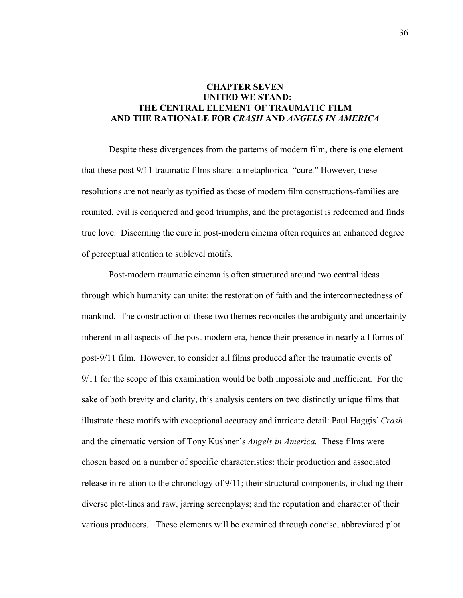# **CHAPTER SEVEN UNITED WE STAND: THE CENTRAL ELEMENT OF TRAUMATIC FILM AND THE RATIONALE FOR** *CRASH* **AND** *ANGELS IN AMERICA*

Despite these divergences from the patterns of modern film, there is one element that these post-9/11 traumatic films share: a metaphorical "cure." However, these resolutions are not nearly as typified as those of modern film constructions-families are reunited, evil is conquered and good triumphs, and the protagonist is redeemed and finds true love. Discerning the cure in post-modern cinema often requires an enhanced degree of perceptual attention to sublevel motifs.

Post-modern traumatic cinema is often structured around two central ideas through which humanity can unite: the restoration of faith and the interconnectedness of mankind. The construction of these two themes reconciles the ambiguity and uncertainty inherent in all aspects of the post-modern era, hence their presence in nearly all forms of post-9/11 film. However, to consider all films produced after the traumatic events of 9/11 for the scope of this examination would be both impossible and inefficient. For the sake of both brevity and clarity, this analysis centers on two distinctly unique films that illustrate these motifs with exceptional accuracy and intricate detail: Paul Haggis' *Crash*  and the cinematic version of Tony Kushner's *Angels in America.* These films were chosen based on a number of specific characteristics: their production and associated release in relation to the chronology of 9/11; their structural components, including their diverse plot-lines and raw, jarring screenplays; and the reputation and character of their various producers. These elements will be examined through concise, abbreviated plot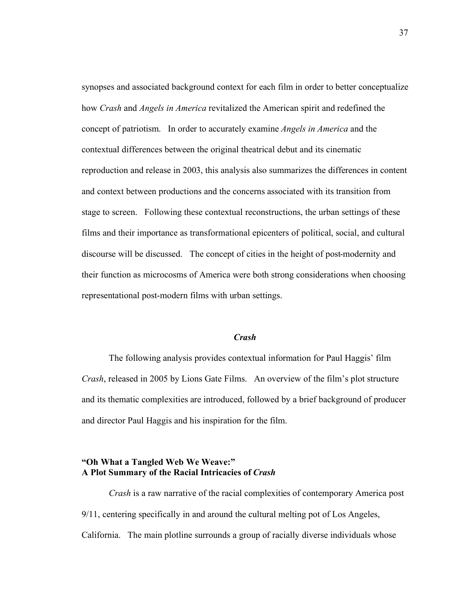synopses and associated background context for each film in order to better conceptualize how *Crash* and *Angels in America* revitalized the American spirit and redefined the concept of patriotism. In order to accurately examine *Angels in America* and the contextual differences between the original theatrical debut and its cinematic reproduction and release in 2003, this analysis also summarizes the differences in content and context between productions and the concerns associated with its transition from stage to screen. Following these contextual reconstructions, the urban settings of these films and their importance as transformational epicenters of political, social, and cultural discourse will be discussed. The concept of cities in the height of post-modernity and their function as microcosms of America were both strong considerations when choosing representational post-modern films with urban settings.

### *Crash*

The following analysis provides contextual information for Paul Haggis' film *Crash*, released in 2005 by Lions Gate Films. An overview of the film's plot structure and its thematic complexities are introduced, followed by a brief background of producer and director Paul Haggis and his inspiration for the film.

# **"Oh What a Tangled Web We Weave:" A Plot Summary of the Racial Intricacies of** *Crash*

*Crash* is a raw narrative of the racial complexities of contemporary America post 9/11, centering specifically in and around the cultural melting pot of Los Angeles, California. The main plotline surrounds a group of racially diverse individuals whose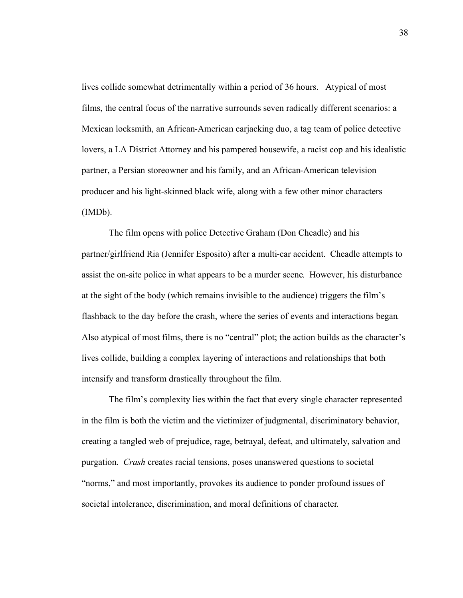lives collide somewhat detrimentally within a period of 36 hours. Atypical of most films, the central focus of the narrative surrounds seven radically different scenarios: a Mexican locksmith, an African-American carjacking duo, a tag team of police detective lovers, a LA District Attorney and his pampered housewife, a racist cop and his idealistic partner, a Persian storeowner and his family, and an African-American television producer and his light-skinned black wife, along with a few other minor characters (IMDb).

The film opens with police Detective Graham (Don Cheadle) and his partner/girlfriend Ria (Jennifer Esposito) after a multi-car accident. Cheadle attempts to assist the on-site police in what appears to be a murder scene. However, his disturbance at the sight of the body (which remains invisible to the audience) triggers the film's flashback to the day before the crash, where the series of events and interactions began. Also atypical of most films, there is no "central" plot; the action builds as the character's lives collide, building a complex layering of interactions and relationships that both intensify and transform drastically throughout the film.

The film's complexity lies within the fact that every single character represented in the film is both the victim and the victimizer of judgmental, discriminatory behavior, creating a tangled web of prejudice, rage, betrayal, defeat, and ultimately, salvation and purgation. *Crash* creates racial tensions, poses unanswered questions to societal "norms," and most importantly, provokes its audience to ponder profound issues of societal intolerance, discrimination, and moral definitions of character.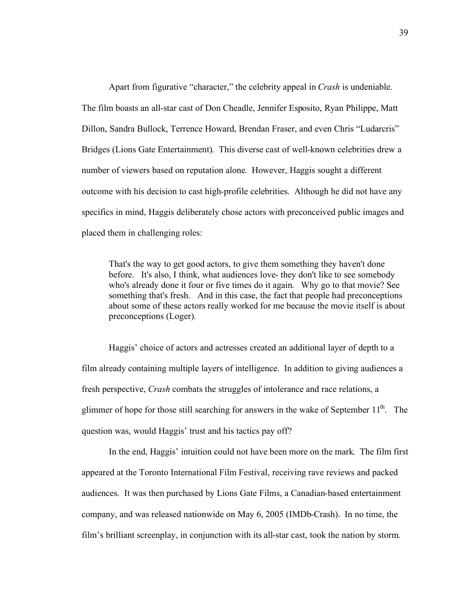Apart from figurative "character," the celebrity appeal in *Crash* is undeniable. The film boasts an all-star cast of Don Cheadle, Jennifer Esposito, Ryan Philippe, Matt Dillon, Sandra Bullock, Terrence Howard, Brendan Fraser, and even Chris "Ludarcris" Bridges (Lions Gate Entertainment). This diverse cast of well-known celebrities drew a number of viewers based on reputation alone. However, Haggis sought a different outcome with his decision to cast high-profile celebrities. Although he did not have any specifics in mind, Haggis deliberately chose actors with preconceived public images and placed them in challenging roles:

That's the way to get good actors, to give them something they haven't done before. It's also, I think, what audiences love- they don't like to see somebody who's already done it four or five times do it again. Why go to that movie? See something that's fresh. And in this case, the fact that people had preconceptions about some of these actors really worked for me because the movie itself is about preconceptions (Loger).

Haggis' choice of actors and actresses created an additional layer of depth to a film already containing multiple layers of intelligence. In addition to giving audiences a fresh perspective, *Crash* combats the struggles of intolerance and race relations, a glimmer of hope for those still searching for answers in the wake of September  $11<sup>th</sup>$ . The question was, would Haggis' trust and his tactics pay off?

In the end, Haggis' intuition could not have been more on the mark. The film first appeared at the Toronto International Film Festival, receiving rave reviews and packed audiences. It was then purchased by Lions Gate Films, a Canadian-based entertainment company, and was released nationwide on May 6, 2005 (IMDb-Crash). In no time, the film's brilliant screenplay, in conjunction with its all-star cast, took the nation by storm.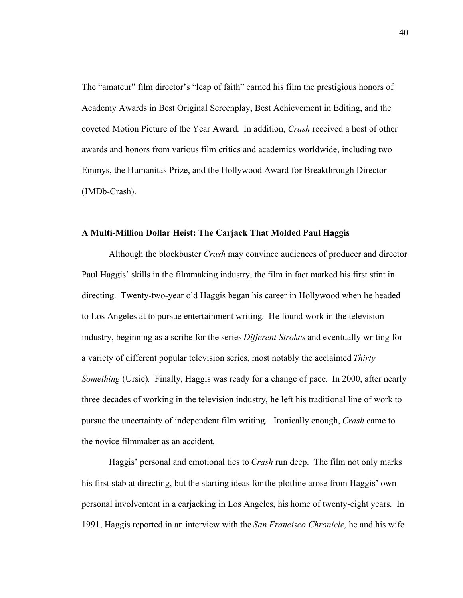The "amateur" film director's "leap of faith" earned his film the prestigious honors of Academy Awards in Best Original Screenplay, Best Achievement in Editing, and the coveted Motion Picture of the Year Award. In addition, *Crash* received a host of other awards and honors from various film critics and academics worldwide, including two Emmys, the Humanitas Prize, and the Hollywood Award for Breakthrough Director (IMDb-Crash).

## **A Multi-Million Dollar Heist: The Carjack That Molded Paul Haggis**

Although the blockbuster *Crash* may convince audiences of producer and director Paul Haggis' skills in the filmmaking industry, the film in fact marked his first stint in directing. Twenty-two-year old Haggis began his career in Hollywood when he headed to Los Angeles at to pursue entertainment writing. He found work in the television industry, beginning as a scribe for the series *Different Strokes* and eventually writing for a variety of different popular television series, most notably the acclaimed *Thirty Something* (Ursic)*.* Finally, Haggis was ready for a change of pace. In 2000, after nearly three decades of working in the television industry, he left his traditional line of work to pursue the uncertainty of independent film writing. Ironically enough, *Crash* came to the novice filmmaker as an accident.

Haggis' personal and emotional ties to *Crash* run deep. The film not only marks his first stab at directing, but the starting ideas for the plotline arose from Haggis' own personal involvement in a carjacking in Los Angeles, his home of twenty-eight years. In 1991, Haggis reported in an interview with the *San Francisco Chronicle,* he and his wife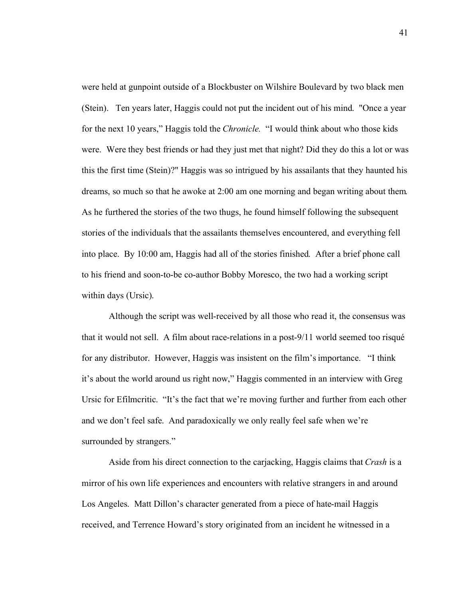were held at gunpoint outside of a Blockbuster on Wilshire Boulevard by two black men (Stein). Ten years later, Haggis could not put the incident out of his mind. "Once a year for the next 10 years," Haggis told the *Chronicle.* "I would think about who those kids were. Were they best friends or had they just met that night? Did they do this a lot or was this the first time (Stein)?" Haggis was so intrigued by his assailants that they haunted his dreams, so much so that he awoke at 2:00 am one morning and began writing about them. As he furthered the stories of the two thugs, he found himself following the subsequent stories of the individuals that the assailants themselves encountered, and everything fell into place. By 10:00 am, Haggis had all of the stories finished. After a brief phone call to his friend and soon-to-be co-author Bobby Moresco, the two had a working script within days (Ursic).

Although the script was well-received by all those who read it, the consensus was that it would not sell. A film about race-relations in a post-9/11 world seemed too risqué for any distributor. However, Haggis was insistent on the film's importance. "I think it's about the world around us right now," Haggis commented in an interview with Greg Ursic for Efilmcritic. "It's the fact that we're moving further and further from each other and we don't feel safe. And paradoxically we only really feel safe when we're surrounded by strangers."

Aside from his direct connection to the carjacking, Haggis claims that *Crash* is a mirror of his own life experiences and encounters with relative strangers in and around Los Angeles. Matt Dillon's character generated from a piece of hate-mail Haggis received, and Terrence Howard's story originated from an incident he witnessed in a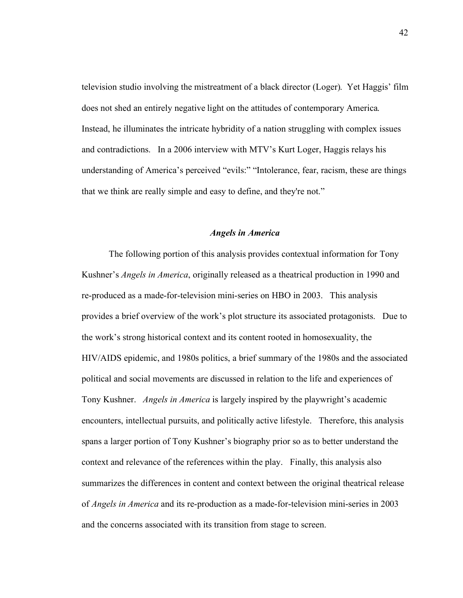television studio involving the mistreatment of a black director (Loger). Yet Haggis' film does not shed an entirely negative light on the attitudes of contemporary America. Instead, he illuminates the intricate hybridity of a nation struggling with complex issues and contradictions. In a 2006 interview with MTV's Kurt Loger, Haggis relays his understanding of America's perceived "evils:" "Intolerance, fear, racism, these are things that we think are really simple and easy to define, and they're not."

## *Angels in America*

The following portion of this analysis provides contextual information for Tony Kushner's *Angels in America*, originally released as a theatrical production in 1990 and re-produced as a made-for-television mini-series on HBO in 2003. This analysis provides a brief overview of the work's plot structure its associated protagonists. Due to the work's strong historical context and its content rooted in homosexuality, the HIV/AIDS epidemic, and 1980s politics, a brief summary of the 1980s and the associated political and social movements are discussed in relation to the life and experiences of Tony Kushner. *Angels in America* is largely inspired by the playwright's academic encounters, intellectual pursuits, and politically active lifestyle. Therefore, this analysis spans a larger portion of Tony Kushner's biography prior so as to better understand the context and relevance of the references within the play. Finally, this analysis also summarizes the differences in content and context between the original theatrical release of *Angels in America* and its re-production as a made-for-television mini-series in 2003 and the concerns associated with its transition from stage to screen.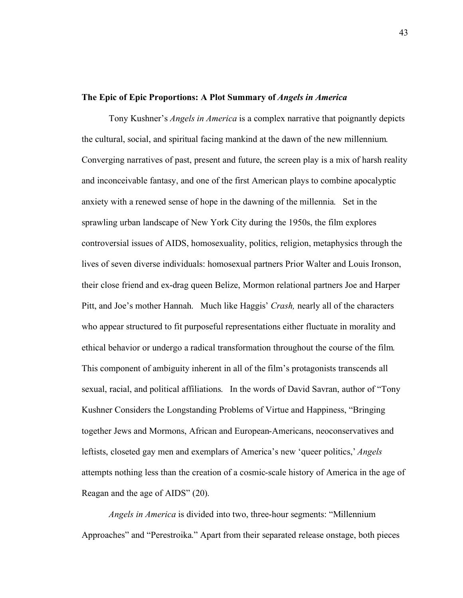## **The Epic of Epic Proportions: A Plot Summary of** *Angels in America*

Tony Kushner's *Angels in America* is a complex narrative that poignantly depicts the cultural, social, and spiritual facing mankind at the dawn of the new millennium. Converging narratives of past, present and future, the screen play is a mix of harsh reality and inconceivable fantasy, and one of the first American plays to combine apocalyptic anxiety with a renewed sense of hope in the dawning of the millennia. Set in the sprawling urban landscape of New York City during the 1950s, the film explores controversial issues of AIDS, homosexuality, politics, religion, metaphysics through the lives of seven diverse individuals: homosexual partners Prior Walter and Louis Ironson, their close friend and ex-drag queen Belize, Mormon relational partners Joe and Harper Pitt, and Joe's mother Hannah. Much like Haggis' *Crash,* nearly all of the characters who appear structured to fit purposeful representations either fluctuate in morality and ethical behavior or undergo a radical transformation throughout the course of the film. This component of ambiguity inherent in all of the film's protagonists transcends all sexual, racial, and political affiliations. In the words of David Savran, author of "Tony Kushner Considers the Longstanding Problems of Virtue and Happiness, "Bringing together Jews and Mormons, African and European-Americans, neoconservatives and leftists, closeted gay men and exemplars of America's new 'queer politics,' *Angels* attempts nothing less than the creation of a cosmic-scale history of America in the age of Reagan and the age of AIDS" (20).

*Angels in America* is divided into two, three-hour segments: "Millennium Approaches" and "Perestroika." Apart from their separated release onstage, both pieces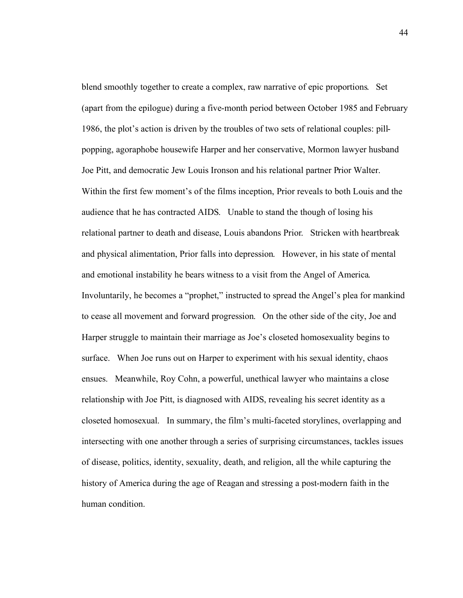blend smoothly together to create a complex, raw narrative of epic proportions. Set (apart from the epilogue) during a five-month period between October 1985 and February 1986, the plot's action is driven by the troubles of two sets of relational couples: pillpopping, agoraphobe housewife Harper and her conservative, Mormon lawyer husband Joe Pitt, and democratic Jew Louis Ironson and his relational partner Prior Walter. Within the first few moment's of the films inception, Prior reveals to both Louis and the audience that he has contracted AIDS. Unable to stand the though of losing his relational partner to death and disease, Louis abandons Prior. Stricken with heartbreak and physical alimentation, Prior falls into depression. However, in his state of mental and emotional instability he bears witness to a visit from the Angel of America. Involuntarily, he becomes a "prophet," instructed to spread the Angel's plea for mankind to cease all movement and forward progression. On the other side of the city, Joe and Harper struggle to maintain their marriage as Joe's closeted homosexuality begins to surface. When Joe runs out on Harper to experiment with his sexual identity, chaos ensues. Meanwhile, Roy Cohn, a powerful, unethical lawyer who maintains a close relationship with Joe Pitt, is diagnosed with AIDS, revealing his secret identity as a closeted homosexual. In summary, the film's multi-faceted storylines, overlapping and intersecting with one another through a series of surprising circumstances, tackles issues of disease, politics, identity, sexuality, death, and religion, all the while capturing the history of America during the age of Reagan and stressing a post-modern faith in the human condition.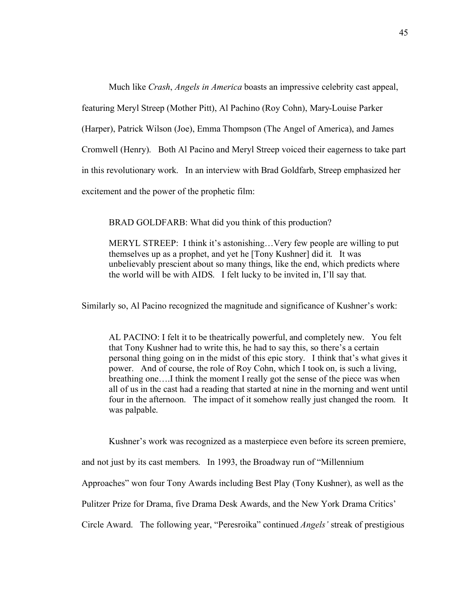Much like *Crash*, *Angels in America* boasts an impressive celebrity cast appeal, featuring Meryl Streep (Mother Pitt), Al Pachino (Roy Cohn), Mary-Louise Parker (Harper), Patrick Wilson (Joe), Emma Thompson (The Angel of America), and James Cromwell (Henry). Both Al Pacino and Meryl Streep voiced their eagerness to take part in this revolutionary work. In an interview with Brad Goldfarb, Streep emphasized her excitement and the power of the prophetic film:

BRAD GOLDFARB: What did you think of this production?

MERYL STREEP: I think it's astonishing…Very few people are willing to put themselves up as a prophet, and yet he [Tony Kushner] did it. It was unbelievably prescient about so many things, like the end, which predicts where the world will be with AIDS. I felt lucky to be invited in, I'll say that.

Similarly so, Al Pacino recognized the magnitude and significance of Kushner's work:

AL PACINO: I felt it to be theatrically powerful, and completely new. You felt that Tony Kushner had to write this, he had to say this, so there's a certain personal thing going on in the midst of this epic story. I think that's what gives it power. And of course, the role of Roy Cohn, which I took on, is such a living, breathing one….I think the moment I really got the sense of the piece was when all of us in the cast had a reading that started at nine in the morning and went until four in the afternoon. The impact of it somehow really just changed the room. It was palpable.

Kushner's work was recognized as a masterpiece even before its screen premiere,

and not just by its cast members. In 1993, the Broadway run of "Millennium

Approaches" won four Tony Awards including Best Play (Tony Kushner), as well as the

Pulitzer Prize for Drama, five Drama Desk Awards, and the New York Drama Critics'

Circle Award. The following year, "Peresroika" continued *Angels'* streak of prestigious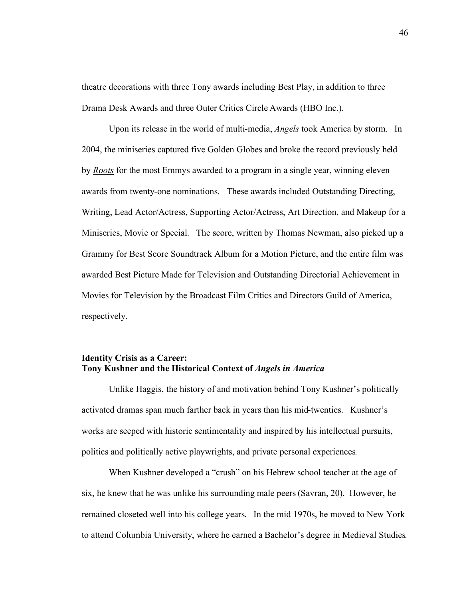theatre decorations with three Tony awards including Best Play, in addition to three Drama Desk Awards and three Outer Critics Circle Awards (HBO Inc.).

Upon its release in the world of multi-media, *Angels* took America by storm. In 2004, the miniseries captured five Golden Globes and broke the record previously held by *Roots* for the most Emmys awarded to a program in a single year, winning eleven awards from twenty-one nominations. These awards included Outstanding Directing, Writing, Lead Actor/Actress, Supporting Actor/Actress, Art Direction, and Makeup for a Miniseries, Movie or Special. The score, written by Thomas Newman, also picked up a Grammy for Best Score Soundtrack Album for a Motion Picture, and the entire film was awarded Best Picture Made for Television and Outstanding Directorial Achievement in Movies for Television by the Broadcast Film Critics and Directors Guild of America, respectively.

## **Identity Crisis as a Career: Tony Kushner and the Historical Context of** *Angels in America*

Unlike Haggis, the history of and motivation behind Tony Kushner's politically activated dramas span much farther back in years than his mid-twenties. Kushner's works are seeped with historic sentimentality and inspired by his intellectual pursuits, politics and politically active playwrights, and private personal experiences.

When Kushner developed a "crush" on his Hebrew school teacher at the age of six, he knew that he was unlike his surrounding male peers (Savran, 20). However, he remained closeted well into his college years. In the mid 1970s, he moved to New York to attend Columbia University, where he earned a Bachelor's degree in Medieval Studies.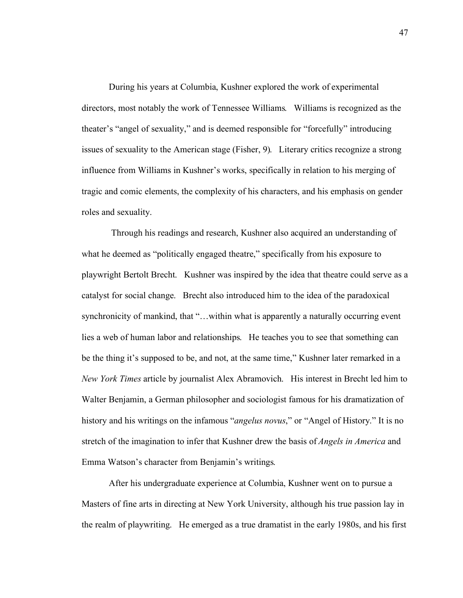During his years at Columbia, Kushner explored the work of experimental directors, most notably the work of Tennessee Williams. Williams is recognized as the theater's "angel of sexuality," and is deemed responsible for "forcefully" introducing issues of sexuality to the American stage (Fisher, 9). Literary critics recognize a strong influence from Williams in Kushner's works, specifically in relation to his merging of tragic and comic elements, the complexity of his characters, and his emphasis on gender roles and sexuality.

 Through his readings and research, Kushner also acquired an understanding of what he deemed as "politically engaged theatre," specifically from his exposure to playwright Bertolt Brecht. Kushner was inspired by the idea that theatre could serve as a catalyst for social change. Brecht also introduced him to the idea of the paradoxical synchronicity of mankind, that "...within what is apparently a naturally occurring event lies a web of human labor and relationships. He teaches you to see that something can be the thing it's supposed to be, and not, at the same time," Kushner later remarked in a *New York Times* article by journalist Alex Abramovich. His interest in Brecht led him to Walter Benjamin, a German philosopher and sociologist famous for his dramatization of history and his writings on the infamous "*angelus novus*," or "Angel of History." It is no stretch of the imagination to infer that Kushner drew the basis of *Angels in America* and Emma Watson's character from Benjamin's writings.

After his undergraduate experience at Columbia, Kushner went on to pursue a Masters of fine arts in directing at New York University, although his true passion lay in the realm of playwriting. He emerged as a true dramatist in the early 1980s, and his first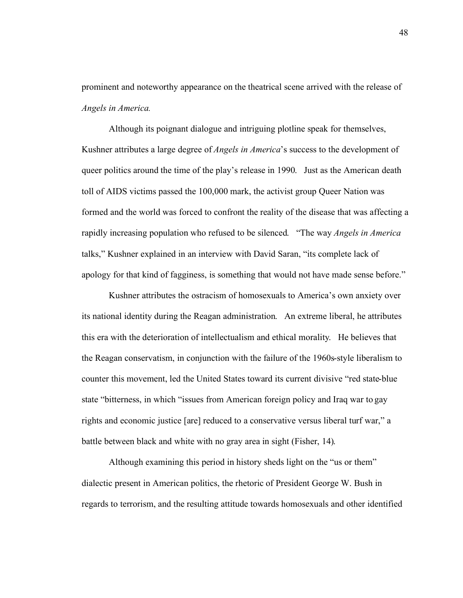prominent and noteworthy appearance on the theatrical scene arrived with the release of *Angels in America.* 

Although its poignant dialogue and intriguing plotline speak for themselves, Kushner attributes a large degree of *Angels in America*'s success to the development of queer politics around the time of the play's release in 1990. Just as the American death toll of AIDS victims passed the 100,000 mark, the activist group Queer Nation was formed and the world was forced to confront the reality of the disease that was affecting a rapidly increasing population who refused to be silenced. "The way *Angels in America*  talks," Kushner explained in an interview with David Saran, "its complete lack of apology for that kind of fagginess, is something that would not have made sense before."

Kushner attributes the ostracism of homosexuals to America's own anxiety over its national identity during the Reagan administration. An extreme liberal, he attributes this era with the deterioration of intellectualism and ethical morality. He believes that the Reagan conservatism, in conjunction with the failure of the 1960s-style liberalism to counter this movement, led the United States toward its current divisive "red state-blue state "bitterness, in which "issues from American foreign policy and Iraq war to gay rights and economic justice [are] reduced to a conservative versus liberal turf war," a battle between black and white with no gray area in sight (Fisher, 14).

Although examining this period in history sheds light on the "us or them" dialectic present in American politics, the rhetoric of President George W. Bush in regards to terrorism, and the resulting attitude towards homosexuals and other identified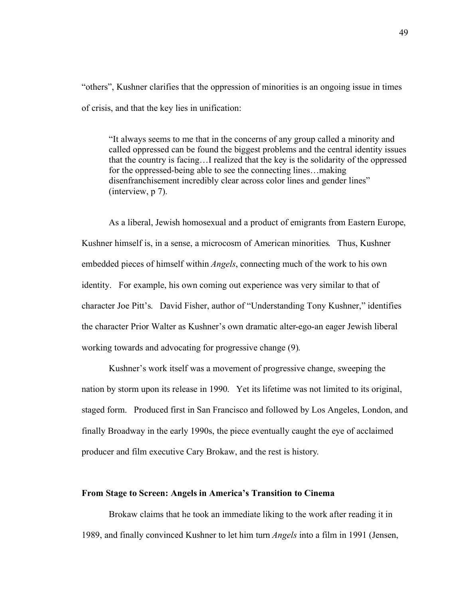"others", Kushner clarifies that the oppression of minorities is an ongoing issue in times of crisis, and that the key lies in unification:

"It always seems to me that in the concerns of any group called a minority and called oppressed can be found the biggest problems and the central identity issues that the country is facing…I realized that the key is the solidarity of the oppressed for the oppressed-being able to see the connecting lines…making disenfranchisement incredibly clear across color lines and gender lines" (interview, p 7).

As a liberal, Jewish homosexual and a product of emigrants from Eastern Europe, Kushner himself is, in a sense, a microcosm of American minorities. Thus, Kushner embedded pieces of himself within *Angels*, connecting much of the work to his own identity. For example, his own coming out experience was very similar to that of character Joe Pitt's. David Fisher, author of "Understanding Tony Kushner," identifies the character Prior Walter as Kushner's own dramatic alter-ego-an eager Jewish liberal working towards and advocating for progressive change (9).

Kushner's work itself was a movement of progressive change, sweeping the nation by storm upon its release in 1990. Yet its lifetime was not limited to its original, staged form. Produced first in San Francisco and followed by Los Angeles, London, and finally Broadway in the early 1990s, the piece eventually caught the eye of acclaimed producer and film executive Cary Brokaw, and the rest is history.

#### **From Stage to Screen: Angels in America's Transition to Cinema**

Brokaw claims that he took an immediate liking to the work after reading it in 1989, and finally convinced Kushner to let him turn *Angels* into a film in 1991 (Jensen,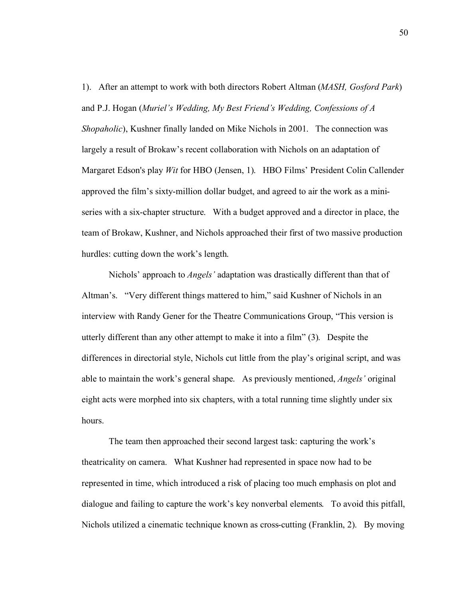1). After an attempt to work with both directors Robert Altman (*MASH, Gosford Park*) and P.J. Hogan (*Muriel's Wedding, My Best Friend's Wedding, Confessions of A Shopaholic*), Kushner finally landed on Mike Nichols in 2001. The connection was largely a result of Brokaw's recent collaboration with Nichols on an adaptation of Margaret Edson's play *Wit* for HBO (Jensen, 1). HBO Films' President Colin Callender approved the film's sixty-million dollar budget, and agreed to air the work as a miniseries with a six-chapter structure. With a budget approved and a director in place, the team of Brokaw, Kushner, and Nichols approached their first of two massive production hurdles: cutting down the work's length.

Nichols' approach to *Angels'* adaptation was drastically different than that of Altman's. "Very different things mattered to him," said Kushner of Nichols in an interview with Randy Gener for the Theatre Communications Group, "This version is utterly different than any other attempt to make it into a film" (3). Despite the differences in directorial style, Nichols cut little from the play's original script, and was able to maintain the work's general shape. As previously mentioned, *Angels'* original eight acts were morphed into six chapters, with a total running time slightly under six hours.

The team then approached their second largest task: capturing the work's theatricality on camera. What Kushner had represented in space now had to be represented in time, which introduced a risk of placing too much emphasis on plot and dialogue and failing to capture the work's key nonverbal elements. To avoid this pitfall, Nichols utilized a cinematic technique known as cross-cutting (Franklin, 2). By moving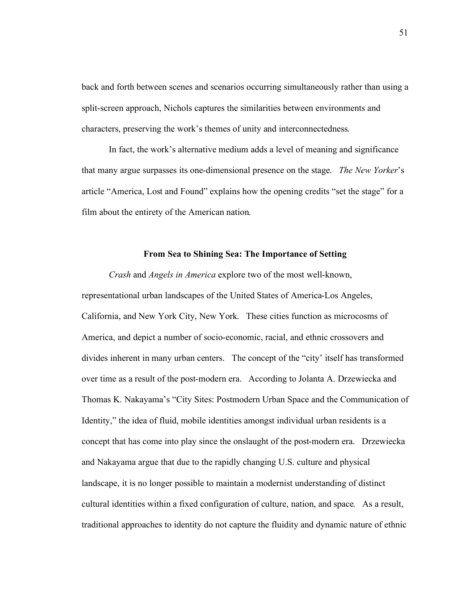back and forth between scenes and scenarios occurring simultaneously rather than using a split-screen approach, Nichols captures the similarities between environments and characters, preserving the work's themes of unity and interconnectedness.

In fact, the work's alternative medium adds a level of meaning and significance that many argue surpasses its one-dimensional presence on the stage. *The New Yorker*'s article "America, Lost and Found" explains how the opening credits "set the stage" for a film about the entirety of the American nation.

## **From Sea to Shining Sea: The Importance of Setting**

*Crash* and *Angels in America* explore two of the most well-known, representational urban landscapes of the United States of America-Los Angeles, California, and New York City, New York. These cities function as microcosms of America, and depict a number of socio-economic, racial, and ethnic crossovers and divides inherent in many urban centers. The concept of the "city' itself has transformed over time as a result of the post-modern era. According to Jolanta A. Drzewiecka and Thomas K. Nakayama's "City Sites: Postmodern Urban Space and the Communication of Identity," the idea of fluid, mobile identities amongst individual urban residents is a concept that has come into play since the onslaught of the post-modern era. Drzewiecka and Nakayama argue that due to the rapidly changing U.S. culture and physical landscape, it is no longer possible to maintain a modernist understanding of distinct cultural identities within a fixed configuration of culture, nation, and space. As a result, traditional approaches to identity do not capture the fluidity and dynamic nature of ethnic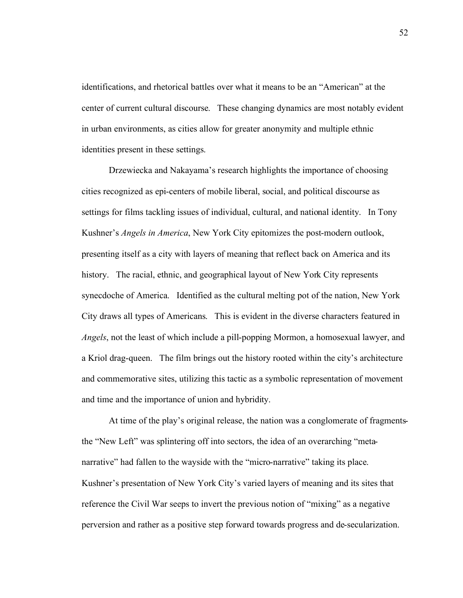identifications, and rhetorical battles over what it means to be an "American" at the center of current cultural discourse. These changing dynamics are most notably evident in urban environments, as cities allow for greater anonymity and multiple ethnic identities present in these settings.

Drzewiecka and Nakayama's research highlights the importance of choosing cities recognized as epi-centers of mobile liberal, social, and political discourse as settings for films tackling issues of individual, cultural, and national identity. In Tony Kushner's *Angels in America*, New York City epitomizes the post-modern outlook, presenting itself as a city with layers of meaning that reflect back on America and its history. The racial, ethnic, and geographical layout of New York City represents synecdoche of America. Identified as the cultural melting pot of the nation, New York City draws all types of Americans. This is evident in the diverse characters featured in *Angels*, not the least of which include a pill-popping Mormon, a homosexual lawyer, and a Kriol drag-queen. The film brings out the history rooted within the city's architecture and commemorative sites, utilizing this tactic as a symbolic representation of movement and time and the importance of union and hybridity.

At time of the play's original release, the nation was a conglomerate of fragmentsthe "New Left" was splintering off into sectors, the idea of an overarching "metanarrative" had fallen to the wayside with the "micro-narrative" taking its place. Kushner's presentation of New York City's varied layers of meaning and its sites that reference the Civil War seeps to invert the previous notion of "mixing" as a negative perversion and rather as a positive step forward towards progress and de-secularization.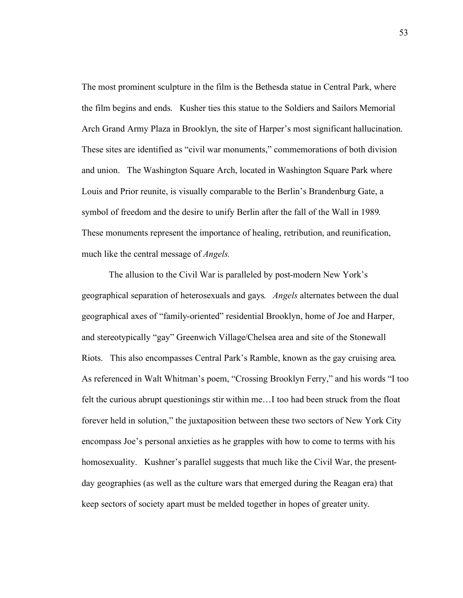The most prominent sculpture in the film is the Bethesda statue in Central Park, where the film begins and ends. Kusher ties this statue to the Soldiers and Sailors Memorial Arch Grand Army Plaza in Brooklyn, the site of Harper's most significant hallucination. These sites are identified as "civil war monuments," commemorations of both division and union. The Washington Square Arch, located in Washington Square Park where Louis and Prior reunite, is visually comparable to the Berlin's Brandenburg Gate, a symbol of freedom and the desire to unify Berlin after the fall of the Wall in 1989. These monuments represent the importance of healing, retribution, and reunification, much like the central message of *Angels.* 

The allusion to the Civil War is paralleled by post-modern New York's geographical separation of heterosexuals and gays. *Angels* alternates between the dual geographical axes of "family-oriented" residential Brooklyn, home of Joe and Harper, and stereotypically "gay" Greenwich Village/Chelsea area and site of the Stonewall Riots. This also encompasses Central Park's Ramble, known as the gay cruising area. As referenced in Walt Whitman's poem, "Crossing Brooklyn Ferry," and his words "I too felt the curious abrupt questionings stir within me…I too had been struck from the float forever held in solution," the juxtaposition between these two sectors of New York City encompass Joe's personal anxieties as he grapples with how to come to terms with his homosexuality. Kushner's parallel suggests that much like the Civil War, the presentday geographies (as well as the culture wars that emerged during the Reagan era) that keep sectors of society apart must be melded together in hopes of greater unity.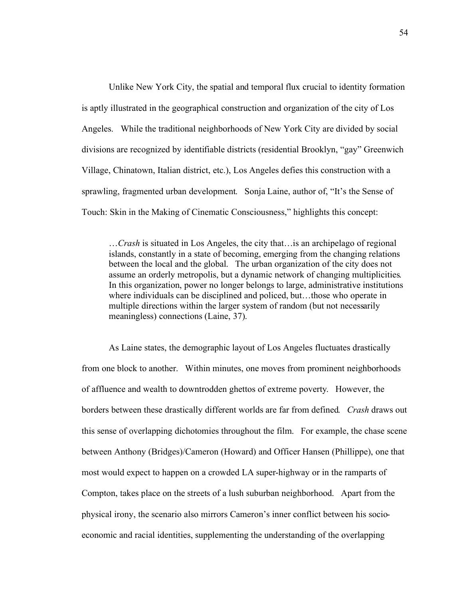Unlike New York City, the spatial and temporal flux crucial to identity formation is aptly illustrated in the geographical construction and organization of the city of Los Angeles. While the traditional neighborhoods of New York City are divided by social divisions are recognized by identifiable districts (residential Brooklyn, "gay" Greenwich Village, Chinatown, Italian district, etc.), Los Angeles defies this construction with a sprawling, fragmented urban development. Sonja Laine, author of, "It's the Sense of Touch: Skin in the Making of Cinematic Consciousness," highlights this concept:

…*Crash* is situated in Los Angeles, the city that…is an archipelago of regional islands, constantly in a state of becoming, emerging from the changing relations between the local and the global. The urban organization of the city does not assume an orderly metropolis, but a dynamic network of changing multiplicities. In this organization, power no longer belongs to large, administrative institutions where individuals can be disciplined and policed, but…those who operate in multiple directions within the larger system of random (but not necessarily meaningless) connections (Laine, 37).

As Laine states, the demographic layout of Los Angeles fluctuates drastically from one block to another. Within minutes, one moves from prominent neighborhoods of affluence and wealth to downtrodden ghettos of extreme poverty. However, the borders between these drastically different worlds are far from defined. *Crash* draws out this sense of overlapping dichotomies throughout the film. For example, the chase scene between Anthony (Bridges)/Cameron (Howard) and Officer Hansen (Phillippe), one that most would expect to happen on a crowded LA super-highway or in the ramparts of Compton, takes place on the streets of a lush suburban neighborhood. Apart from the physical irony, the scenario also mirrors Cameron's inner conflict between his socioeconomic and racial identities, supplementing the understanding of the overlapping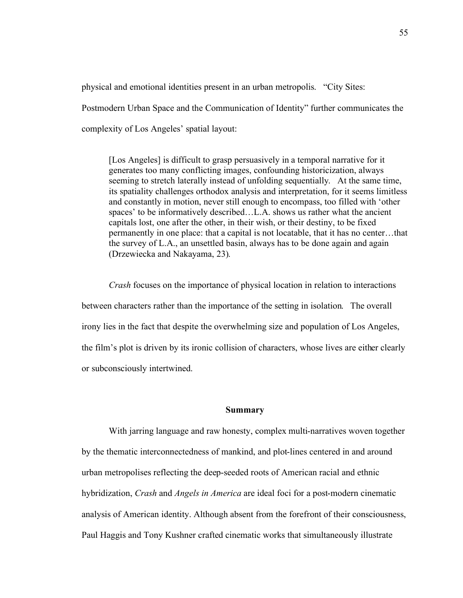physical and emotional identities present in an urban metropolis. "City Sites: Postmodern Urban Space and the Communication of Identity" further communicates the complexity of Los Angeles' spatial layout:

[Los Angeles] is difficult to grasp persuasively in a temporal narrative for it generates too many conflicting images, confounding historicization, always seeming to stretch laterally instead of unfolding sequentially. At the same time, its spatiality challenges orthodox analysis and interpretation, for it seems limitless and constantly in motion, never still enough to encompass, too filled with 'other spaces' to be informatively described…L.A. shows us rather what the ancient capitals lost, one after the other, in their wish, or their destiny, to be fixed permanently in one place: that a capital is not locatable, that it has no center…that the survey of L.A., an unsettled basin, always has to be done again and again (Drzewiecka and Nakayama, 23).

*Crash* focuses on the importance of physical location in relation to interactions between characters rather than the importance of the setting in isolation. The overall irony lies in the fact that despite the overwhelming size and population of Los Angeles, the film's plot is driven by its ironic collision of characters, whose lives are either clearly or subconsciously intertwined.

#### **Summary**

With jarring language and raw honesty, complex multi-narratives woven together by the thematic interconnectedness of mankind, and plot-lines centered in and around urban metropolises reflecting the deep-seeded roots of American racial and ethnic hybridization, *Crash* and *Angels in America* are ideal foci for a post-modern cinematic analysis of American identity. Although absent from the forefront of their consciousness, Paul Haggis and Tony Kushner crafted cinematic works that simultaneously illustrate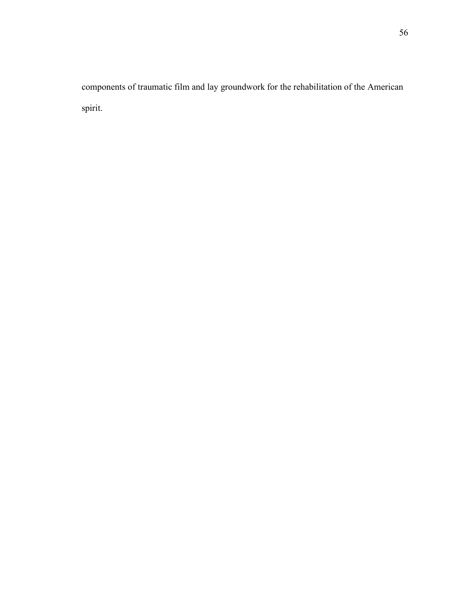components of traumatic film and lay groundwork for the rehabilitation of the American spirit.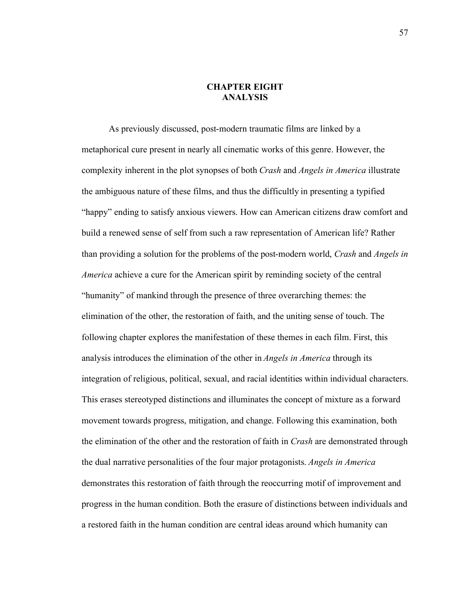# **CHAPTER EIGHT ANALYSIS**

As previously discussed, post-modern traumatic films are linked by a metaphorical cure present in nearly all cinematic works of this genre. However, the complexity inherent in the plot synopses of both *Crash* and *Angels in America* illustrate the ambiguous nature of these films, and thus the difficultly in presenting a typified "happy" ending to satisfy anxious viewers. How can American citizens draw comfort and build a renewed sense of self from such a raw representation of American life? Rather than providing a solution for the problems of the post-modern world, *Crash* and *Angels in America* achieve a cure for the American spirit by reminding society of the central "humanity" of mankind through the presence of three overarching themes: the elimination of the other, the restoration of faith, and the uniting sense of touch. The following chapter explores the manifestation of these themes in each film. First, this analysis introduces the elimination of the other in *Angels in America* through its integration of religious, political, sexual, and racial identities within individual characters. This erases stereotyped distinctions and illuminates the concept of mixture as a forward movement towards progress, mitigation, and change. Following this examination, both the elimination of the other and the restoration of faith in *Crash* are demonstrated through the dual narrative personalities of the four major protagonists. *Angels in America*  demonstrates this restoration of faith through the reoccurring motif of improvement and progress in the human condition. Both the erasure of distinctions between individuals and a restored faith in the human condition are central ideas around which humanity can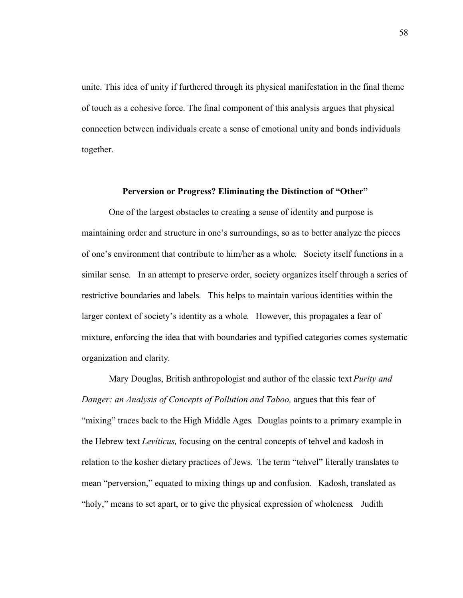unite. This idea of unity if furthered through its physical manifestation in the final theme of touch as a cohesive force. The final component of this analysis argues that physical connection between individuals create a sense of emotional unity and bonds individuals together.

### **Perversion or Progress? Eliminating the Distinction of "Other"**

One of the largest obstacles to creating a sense of identity and purpose is maintaining order and structure in one's surroundings, so as to better analyze the pieces of one's environment that contribute to him/her as a whole. Society itself functions in a similar sense. In an attempt to preserve order, society organizes itself through a series of restrictive boundaries and labels. This helps to maintain various identities within the larger context of society's identity as a whole. However, this propagates a fear of mixture, enforcing the idea that with boundaries and typified categories comes systematic organization and clarity.

Mary Douglas, British anthropologist and author of the classic text *Purity and Danger: an Analysis of Concepts of Pollution and Taboo,* argues that this fear of "mixing" traces back to the High Middle Ages. Douglas points to a primary example in the Hebrew text *Leviticus,* focusing on the central concepts of tehvel and kadosh in relation to the kosher dietary practices of Jews. The term "tehvel" literally translates to mean "perversion," equated to mixing things up and confusion. Kadosh, translated as "holy," means to set apart, or to give the physical expression of wholeness. Judith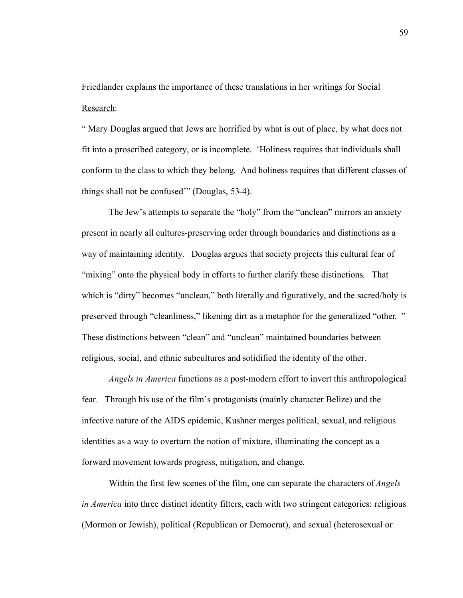Friedlander explains the importance of these translations in her writings for Social Research:

" Mary Douglas argued that Jews are horrified by what is out of place, by what does not fit into a proscribed category, or is incomplete. 'Holiness requires that individuals shall conform to the class to which they belong. And holiness requires that different classes of things shall not be confused'" (Douglas, 53-4).

The Jew's attempts to separate the "holy" from the "unclean" mirrors an anxiety present in nearly all cultures-preserving order through boundaries and distinctions as a way of maintaining identity. Douglas argues that society projects this cultural fear of "mixing" onto the physical body in efforts to further clarify these distinctions. That which is "dirty" becomes "unclean," both literally and figuratively, and the sacred/holy is preserved through "cleanliness," likening dirt as a metaphor for the generalized "other. " These distinctions between "clean" and "unclean" maintained boundaries between religious, social, and ethnic subcultures and solidified the identity of the other.

*Angels in America* functions as a post-modern effort to invert this anthropological fear. Through his use of the film's protagonists (mainly character Belize) and the infective nature of the AIDS epidemic, Kushner merges political, sexual, and religious identities as a way to overturn the notion of mixture, illuminating the concept as a forward movement towards progress, mitigation, and change.

Within the first few scenes of the film, one can separate the characters of *Angels in America* into three distinct identity filters, each with two stringent categories: religious (Mormon or Jewish), political (Republican or Democrat), and sexual (heterosexual or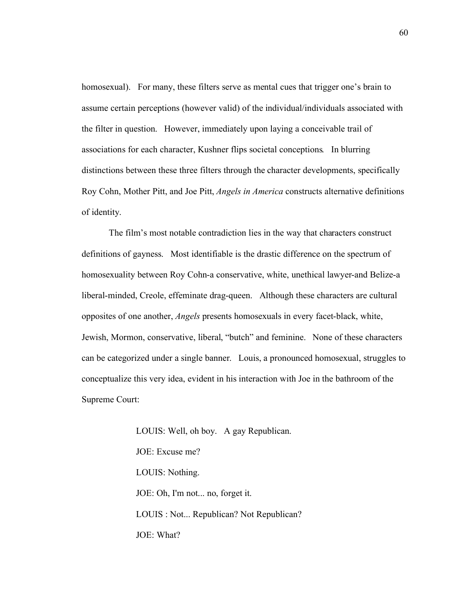homosexual). For many, these filters serve as mental cues that trigger one's brain to assume certain perceptions (however valid) of the individual/individuals associated with the filter in question. However, immediately upon laying a conceivable trail of associations for each character, Kushner flips societal conceptions. In blurring distinctions between these three filters through the character developments, specifically Roy Cohn, Mother Pitt, and Joe Pitt, *Angels in America* constructs alternative definitions of identity.

The film's most notable contradiction lies in the way that characters construct definitions of gayness. Most identifiable is the drastic difference on the spectrum of homosexuality between Roy Cohn-a conservative, white, unethical lawyer-and Belize-a liberal-minded, Creole, effeminate drag-queen. Although these characters are cultural opposites of one another, *Angels* presents homosexuals in every facet-black, white, Jewish, Mormon, conservative, liberal, "butch" and feminine. None of these characters can be categorized under a single banner. Louis, a pronounced homosexual, struggles to conceptualize this very idea, evident in his interaction with Joe in the bathroom of the Supreme Court:

> LOUIS: Well, oh boy. A gay Republican. JOE: Excuse me? LOUIS: Nothing. JOE: Oh, I'm not... no, forget it. LOUIS : Not... Republican? Not Republican? JOE: What?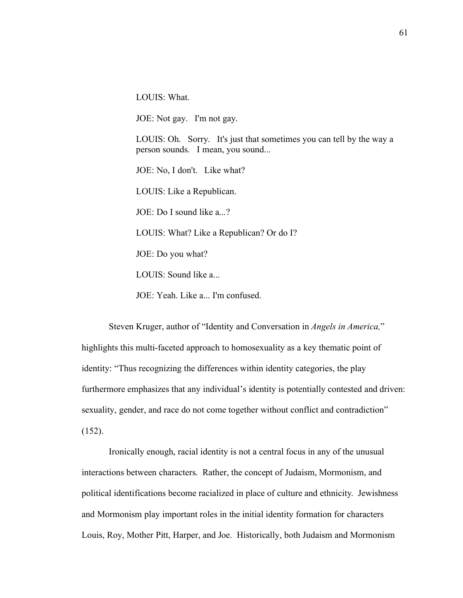LOUIS: What.

JOE: Not gay. I'm not gay.

LOUIS: Oh. Sorry. It's just that sometimes you can tell by the way a person sounds. I mean, you sound...

JOE: No, I don't. Like what?

LOUIS: Like a Republican.

JOE: Do I sound like a...?

LOUIS: What? Like a Republican? Or do I?

JOE: Do you what?

LOUIS: Sound like a...

JOE: Yeah. Like a... I'm confused.

Steven Kruger, author of "Identity and Conversation in *Angels in America,*" highlights this multi-faceted approach to homosexuality as a key thematic point of identity: "Thus recognizing the differences within identity categories, the play furthermore emphasizes that any individual's identity is potentially contested and driven: sexuality, gender, and race do not come together without conflict and contradiction"  $(152)$ .

Ironically enough, racial identity is not a central focus in any of the unusual interactions between characters. Rather, the concept of Judaism, Mormonism, and political identifications become racialized in place of culture and ethnicity. Jewishness and Mormonism play important roles in the initial identity formation for characters Louis, Roy, Mother Pitt, Harper, and Joe. Historically, both Judaism and Mormonism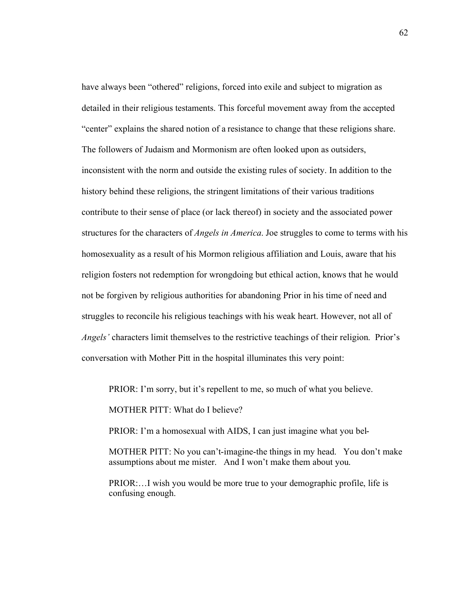have always been "othered" religions, forced into exile and subject to migration as detailed in their religious testaments. This forceful movement away from the accepted "center" explains the shared notion of a resistance to change that these religions share. The followers of Judaism and Mormonism are often looked upon as outsiders, inconsistent with the norm and outside the existing rules of society. In addition to the history behind these religions, the stringent limitations of their various traditions contribute to their sense of place (or lack thereof) in society and the associated power structures for the characters of *Angels in America*. Joe struggles to come to terms with his homosexuality as a result of his Mormon religious affiliation and Louis, aware that his religion fosters not redemption for wrongdoing but ethical action, knows that he would not be forgiven by religious authorities for abandoning Prior in his time of need and struggles to reconcile his religious teachings with his weak heart. However, not all of *Angels'* characters limit themselves to the restrictive teachings of their religion. Prior's conversation with Mother Pitt in the hospital illuminates this very point:

PRIOR: I'm sorry, but it's repellent to me, so much of what you believe.

MOTHER PITT: What do I believe?

PRIOR: I'm a homosexual with AIDS, I can just imagine what you bel-

MOTHER PITT: No you can't-imagine-the things in my head. You don't make assumptions about me mister. And I won't make them about you.

PRIOR:…I wish you would be more true to your demographic profile, life is confusing enough.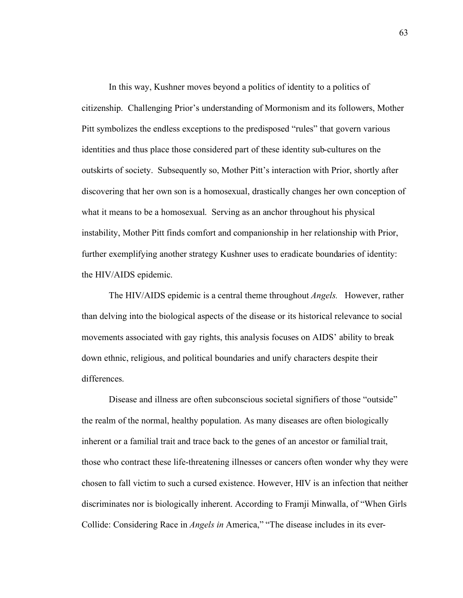In this way, Kushner moves beyond a politics of identity to a politics of citizenship. Challenging Prior's understanding of Mormonism and its followers, Mother Pitt symbolizes the endless exceptions to the predisposed "rules" that govern various identities and thus place those considered part of these identity sub-cultures on the outskirts of society. Subsequently so, Mother Pitt's interaction with Prior, shortly after discovering that her own son is a homosexual, drastically changes her own conception of what it means to be a homosexual. Serving as an anchor throughout his physical instability, Mother Pitt finds comfort and companionship in her relationship with Prior, further exemplifying another strategy Kushner uses to eradicate boundaries of identity: the HIV/AIDS epidemic.

The HIV/AIDS epidemic is a central theme throughout *Angels.* However, rather than delving into the biological aspects of the disease or its historical relevance to social movements associated with gay rights, this analysis focuses on AIDS' ability to break down ethnic, religious, and political boundaries and unify characters despite their differences.

Disease and illness are often subconscious societal signifiers of those "outside" the realm of the normal, healthy population. As many diseases are often biologically inherent or a familial trait and trace back to the genes of an ancestor or familial trait, those who contract these life-threatening illnesses or cancers often wonder why they were chosen to fall victim to such a cursed existence. However, HIV is an infection that neither discriminates nor is biologically inherent. According to Framji Minwalla, of "When Girls Collide: Considering Race in *Angels in* America," "The disease includes in its ever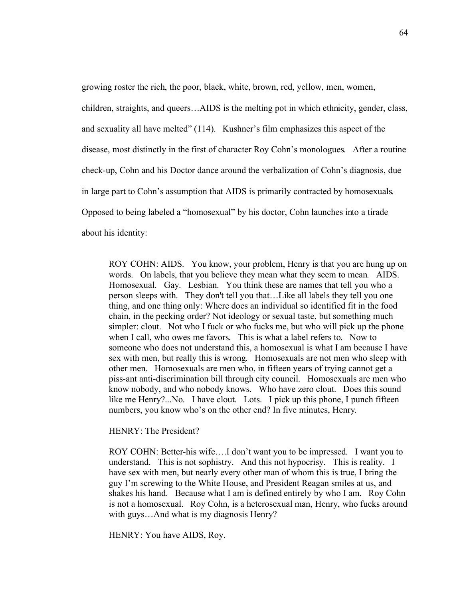growing roster the rich, the poor, black, white, brown, red, yellow, men, women,

children, straights, and queers…AIDS is the melting pot in which ethnicity, gender, class, and sexuality all have melted" (114). Kushner's film emphasizes this aspect of the disease, most distinctly in the first of character Roy Cohn's monologues. After a routine check-up, Cohn and his Doctor dance around the verbalization of Cohn's diagnosis, due in large part to Cohn's assumption that AIDS is primarily contracted by homosexuals. Opposed to being labeled a "homosexual" by his doctor, Cohn launches into a tirade about his identity:

ROY COHN: AIDS. You know, your problem, Henry is that you are hung up on words. On labels, that you believe they mean what they seem to mean. AIDS. Homosexual. Gay. Lesbian. You think these are names that tell you who a person sleeps with. They don't tell you that…Like all labels they tell you one thing, and one thing only: Where does an individual so identified fit in the food chain, in the pecking order? Not ideology or sexual taste, but something much simpler: clout. Not who I fuck or who fucks me, but who will pick up the phone when I call, who owes me favors. This is what a label refers to. Now to someone who does not understand this, a homosexual is what I am because I have sex with men, but really this is wrong. Homosexuals are not men who sleep with other men. Homosexuals are men who, in fifteen years of trying cannot get a piss-ant anti-discrimination bill through city council. Homosexuals are men who know nobody, and who nobody knows. Who have zero clout. Does this sound like me Henry?...No. I have clout. Lots. I pick up this phone, I punch fifteen numbers, you know who's on the other end? In five minutes, Henry.

HENRY: The President?

ROY COHN: Better-his wife….I don't want you to be impressed. I want you to understand. This is not sophistry. And this not hypocrisy. This is reality. I have sex with men, but nearly every other man of whom this is true, I bring the guy I'm screwing to the White House, and President Reagan smiles at us, and shakes his hand. Because what I am is defined entirely by who I am. Roy Cohn is not a homosexual. Roy Cohn, is a heterosexual man, Henry, who fucks around with guys...And what is my diagnosis Henry?

HENRY: You have AIDS, Roy.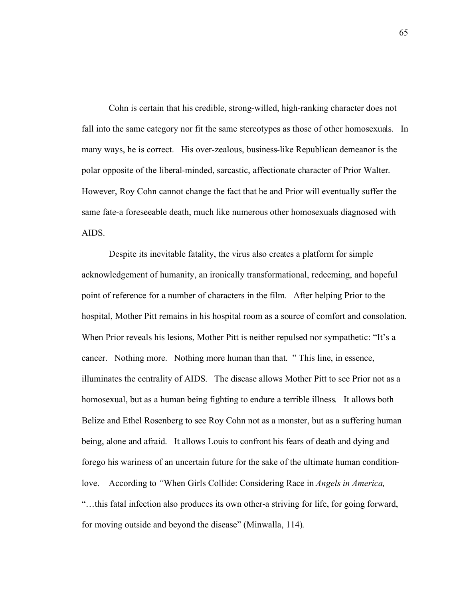Cohn is certain that his credible, strong-willed, high-ranking character does not fall into the same category nor fit the same stereotypes as those of other homosexuals. In many ways, he is correct. His over-zealous, business-like Republican demeanor is the polar opposite of the liberal-minded, sarcastic, affectionate character of Prior Walter. However, Roy Cohn cannot change the fact that he and Prior will eventually suffer the same fate-a foreseeable death, much like numerous other homosexuals diagnosed with AIDS.

Despite its inevitable fatality, the virus also creates a platform for simple acknowledgement of humanity, an ironically transformational, redeeming, and hopeful point of reference for a number of characters in the film. After helping Prior to the hospital, Mother Pitt remains in his hospital room as a source of comfort and consolation. When Prior reveals his lesions, Mother Pitt is neither repulsed nor sympathetic: "It's a cancer. Nothing more. Nothing more human than that. " This line, in essence, illuminates the centrality of AIDS. The disease allows Mother Pitt to see Prior not as a homosexual, but as a human being fighting to endure a terrible illness. It allows both Belize and Ethel Rosenberg to see Roy Cohn not as a monster, but as a suffering human being, alone and afraid. It allows Louis to confront his fears of death and dying and forego his wariness of an uncertain future for the sake of the ultimate human conditionlove. According to *"*When Girls Collide: Considering Race in *Angels in America,*  "…this fatal infection also produces its own other-a striving for life, for going forward, for moving outside and beyond the disease" (Minwalla, 114).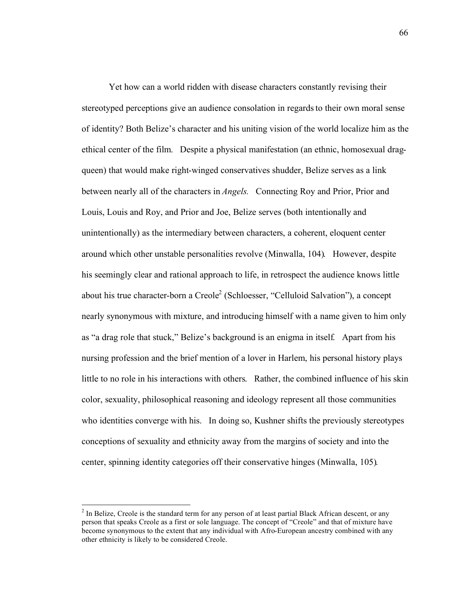Yet how can a world ridden with disease characters constantly revising their stereotyped perceptions give an audience consolation in regards to their own moral sense of identity? Both Belize's character and his uniting vision of the world localize him as the ethical center of the film. Despite a physical manifestation (an ethnic, homosexual dragqueen) that would make right-winged conservatives shudder, Belize serves as a link between nearly all of the characters in *Angels.* Connecting Roy and Prior, Prior and Louis, Louis and Roy, and Prior and Joe, Belize serves (both intentionally and unintentionally) as the intermediary between characters, a coherent, eloquent center around which other unstable personalities revolve (Minwalla, 104). However, despite his seemingly clear and rational approach to life, in retrospect the audience knows little about his true character-born a Creole<sup>2</sup> (Schloesser, "Celluloid Salvation"), a concept nearly synonymous with mixture, and introducing himself with a name given to him only as "a drag role that stuck," Belize's background is an enigma in itself. Apart from his nursing profession and the brief mention of a lover in Harlem, his personal history plays little to no role in his interactions with others. Rather, the combined influence of his skin color, sexuality, philosophical reasoning and ideology represent all those communities who identities converge with his. In doing so, Kushner shifts the previously stereotypes conceptions of sexuality and ethnicity away from the margins of society and into the center, spinning identity categories off their conservative hinges (Minwalla, 105).

 $\frac{1}{2}$  $<sup>2</sup>$  In Belize, Creole is the standard term for any person of at least partial Black African descent, or any</sup> person that speaks Creole as a first or sole language. The concept of "Creole" and that of mixture have become synonymous to the extent that any individual with Afro-European ancestry combined with any other ethnicity is likely to be considered Creole.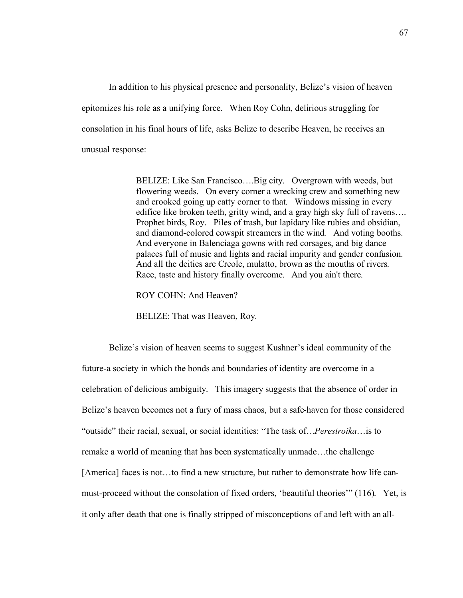In addition to his physical presence and personality, Belize's vision of heaven epitomizes his role as a unifying force. When Roy Cohn, delirious struggling for consolation in his final hours of life, asks Belize to describe Heaven, he receives an unusual response:

> BELIZE: Like San Francisco….Big city. Overgrown with weeds, but flowering weeds. On every corner a wrecking crew and something new and crooked going up catty corner to that. Windows missing in every edifice like broken teeth, gritty wind, and a gray high sky full of ravens…. Prophet birds, Roy. Piles of trash, but lapidary like rubies and obsidian, and diamond-colored cowspit streamers in the wind. And voting booths. And everyone in Balenciaga gowns with red corsages, and big dance palaces full of music and lights and racial impurity and gender confusion. And all the deities are Creole, mulatto, brown as the mouths of rivers. Race, taste and history finally overcome. And you ain't there.

ROY COHN: And Heaven?

BELIZE: That was Heaven, Roy.

Belize's vision of heaven seems to suggest Kushner's ideal community of the future-a society in which the bonds and boundaries of identity are overcome in a celebration of delicious ambiguity. This imagery suggests that the absence of order in Belize's heaven becomes not a fury of mass chaos, but a safe-haven for those considered "outside" their racial, sexual, or social identities: "The task of…*Perestroika*…is to remake a world of meaning that has been systematically unmade…the challenge [America] faces is not…to find a new structure, but rather to demonstrate how life canmust-proceed without the consolation of fixed orders, 'beautiful theories'" (116). Yet, is it only after death that one is finally stripped of misconceptions of and left with an all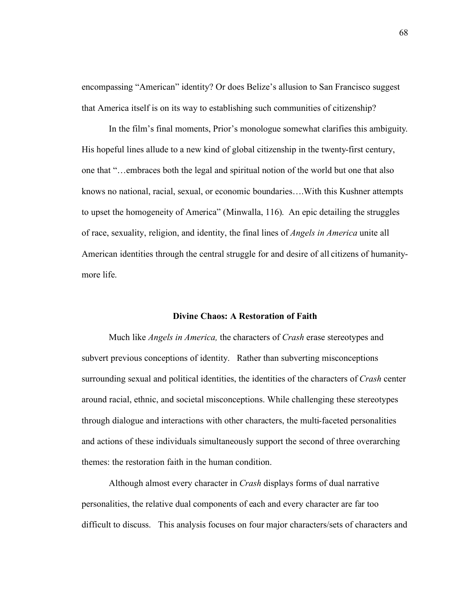encompassing "American" identity? Or does Belize's allusion to San Francisco suggest that America itself is on its way to establishing such communities of citizenship?

In the film's final moments, Prior's monologue somewhat clarifies this ambiguity. His hopeful lines allude to a new kind of global citizenship in the twenty-first century, one that "…embraces both the legal and spiritual notion of the world but one that also knows no national, racial, sexual, or economic boundaries….With this Kushner attempts to upset the homogeneity of America" (Minwalla, 116). An epic detailing the struggles of race, sexuality, religion, and identity, the final lines of *Angels in America* unite all American identities through the central struggle for and desire of all citizens of humanitymore life.

## **Divine Chaos: A Restoration of Faith**

Much like *Angels in America,* the characters of *Crash* erase stereotypes and subvert previous conceptions of identity. Rather than subverting misconceptions surrounding sexual and political identities, the identities of the characters of *Crash* center around racial, ethnic, and societal misconceptions. While challenging these stereotypes through dialogue and interactions with other characters, the multi-faceted personalities and actions of these individuals simultaneously support the second of three overarching themes: the restoration faith in the human condition.

Although almost every character in *Crash* displays forms of dual narrative personalities, the relative dual components of each and every character are far too difficult to discuss. This analysis focuses on four major characters/sets of characters and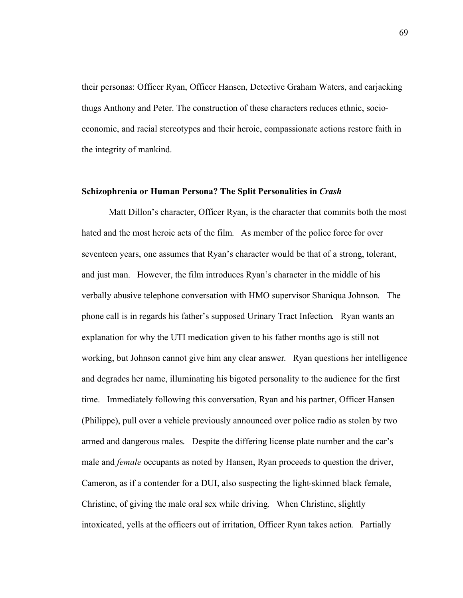their personas: Officer Ryan, Officer Hansen, Detective Graham Waters, and carjacking thugs Anthony and Peter. The construction of these characters reduces ethnic, socioeconomic, and racial stereotypes and their heroic, compassionate actions restore faith in the integrity of mankind.

## **Schizophrenia or Human Persona? The Split Personalities in** *Crash*

Matt Dillon's character, Officer Ryan, is the character that commits both the most hated and the most heroic acts of the film. As member of the police force for over seventeen years, one assumes that Ryan's character would be that of a strong, tolerant, and just man. However, the film introduces Ryan's character in the middle of his verbally abusive telephone conversation with HMO supervisor Shaniqua Johnson. The phone call is in regards his father's supposed Urinary Tract Infection. Ryan wants an explanation for why the UTI medication given to his father months ago is still not working, but Johnson cannot give him any clear answer. Ryan questions her intelligence and degrades her name, illuminating his bigoted personality to the audience for the first time. Immediately following this conversation, Ryan and his partner, Officer Hansen (Philippe), pull over a vehicle previously announced over police radio as stolen by two armed and dangerous males. Despite the differing license plate number and the car's male and *female* occupants as noted by Hansen, Ryan proceeds to question the driver, Cameron, as if a contender for a DUI, also suspecting the light-skinned black female, Christine, of giving the male oral sex while driving. When Christine, slightly intoxicated, yells at the officers out of irritation, Officer Ryan takes action. Partially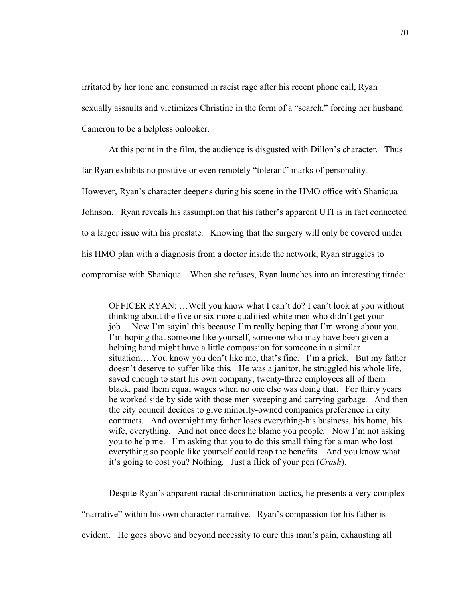irritated by her tone and consumed in racist rage after his recent phone call, Ryan sexually assaults and victimizes Christine in the form of a "search," forcing her husband Cameron to be a helpless onlooker.

At this point in the film, the audience is disgusted with Dillon's character. Thus far Ryan exhibits no positive or even remotely "tolerant" marks of personality. However, Ryan's character deepens during his scene in the HMO office with Shaniqua Johnson. Ryan reveals his assumption that his father's apparent UTI is in fact connected to a larger issue with his prostate. Knowing that the surgery will only be covered under his HMO plan with a diagnosis from a doctor inside the network, Ryan struggles to compromise with Shaniqua. When she refuses, Ryan launches into an interesting tirade:

OFFICER RYAN: …Well you know what I can't do? I can't look at you without thinking about the five or six more qualified white men who didn't get your job….Now I'm sayin' this because I'm really hoping that I'm wrong about you. I'm hoping that someone like yourself, someone who may have been given a helping hand might have a little compassion for someone in a similar situation….You know you don't like me, that's fine. I'm a prick. But my father doesn't deserve to suffer like this. He was a janitor, he struggled his whole life, saved enough to start his own company, twenty-three employees all of them black, paid them equal wages when no one else was doing that. For thirty years he worked side by side with those men sweeping and carrying garbage. And then the city council decides to give minority-owned companies preference in city contracts. And overnight my father loses everything-his business, his home, his wife, everything. And not once does he blame you people. Now I'm not asking you to help me. I'm asking that you to do this small thing for a man who lost everything so people like yourself could reap the benefits. And you know what it's going to cost you? Nothing. Just a flick of your pen (*Crash*).

Despite Ryan's apparent racial discrimination tactics, he presents a very complex

"narrative" within his own character narrative. Ryan's compassion for his father is

evident. He goes above and beyond necessity to cure this man's pain, exhausting all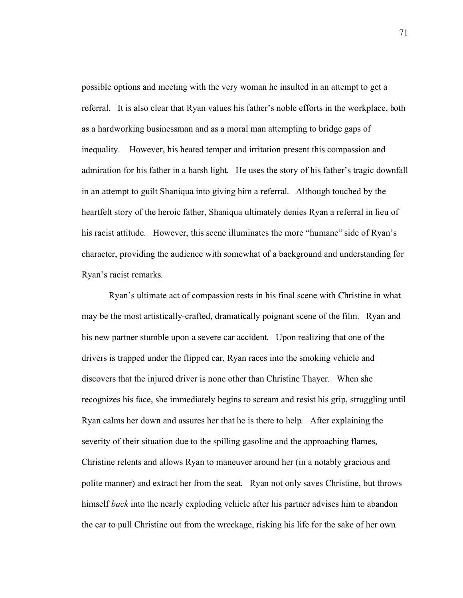possible options and meeting with the very woman he insulted in an attempt to get a referral. It is also clear that Ryan values his father's noble efforts in the workplace, both as a hardworking businessman and as a moral man attempting to bridge gaps of inequality. However, his heated temper and irritation present this compassion and admiration for his father in a harsh light. He uses the story of his father's tragic downfall in an attempt to guilt Shaniqua into giving him a referral. Although touched by the heartfelt story of the heroic father, Shaniqua ultimately denies Ryan a referral in lieu of his racist attitude. However, this scene illuminates the more "humane" side of Ryan's character, providing the audience with somewhat of a background and understanding for Ryan's racist remarks.

Ryan's ultimate act of compassion rests in his final scene with Christine in what may be the most artistically-crafted, dramatically poignant scene of the film. Ryan and his new partner stumble upon a severe car accident. Upon realizing that one of the drivers is trapped under the flipped car, Ryan races into the smoking vehicle and discovers that the injured driver is none other than Christine Thayer. When she recognizes his face, she immediately begins to scream and resist his grip, struggling until Ryan calms her down and assures her that he is there to help. After explaining the severity of their situation due to the spilling gasoline and the approaching flames, Christine relents and allows Ryan to maneuver around her (in a notably gracious and polite manner) and extract her from the seat. Ryan not only saves Christine, but throws himself *back* into the nearly exploding vehicle after his partner advises him to abandon the car to pull Christine out from the wreckage, risking his life for the sake of her own.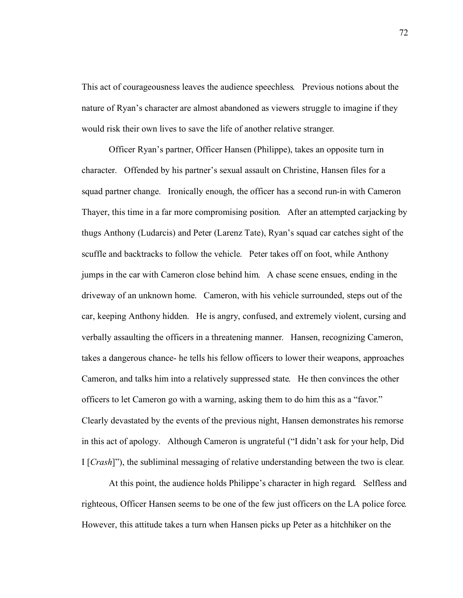This act of courageousness leaves the audience speechless. Previous notions about the nature of Ryan's character are almost abandoned as viewers struggle to imagine if they would risk their own lives to save the life of another relative stranger.

Officer Ryan's partner, Officer Hansen (Philippe), takes an opposite turn in character. Offended by his partner's sexual assault on Christine, Hansen files for a squad partner change. Ironically enough, the officer has a second run-in with Cameron Thayer, this time in a far more compromising position. After an attempted carjacking by thugs Anthony (Ludarcis) and Peter (Larenz Tate), Ryan's squad car catches sight of the scuffle and backtracks to follow the vehicle. Peter takes off on foot, while Anthony jumps in the car with Cameron close behind him. A chase scene ensues, ending in the driveway of an unknown home. Cameron, with his vehicle surrounded, steps out of the car, keeping Anthony hidden. He is angry, confused, and extremely violent, cursing and verbally assaulting the officers in a threatening manner. Hansen, recognizing Cameron, takes a dangerous chance- he tells his fellow officers to lower their weapons, approaches Cameron, and talks him into a relatively suppressed state. He then convinces the other officers to let Cameron go with a warning, asking them to do him this as a "favor." Clearly devastated by the events of the previous night, Hansen demonstrates his remorse in this act of apology. Although Cameron is ungrateful ("I didn't ask for your help, Did I [*Crash*]"), the subliminal messaging of relative understanding between the two is clear.

At this point, the audience holds Philippe's character in high regard. Selfless and righteous, Officer Hansen seems to be one of the few just officers on the LA police force. However, this attitude takes a turn when Hansen picks up Peter as a hitchhiker on the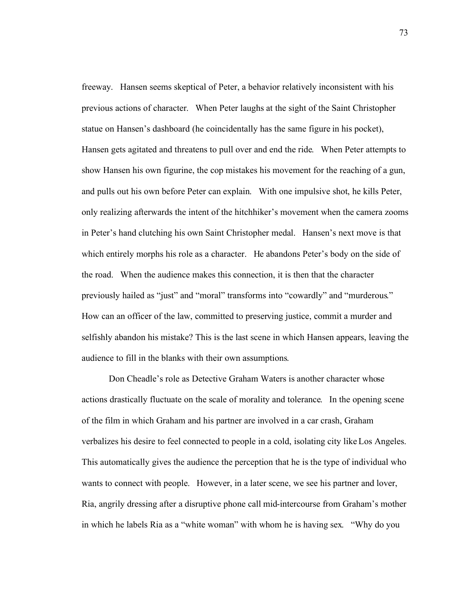freeway. Hansen seems skeptical of Peter, a behavior relatively inconsistent with his previous actions of character. When Peter laughs at the sight of the Saint Christopher statue on Hansen's dashboard (he coincidentally has the same figure in his pocket), Hansen gets agitated and threatens to pull over and end the ride. When Peter attempts to show Hansen his own figurine, the cop mistakes his movement for the reaching of a gun, and pulls out his own before Peter can explain. With one impulsive shot, he kills Peter, only realizing afterwards the intent of the hitchhiker's movement when the camera zooms in Peter's hand clutching his own Saint Christopher medal. Hansen's next move is that which entirely morphs his role as a character. He abandons Peter's body on the side of the road. When the audience makes this connection, it is then that the character previously hailed as "just" and "moral" transforms into "cowardly" and "murderous." How can an officer of the law, committed to preserving justice, commit a murder and selfishly abandon his mistake? This is the last scene in which Hansen appears, leaving the audience to fill in the blanks with their own assumptions.

Don Cheadle's role as Detective Graham Waters is another character whose actions drastically fluctuate on the scale of morality and tolerance. In the opening scene of the film in which Graham and his partner are involved in a car crash, Graham verbalizes his desire to feel connected to people in a cold, isolating city like Los Angeles. This automatically gives the audience the perception that he is the type of individual who wants to connect with people. However, in a later scene, we see his partner and lover, Ria, angrily dressing after a disruptive phone call mid-intercourse from Graham's mother in which he labels Ria as a "white woman" with whom he is having sex. "Why do you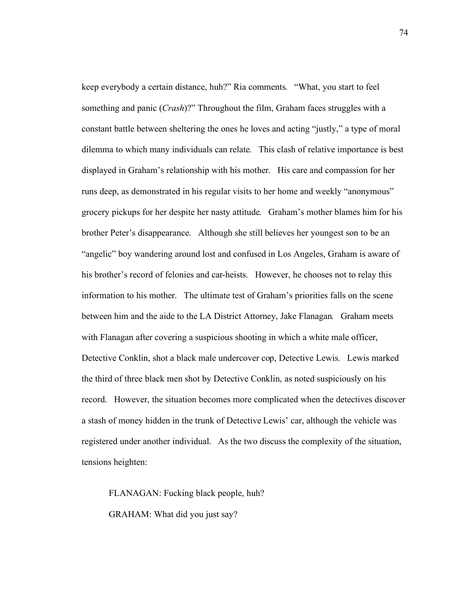keep everybody a certain distance, huh?" Ria comments. "What, you start to feel something and panic (*Crash*)?" Throughout the film, Graham faces struggles with a constant battle between sheltering the ones he loves and acting "justly," a type of moral dilemma to which many individuals can relate. This clash of relative importance is best displayed in Graham's relationship with his mother. His care and compassion for her runs deep, as demonstrated in his regular visits to her home and weekly "anonymous" grocery pickups for her despite her nasty attitude. Graham's mother blames him for his brother Peter's disappearance. Although she still believes her youngest son to be an "angelic" boy wandering around lost and confused in Los Angeles, Graham is aware of his brother's record of felonies and car-heists. However, he chooses not to relay this information to his mother. The ultimate test of Graham's priorities falls on the scene between him and the aide to the LA District Attorney, Jake Flanagan. Graham meets with Flanagan after covering a suspicious shooting in which a white male officer, Detective Conklin, shot a black male undercover cop, Detective Lewis. Lewis marked the third of three black men shot by Detective Conklin, as noted suspiciously on his record. However, the situation becomes more complicated when the detectives discover a stash of money hidden in the trunk of Detective Lewis' car, although the vehicle was registered under another individual. As the two discuss the complexity of the situation, tensions heighten:

FLANAGAN: Fucking black people, huh? GRAHAM: What did you just say?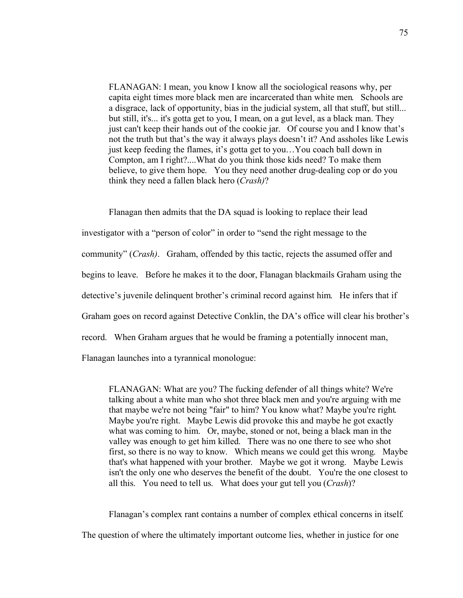FLANAGAN: I mean, you know I know all the sociological reasons why, per capita eight times more black men are incarcerated than white men. Schools are a disgrace, lack of opportunity, bias in the judicial system, all that stuff, but still... but still, it's... it's gotta get to you, I mean, on a gut level, as a black man. They just can't keep their hands out of the cookie jar. Of course you and I know that's not the truth but that's the way it always plays doesn't it? And assholes like Lewis just keep feeding the flames, it's gotta get to you…You coach ball down in Compton, am I right?....What do you think those kids need? To make them believe, to give them hope. You they need another drug-dealing cop or do you think they need a fallen black hero (*Crash)*?

Flanagan then admits that the DA squad is looking to replace their lead investigator with a "person of color" in order to "send the right message to the community" (*Crash)*. Graham, offended by this tactic, rejects the assumed offer and begins to leave. Before he makes it to the door, Flanagan blackmails Graham using the detective's juvenile delinquent brother's criminal record against him. He infers that if Graham goes on record against Detective Conklin, the DA's office will clear his brother's record. When Graham argues that he would be framing a potentially innocent man, Flanagan launches into a tyrannical monologue:

FLANAGAN: What are you? The fucking defender of all things white? We're talking about a white man who shot three black men and you're arguing with me that maybe we're not being "fair" to him? You know what? Maybe you're right. Maybe you're right. Maybe Lewis did provoke this and maybe he got exactly what was coming to him. Or, maybe, stoned or not, being a black man in the valley was enough to get him killed. There was no one there to see who shot first, so there is no way to know. Which means we could get this wrong. Maybe that's what happened with your brother. Maybe we got it wrong. Maybe Lewis isn't the only one who deserves the benefit of the doubt. You're the one closest to all this. You need to tell us. What does your gut tell you (*Crash*)?

Flanagan's complex rant contains a number of complex ethical concerns in itself. The question of where the ultimately important outcome lies, whether in justice for one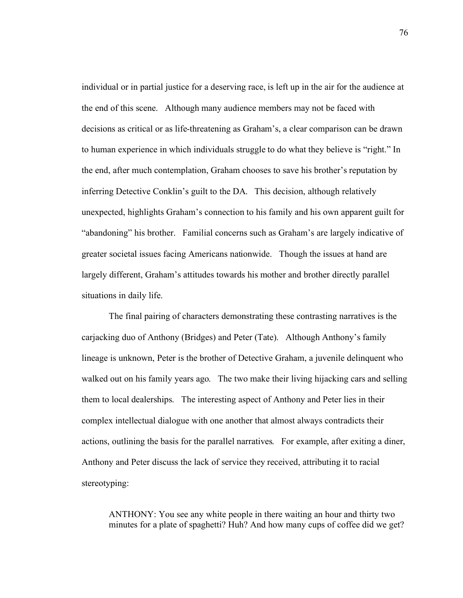individual or in partial justice for a deserving race, is left up in the air for the audience at the end of this scene. Although many audience members may not be faced with decisions as critical or as life-threatening as Graham's, a clear comparison can be drawn to human experience in which individuals struggle to do what they believe is "right." In the end, after much contemplation, Graham chooses to save his brother's reputation by inferring Detective Conklin's guilt to the DA. This decision, although relatively unexpected, highlights Graham's connection to his family and his own apparent guilt for "abandoning" his brother. Familial concerns such as Graham's are largely indicative of greater societal issues facing Americans nationwide. Though the issues at hand are largely different, Graham's attitudes towards his mother and brother directly parallel situations in daily life.

The final pairing of characters demonstrating these contrasting narratives is the carjacking duo of Anthony (Bridges) and Peter (Tate). Although Anthony's family lineage is unknown, Peter is the brother of Detective Graham, a juvenile delinquent who walked out on his family years ago. The two make their living hijacking cars and selling them to local dealerships. The interesting aspect of Anthony and Peter lies in their complex intellectual dialogue with one another that almost always contradicts their actions, outlining the basis for the parallel narratives. For example, after exiting a diner, Anthony and Peter discuss the lack of service they received, attributing it to racial stereotyping:

ANTHONY: You see any white people in there waiting an hour and thirty two minutes for a plate of spaghetti? Huh? And how many cups of coffee did we get?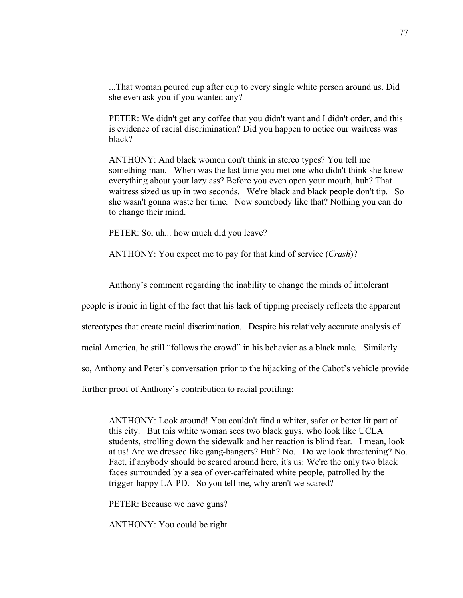...That woman poured cup after cup to every single white person around us. Did she even ask you if you wanted any?

PETER: We didn't get any coffee that you didn't want and I didn't order, and this is evidence of racial discrimination? Did you happen to notice our waitress was black?

ANTHONY: And black women don't think in stereo types? You tell me something man. When was the last time you met one who didn't think she knew everything about your lazy ass? Before you even open your mouth, huh? That waitress sized us up in two seconds. We're black and black people don't tip. So she wasn't gonna waste her time. Now somebody like that? Nothing you can do to change their mind.

PETER: So, uh... how much did you leave?

ANTHONY: You expect me to pay for that kind of service (*Crash*)?

Anthony's comment regarding the inability to change the minds of intolerant

people is ironic in light of the fact that his lack of tipping precisely reflects the apparent

stereotypes that create racial discrimination. Despite his relatively accurate analysis of

racial America, he still "follows the crowd" in his behavior as a black male. Similarly

so, Anthony and Peter's conversation prior to the hijacking of the Cabot's vehicle provide

further proof of Anthony's contribution to racial profiling:

ANTHONY: Look around! You couldn't find a whiter, safer or better lit part of this city. But this white woman sees two black guys, who look like UCLA students, strolling down the sidewalk and her reaction is blind fear. I mean, look at us! Are we dressed like gang-bangers? Huh? No. Do we look threatening? No. Fact, if anybody should be scared around here, it's us: We're the only two black faces surrounded by a sea of over-caffeinated white people, patrolled by the trigger-happy LA-PD. So you tell me, why aren't we scared?

PETER: Because we have guns?

ANTHONY: You could be right.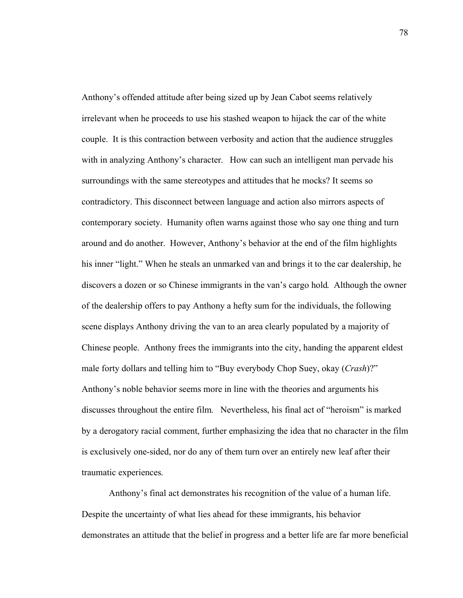Anthony's offended attitude after being sized up by Jean Cabot seems relatively irrelevant when he proceeds to use his stashed weapon to hijack the car of the white couple. It is this contraction between verbosity and action that the audience struggles with in analyzing Anthony's character. How can such an intelligent man pervade his surroundings with the same stereotypes and attitudes that he mocks? It seems so contradictory. This disconnect between language and action also mirrors aspects of contemporary society. Humanity often warns against those who say one thing and turn around and do another. However, Anthony's behavior at the end of the film highlights his inner "light." When he steals an unmarked van and brings it to the car dealership, he discovers a dozen or so Chinese immigrants in the van's cargo hold. Although the owner of the dealership offers to pay Anthony a hefty sum for the individuals, the following scene displays Anthony driving the van to an area clearly populated by a majority of Chinese people. Anthony frees the immigrants into the city, handing the apparent eldest male forty dollars and telling him to "Buy everybody Chop Suey, okay (*Crash*)?" Anthony's noble behavior seems more in line with the theories and arguments his discusses throughout the entire film. Nevertheless, his final act of "heroism" is marked by a derogatory racial comment, further emphasizing the idea that no character in the film is exclusively one-sided, nor do any of them turn over an entirely new leaf after their traumatic experiences.

Anthony's final act demonstrates his recognition of the value of a human life. Despite the uncertainty of what lies ahead for these immigrants, his behavior demonstrates an attitude that the belief in progress and a better life are far more beneficial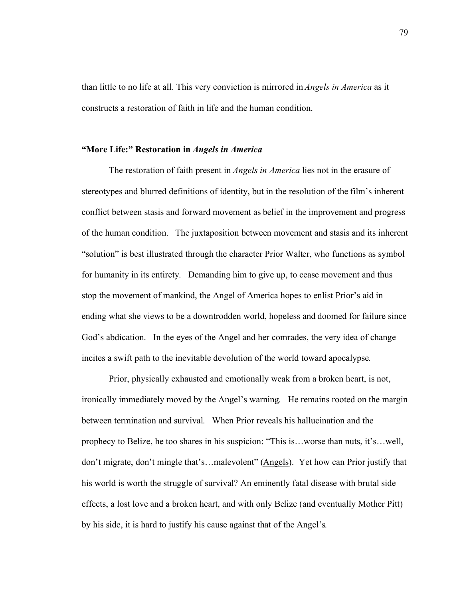than little to no life at all. This very conviction is mirrored in *Angels in America* as it constructs a restoration of faith in life and the human condition.

## **"More Life:" Restoration in** *Angels in America*

The restoration of faith present in *Angels in America* lies not in the erasure of stereotypes and blurred definitions of identity, but in the resolution of the film's inherent conflict between stasis and forward movement as belief in the improvement and progress of the human condition. The juxtaposition between movement and stasis and its inherent "solution" is best illustrated through the character Prior Walter, who functions as symbol for humanity in its entirety. Demanding him to give up, to cease movement and thus stop the movement of mankind, the Angel of America hopes to enlist Prior's aid in ending what she views to be a downtrodden world, hopeless and doomed for failure since God's abdication. In the eyes of the Angel and her comrades, the very idea of change incites a swift path to the inevitable devolution of the world toward apocalypse.

Prior, physically exhausted and emotionally weak from a broken heart, is not, ironically immediately moved by the Angel's warning. He remains rooted on the margin between termination and survival. When Prior reveals his hallucination and the prophecy to Belize, he too shares in his suspicion: "This is…worse than nuts, it's…well, don't migrate, don't mingle that's…malevolent" (Angels). Yet how can Prior justify that his world is worth the struggle of survival? An eminently fatal disease with brutal side effects, a lost love and a broken heart, and with only Belize (and eventually Mother Pitt) by his side, it is hard to justify his cause against that of the Angel's.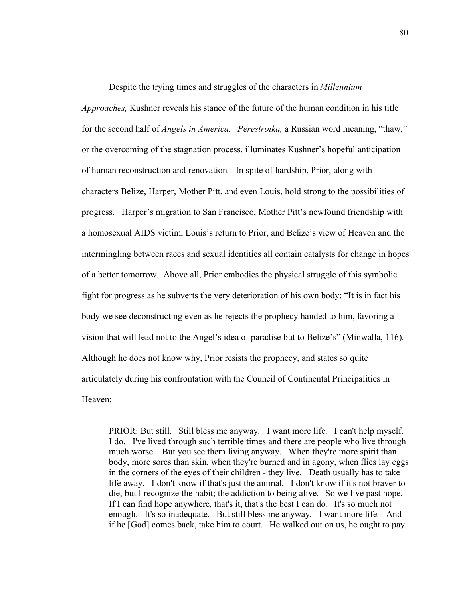Despite the trying times and struggles of the characters in *Millennium Approaches,* Kushner reveals his stance of the future of the human condition in his title for the second half of *Angels in America. Perestroika,* a Russian word meaning, "thaw," or the overcoming of the stagnation process, illuminates Kushner's hopeful anticipation of human reconstruction and renovation. In spite of hardship, Prior, along with characters Belize, Harper, Mother Pitt, and even Louis, hold strong to the possibilities of progress. Harper's migration to San Francisco, Mother Pitt's newfound friendship with a homosexual AIDS victim, Louis's return to Prior, and Belize's view of Heaven and the intermingling between races and sexual identities all contain catalysts for change in hopes of a better tomorrow. Above all, Prior embodies the physical struggle of this symbolic fight for progress as he subverts the very deterioration of his own body: "It is in fact his body we see deconstructing even as he rejects the prophecy handed to him, favoring a vision that will lead not to the Angel's idea of paradise but to Belize's" (Minwalla, 116). Although he does not know why, Prior resists the prophecy, and states so quite articulately during his confrontation with the Council of Continental Principalities in Heaven:

PRIOR: But still. Still bless me anyway. I want more life. I can't help myself. I do. I've lived through such terrible times and there are people who live through much worse. But you see them living anyway. When they're more spirit than body, more sores than skin, when they're burned and in agony, when flies lay eggs in the corners of the eyes of their children - they live. Death usually has to take life away. I don't know if that's just the animal. I don't know if it's not braver to die, but I recognize the habit; the addiction to being alive. So we live past hope. If I can find hope anywhere, that's it, that's the best I can do. It's so much not enough. It's so inadequate. But still bless me anyway. I want more life. And if he [God] comes back, take him to court. He walked out on us, he ought to pay.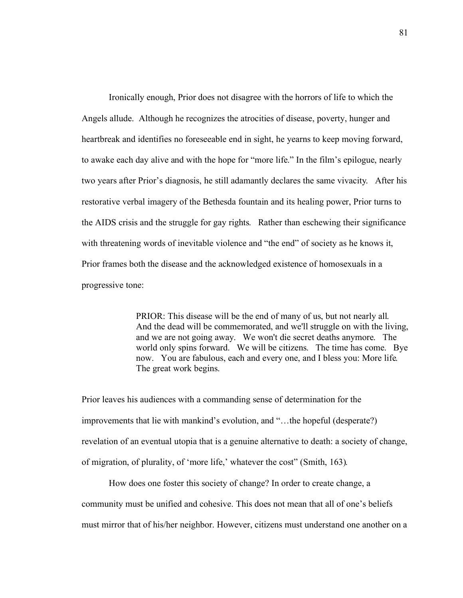Ironically enough, Prior does not disagree with the horrors of life to which the Angels allude. Although he recognizes the atrocities of disease, poverty, hunger and heartbreak and identifies no foreseeable end in sight, he yearns to keep moving forward, to awake each day alive and with the hope for "more life." In the film's epilogue, nearly two years after Prior's diagnosis, he still adamantly declares the same vivacity. After his restorative verbal imagery of the Bethesda fountain and its healing power, Prior turns to the AIDS crisis and the struggle for gay rights. Rather than eschewing their significance with threatening words of inevitable violence and "the end" of society as he knows it, Prior frames both the disease and the acknowledged existence of homosexuals in a progressive tone:

> PRIOR: This disease will be the end of many of us, but not nearly all. And the dead will be commemorated, and we'll struggle on with the living, and we are not going away. We won't die secret deaths anymore. The world only spins forward. We will be citizens. The time has come. Bye now. You are fabulous, each and every one, and I bless you: More life. The great work begins.

Prior leaves his audiences with a commanding sense of determination for the improvements that lie with mankind's evolution, and "…the hopeful (desperate?) revelation of an eventual utopia that is a genuine alternative to death: a society of change, of migration, of plurality, of 'more life,' whatever the cost" (Smith, 163).

How does one foster this society of change? In order to create change, a community must be unified and cohesive. This does not mean that all of one's beliefs must mirror that of his/her neighbor. However, citizens must understand one another on a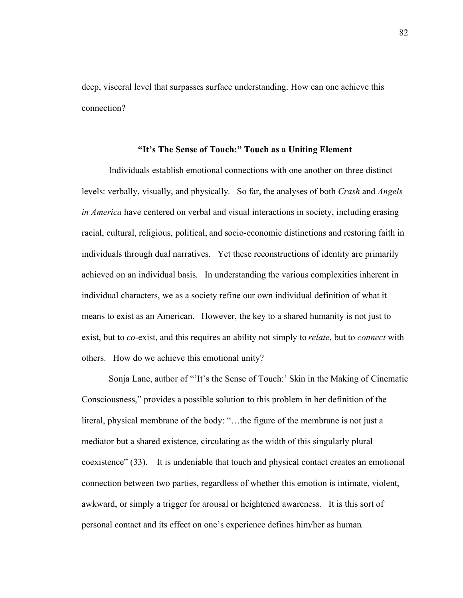deep, visceral level that surpasses surface understanding. How can one achieve this connection?

## **"It's The Sense of Touch:" Touch as a Uniting Element**

Individuals establish emotional connections with one another on three distinct levels: verbally, visually, and physically. So far, the analyses of both *Crash* and *Angels in America* have centered on verbal and visual interactions in society, including erasing racial, cultural, religious, political, and socio-economic distinctions and restoring faith in individuals through dual narratives. Yet these reconstructions of identity are primarily achieved on an individual basis. In understanding the various complexities inherent in individual characters, we as a society refine our own individual definition of what it means to exist as an American. However, the key to a shared humanity is not just to exist, but to *co*-exist, and this requires an ability not simply to *relate*, but to *connect* with others. How do we achieve this emotional unity?

Sonja Lane, author of "'It's the Sense of Touch:' Skin in the Making of Cinematic Consciousness," provides a possible solution to this problem in her definition of the literal, physical membrane of the body: "…the figure of the membrane is not just a mediator but a shared existence, circulating as the width of this singularly plural coexistence" (33). It is undeniable that touch and physical contact creates an emotional connection between two parties, regardless of whether this emotion is intimate, violent, awkward, or simply a trigger for arousal or heightened awareness. It is this sort of personal contact and its effect on one's experience defines him/her as human.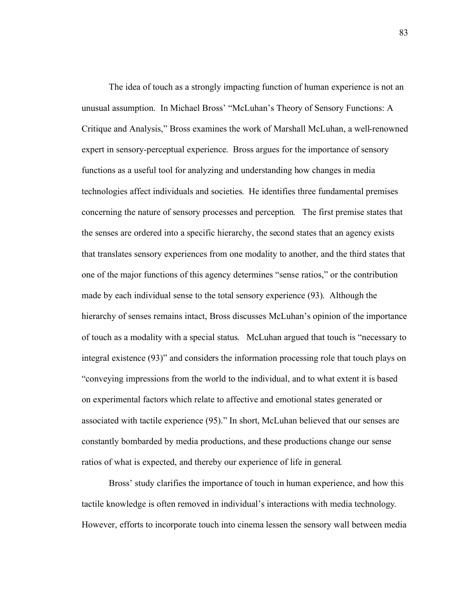The idea of touch as a strongly impacting function of human experience is not an unusual assumption. In Michael Bross' "McLuhan's Theory of Sensory Functions: A Critique and Analysis," Bross examines the work of Marshall McLuhan, a well-renowned expert in sensory-perceptual experience. Bross argues for the importance of sensory functions as a useful tool for analyzing and understanding how changes in media technologies affect individuals and societies. He identifies three fundamental premises concerning the nature of sensory processes and perception. The first premise states that the senses are ordered into a specific hierarchy, the second states that an agency exists that translates sensory experiences from one modality to another, and the third states that one of the major functions of this agency determines "sense ratios," or the contribution made by each individual sense to the total sensory experience (93). Although the hierarchy of senses remains intact, Bross discusses McLuhan's opinion of the importance of touch as a modality with a special status. McLuhan argued that touch is "necessary to integral existence (93)" and considers the information processing role that touch plays on "conveying impressions from the world to the individual, and to what extent it is based on experimental factors which relate to affective and emotional states generated or associated with tactile experience (95)." In short, McLuhan believed that our senses are constantly bombarded by media productions, and these productions change our sense ratios of what is expected, and thereby our experience of life in general.

Bross' study clarifies the importance of touch in human experience, and how this tactile knowledge is often removed in individual's interactions with media technology. However, efforts to incorporate touch into cinema lessen the sensory wall between media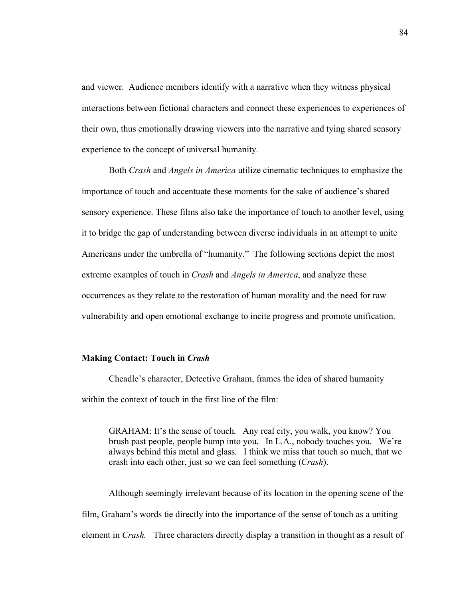and viewer. Audience members identify with a narrative when they witness physical interactions between fictional characters and connect these experiences to experiences of their own, thus emotionally drawing viewers into the narrative and tying shared sensory experience to the concept of universal humanity.

Both *Crash* and *Angels in America* utilize cinematic techniques to emphasize the importance of touch and accentuate these moments for the sake of audience's shared sensory experience. These films also take the importance of touch to another level, using it to bridge the gap of understanding between diverse individuals in an attempt to unite Americans under the umbrella of "humanity." The following sections depict the most extreme examples of touch in *Crash* and *Angels in America*, and analyze these occurrences as they relate to the restoration of human morality and the need for raw vulnerability and open emotional exchange to incite progress and promote unification.

#### **Making Contact: Touch in** *Crash*

Cheadle's character, Detective Graham, frames the idea of shared humanity within the context of touch in the first line of the film:

GRAHAM: It's the sense of touch. Any real city, you walk, you know? You brush past people, people bump into you. In L.A., nobody touches you. We're always behind this metal and glass. I think we miss that touch so much, that we crash into each other, just so we can feel something (*Crash*).

Although seemingly irrelevant because of its location in the opening scene of the film, Graham's words tie directly into the importance of the sense of touch as a uniting element in *Crash.* Three characters directly display a transition in thought as a result of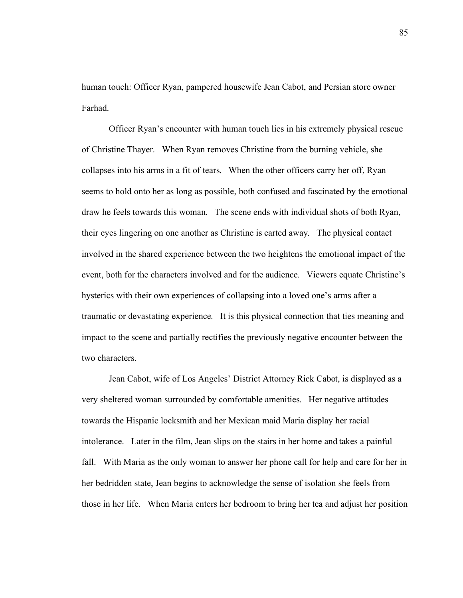human touch: Officer Ryan, pampered housewife Jean Cabot, and Persian store owner Farhad.

Officer Ryan's encounter with human touch lies in his extremely physical rescue of Christine Thayer. When Ryan removes Christine from the burning vehicle, she collapses into his arms in a fit of tears. When the other officers carry her off, Ryan seems to hold onto her as long as possible, both confused and fascinated by the emotional draw he feels towards this woman. The scene ends with individual shots of both Ryan, their eyes lingering on one another as Christine is carted away. The physical contact involved in the shared experience between the two heightens the emotional impact of the event, both for the characters involved and for the audience. Viewers equate Christine's hysterics with their own experiences of collapsing into a loved one's arms after a traumatic or devastating experience. It is this physical connection that ties meaning and impact to the scene and partially rectifies the previously negative encounter between the two characters.

Jean Cabot, wife of Los Angeles' District Attorney Rick Cabot, is displayed as a very sheltered woman surrounded by comfortable amenities. Her negative attitudes towards the Hispanic locksmith and her Mexican maid Maria display her racial intolerance. Later in the film, Jean slips on the stairs in her home and takes a painful fall. With Maria as the only woman to answer her phone call for help and care for her in her bedridden state, Jean begins to acknowledge the sense of isolation she feels from those in her life. When Maria enters her bedroom to bring her tea and adjust her position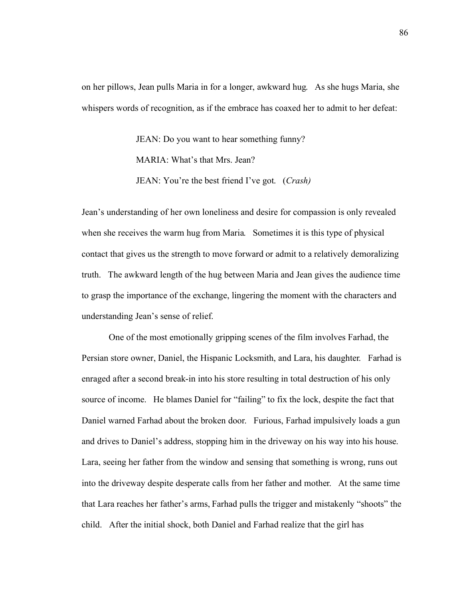on her pillows, Jean pulls Maria in for a longer, awkward hug. As she hugs Maria, she whispers words of recognition, as if the embrace has coaxed her to admit to her defeat:

> JEAN: Do you want to hear something funny? MARIA: What's that Mrs. Jean? JEAN: You're the best friend I've got. (*Crash)*

Jean's understanding of her own loneliness and desire for compassion is only revealed when she receives the warm hug from Maria. Sometimes it is this type of physical contact that gives us the strength to move forward or admit to a relatively demoralizing truth. The awkward length of the hug between Maria and Jean gives the audience time to grasp the importance of the exchange, lingering the moment with the characters and understanding Jean's sense of relief.

One of the most emotionally gripping scenes of the film involves Farhad, the Persian store owner, Daniel, the Hispanic Locksmith, and Lara, his daughter. Farhad is enraged after a second break-in into his store resulting in total destruction of his only source of income. He blames Daniel for "failing" to fix the lock, despite the fact that Daniel warned Farhad about the broken door. Furious, Farhad impulsively loads a gun and drives to Daniel's address, stopping him in the driveway on his way into his house. Lara, seeing her father from the window and sensing that something is wrong, runs out into the driveway despite desperate calls from her father and mother. At the same time that Lara reaches her father's arms, Farhad pulls the trigger and mistakenly "shoots" the child. After the initial shock, both Daniel and Farhad realize that the girl has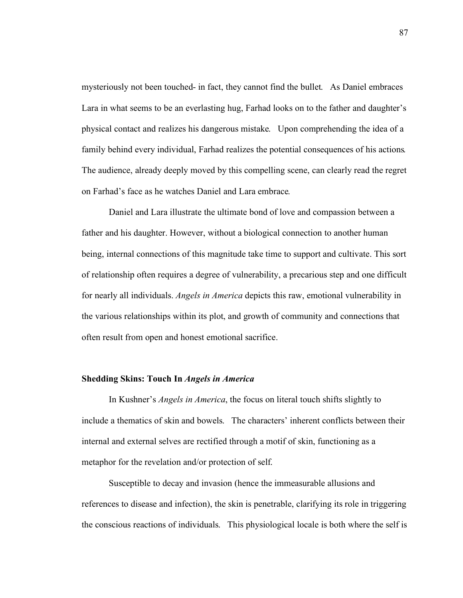mysteriously not been touched- in fact, they cannot find the bullet. As Daniel embraces Lara in what seems to be an everlasting hug, Farhad looks on to the father and daughter's physical contact and realizes his dangerous mistake. Upon comprehending the idea of a family behind every individual, Farhad realizes the potential consequences of his actions. The audience, already deeply moved by this compelling scene, can clearly read the regret on Farhad's face as he watches Daniel and Lara embrace.

Daniel and Lara illustrate the ultimate bond of love and compassion between a father and his daughter. However, without a biological connection to another human being, internal connections of this magnitude take time to support and cultivate. This sort of relationship often requires a degree of vulnerability, a precarious step and one difficult for nearly all individuals. *Angels in America* depicts this raw, emotional vulnerability in the various relationships within its plot, and growth of community and connections that often result from open and honest emotional sacrifice.

## **Shedding Skins: Touch In** *Angels in America*

In Kushner's *Angels in America*, the focus on literal touch shifts slightly to include a thematics of skin and bowels. The characters' inherent conflicts between their internal and external selves are rectified through a motif of skin, functioning as a metaphor for the revelation and/or protection of self.

Susceptible to decay and invasion (hence the immeasurable allusions and references to disease and infection), the skin is penetrable, clarifying its role in triggering the conscious reactions of individuals. This physiological locale is both where the self is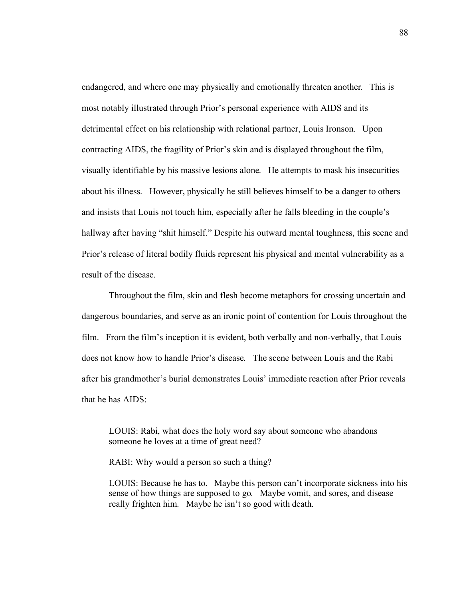endangered, and where one may physically and emotionally threaten another. This is most notably illustrated through Prior's personal experience with AIDS and its detrimental effect on his relationship with relational partner, Louis Ironson. Upon contracting AIDS, the fragility of Prior's skin and is displayed throughout the film, visually identifiable by his massive lesions alone. He attempts to mask his insecurities about his illness. However, physically he still believes himself to be a danger to others and insists that Louis not touch him, especially after he falls bleeding in the couple's hallway after having "shit himself." Despite his outward mental toughness, this scene and Prior's release of literal bodily fluids represent his physical and mental vulnerability as a result of the disease.

Throughout the film, skin and flesh become metaphors for crossing uncertain and dangerous boundaries, and serve as an ironic point of contention for Louis throughout the film. From the film's inception it is evident, both verbally and non-verbally, that Louis does not know how to handle Prior's disease. The scene between Louis and the Rabi after his grandmother's burial demonstrates Louis' immediate reaction after Prior reveals that he has AIDS:

LOUIS: Rabi, what does the holy word say about someone who abandons someone he loves at a time of great need?

RABI: Why would a person so such a thing?

LOUIS: Because he has to. Maybe this person can't incorporate sickness into his sense of how things are supposed to go. Maybe vomit, and sores, and disease really frighten him. Maybe he isn't so good with death.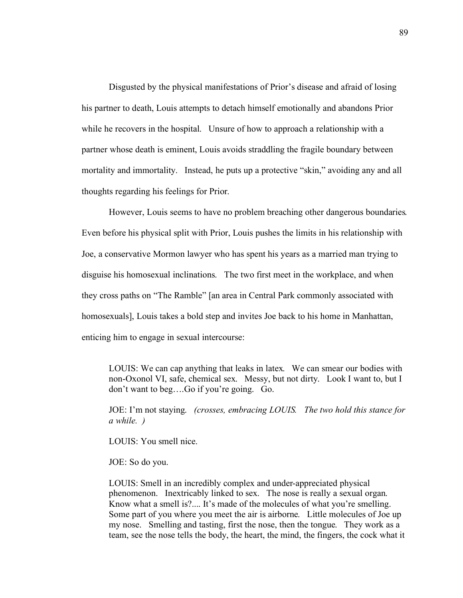Disgusted by the physical manifestations of Prior's disease and afraid of losing his partner to death, Louis attempts to detach himself emotionally and abandons Prior while he recovers in the hospital. Unsure of how to approach a relationship with a partner whose death is eminent, Louis avoids straddling the fragile boundary between mortality and immortality. Instead, he puts up a protective "skin," avoiding any and all thoughts regarding his feelings for Prior.

However, Louis seems to have no problem breaching other dangerous boundaries. Even before his physical split with Prior, Louis pushes the limits in his relationship with Joe, a conservative Mormon lawyer who has spent his years as a married man trying to disguise his homosexual inclinations. The two first meet in the workplace, and when they cross paths on "The Ramble" [an area in Central Park commonly associated with homosexuals], Louis takes a bold step and invites Joe back to his home in Manhattan, enticing him to engage in sexual intercourse:

LOUIS: We can cap anything that leaks in latex. We can smear our bodies with non-Oxonol VI, safe, chemical sex. Messy, but not dirty. Look I want to, but I don't want to beg….Go if you're going. Go.

JOE: I'm not staying. *(crosses, embracing LOUIS. The two hold this stance for a while. )* 

LOUIS: You smell nice.

JOE: So do you.

LOUIS: Smell in an incredibly complex and under-appreciated physical phenomenon. Inextricably linked to sex. The nose is really a sexual organ. Know what a smell is?.... It's made of the molecules of what you're smelling. Some part of you where you meet the air is airborne. Little molecules of Joe up my nose. Smelling and tasting, first the nose, then the tongue. They work as a team, see the nose tells the body, the heart, the mind, the fingers, the cock what it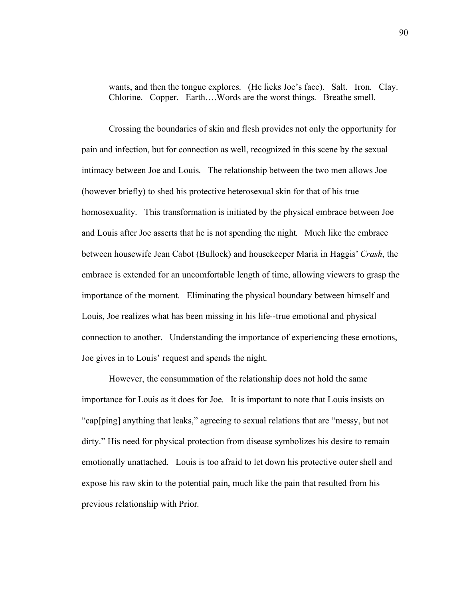wants, and then the tongue explores. (He licks Joe's face). Salt. Iron. Clay. Chlorine. Copper. Earth….Words are the worst things. Breathe smell.

Crossing the boundaries of skin and flesh provides not only the opportunity for pain and infection, but for connection as well, recognized in this scene by the sexual intimacy between Joe and Louis. The relationship between the two men allows Joe (however briefly) to shed his protective heterosexual skin for that of his true homosexuality. This transformation is initiated by the physical embrace between Joe and Louis after Joe asserts that he is not spending the night. Much like the embrace between housewife Jean Cabot (Bullock) and housekeeper Maria in Haggis' *Crash*, the embrace is extended for an uncomfortable length of time, allowing viewers to grasp the importance of the moment. Eliminating the physical boundary between himself and Louis, Joe realizes what has been missing in his life--true emotional and physical connection to another. Understanding the importance of experiencing these emotions, Joe gives in to Louis' request and spends the night.

However, the consummation of the relationship does not hold the same importance for Louis as it does for Joe. It is important to note that Louis insists on "cap[ping] anything that leaks," agreeing to sexual relations that are "messy, but not dirty." His need for physical protection from disease symbolizes his desire to remain emotionally unattached. Louis is too afraid to let down his protective outer shell and expose his raw skin to the potential pain, much like the pain that resulted from his previous relationship with Prior.

90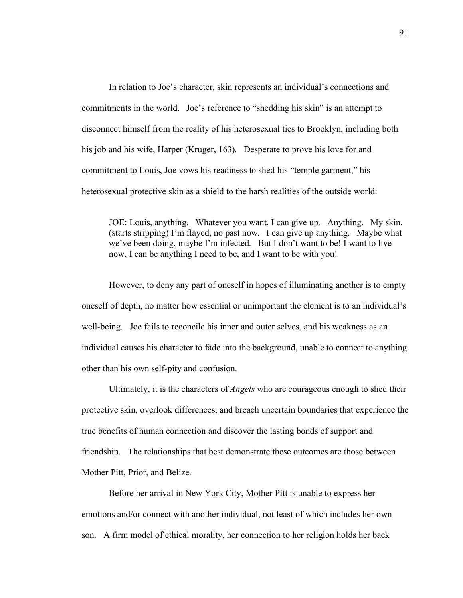In relation to Joe's character, skin represents an individual's connections and commitments in the world. Joe's reference to "shedding his skin" is an attempt to disconnect himself from the reality of his heterosexual ties to Brooklyn, including both his job and his wife, Harper (Kruger, 163). Desperate to prove his love for and commitment to Louis, Joe vows his readiness to shed his "temple garment," his heterosexual protective skin as a shield to the harsh realities of the outside world:

JOE: Louis, anything. Whatever you want, I can give up. Anything. My skin. (starts stripping) I'm flayed, no past now. I can give up anything. Maybe what we've been doing, maybe I'm infected. But I don't want to be! I want to live now, I can be anything I need to be, and I want to be with you!

However, to deny any part of oneself in hopes of illuminating another is to empty oneself of depth, no matter how essential or unimportant the element is to an individual's well-being. Joe fails to reconcile his inner and outer selves, and his weakness as an individual causes his character to fade into the background, unable to connect to anything other than his own self-pity and confusion.

Ultimately, it is the characters of *Angels* who are courageous enough to shed their protective skin, overlook differences, and breach uncertain boundaries that experience the true benefits of human connection and discover the lasting bonds of support and friendship. The relationships that best demonstrate these outcomes are those between Mother Pitt, Prior, and Belize.

Before her arrival in New York City, Mother Pitt is unable to express her emotions and/or connect with another individual, not least of which includes her own son. A firm model of ethical morality, her connection to her religion holds her back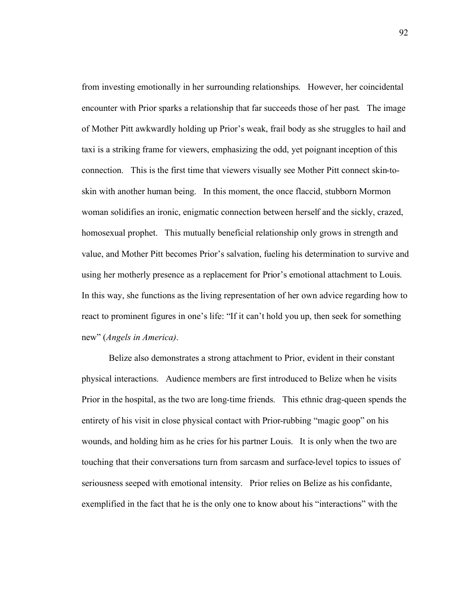from investing emotionally in her surrounding relationships. However, her coincidental encounter with Prior sparks a relationship that far succeeds those of her past. The image of Mother Pitt awkwardly holding up Prior's weak, frail body as she struggles to hail and taxi is a striking frame for viewers, emphasizing the odd, yet poignant inception of this connection. This is the first time that viewers visually see Mother Pitt connect skin-toskin with another human being. In this moment, the once flaccid, stubborn Mormon woman solidifies an ironic, enigmatic connection between herself and the sickly, crazed, homosexual prophet. This mutually beneficial relationship only grows in strength and value, and Mother Pitt becomes Prior's salvation, fueling his determination to survive and using her motherly presence as a replacement for Prior's emotional attachment to Louis. In this way, she functions as the living representation of her own advice regarding how to react to prominent figures in one's life: "If it can't hold you up, then seek for something new" (*Angels in America)*.

Belize also demonstrates a strong attachment to Prior, evident in their constant physical interactions. Audience members are first introduced to Belize when he visits Prior in the hospital, as the two are long-time friends. This ethnic drag-queen spends the entirety of his visit in close physical contact with Prior-rubbing "magic goop" on his wounds, and holding him as he cries for his partner Louis. It is only when the two are touching that their conversations turn from sarcasm and surface-level topics to issues of seriousness seeped with emotional intensity. Prior relies on Belize as his confidante, exemplified in the fact that he is the only one to know about his "interactions" with the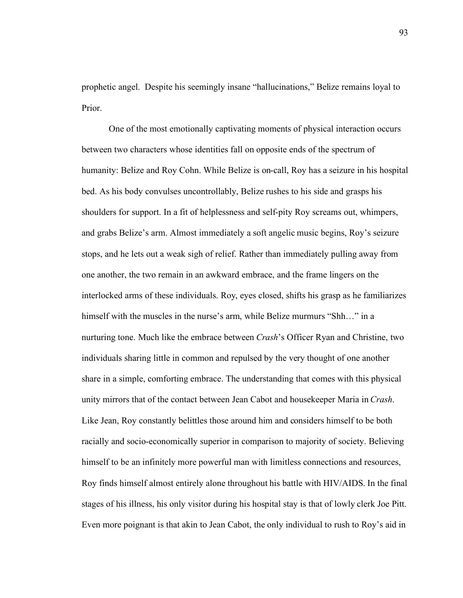prophetic angel. Despite his seemingly insane "hallucinations," Belize remains loyal to Prior.

One of the most emotionally captivating moments of physical interaction occurs between two characters whose identities fall on opposite ends of the spectrum of humanity: Belize and Roy Cohn. While Belize is on-call, Roy has a seizure in his hospital bed. As his body convulses uncontrollably, Belize rushes to his side and grasps his shoulders for support. In a fit of helplessness and self-pity Roy screams out, whimpers, and grabs Belize's arm. Almost immediately a soft angelic music begins, Roy's seizure stops, and he lets out a weak sigh of relief. Rather than immediately pulling away from one another, the two remain in an awkward embrace, and the frame lingers on the interlocked arms of these individuals. Roy, eyes closed, shifts his grasp as he familiarizes himself with the muscles in the nurse's arm, while Belize murmurs "Shh…" in a nurturing tone. Much like the embrace between *Crash*'s Officer Ryan and Christine, two individuals sharing little in common and repulsed by the very thought of one another share in a simple, comforting embrace. The understanding that comes with this physical unity mirrors that of the contact between Jean Cabot and housekeeper Maria in *Crash*. Like Jean, Roy constantly belittles those around him and considers himself to be both racially and socio-economically superior in comparison to majority of society. Believing himself to be an infinitely more powerful man with limitless connections and resources, Roy finds himself almost entirely alone throughout his battle with HIV/AIDS. In the final stages of his illness, his only visitor during his hospital stay is that of lowly clerk Joe Pitt. Even more poignant is that akin to Jean Cabot, the only individual to rush to Roy's aid in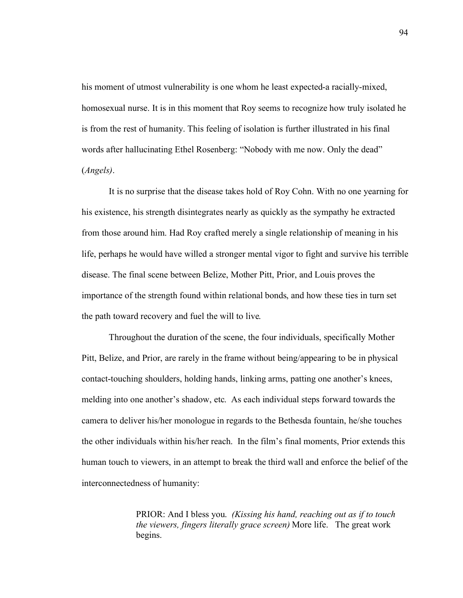his moment of utmost vulnerability is one whom he least expected-a racially-mixed, homosexual nurse. It is in this moment that Roy seems to recognize how truly isolated he is from the rest of humanity. This feeling of isolation is further illustrated in his final words after hallucinating Ethel Rosenberg: "Nobody with me now. Only the dead" (*Angels)*.

It is no surprise that the disease takes hold of Roy Cohn. With no one yearning for his existence, his strength disintegrates nearly as quickly as the sympathy he extracted from those around him. Had Roy crafted merely a single relationship of meaning in his life, perhaps he would have willed a stronger mental vigor to fight and survive his terrible disease. The final scene between Belize, Mother Pitt, Prior, and Louis proves the importance of the strength found within relational bonds, and how these ties in turn set the path toward recovery and fuel the will to live.

Throughout the duration of the scene, the four individuals, specifically Mother Pitt, Belize, and Prior, are rarely in the frame without being/appearing to be in physical contact-touching shoulders, holding hands, linking arms, patting one another's knees, melding into one another's shadow, etc. As each individual steps forward towards the camera to deliver his/her monologue in regards to the Bethesda fountain, he/she touches the other individuals within his/her reach. In the film's final moments, Prior extends this human touch to viewers, in an attempt to break the third wall and enforce the belief of the interconnectedness of humanity:

> PRIOR: And I bless you. *(Kissing his hand, reaching out as if to touch the viewers, fingers literally grace screen)* More life. The great work begins.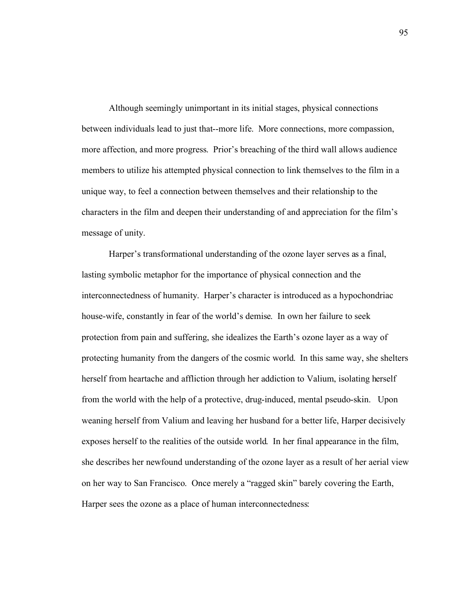Although seemingly unimportant in its initial stages, physical connections between individuals lead to just that--more life. More connections, more compassion, more affection, and more progress. Prior's breaching of the third wall allows audience members to utilize his attempted physical connection to link themselves to the film in a unique way, to feel a connection between themselves and their relationship to the characters in the film and deepen their understanding of and appreciation for the film's message of unity.

Harper's transformational understanding of the ozone layer serves as a final, lasting symbolic metaphor for the importance of physical connection and the interconnectedness of humanity. Harper's character is introduced as a hypochondriac house-wife, constantly in fear of the world's demise. In own her failure to seek protection from pain and suffering, she idealizes the Earth's ozone layer as a way of protecting humanity from the dangers of the cosmic world. In this same way, she shelters herself from heartache and affliction through her addiction to Valium, isolating herself from the world with the help of a protective, drug-induced, mental pseudo-skin. Upon weaning herself from Valium and leaving her husband for a better life, Harper decisively exposes herself to the realities of the outside world. In her final appearance in the film, she describes her newfound understanding of the ozone layer as a result of her aerial view on her way to San Francisco. Once merely a "ragged skin" barely covering the Earth, Harper sees the ozone as a place of human interconnectedness: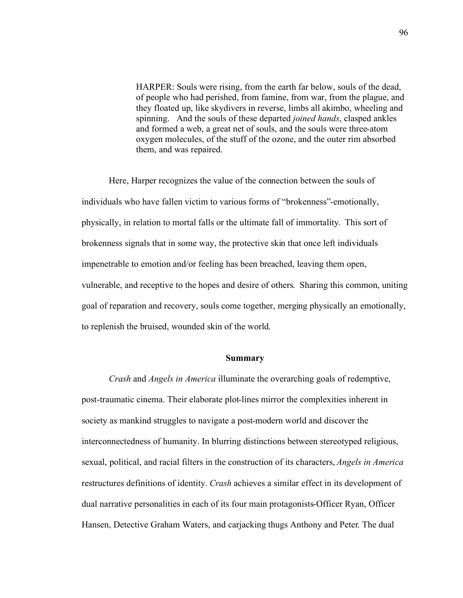HARPER: Souls were rising, from the earth far below, souls of the dead, of people who had perished, from famine, from war, from the plague, and they floated up, like skydivers in reverse, limbs all akimbo, wheeling and spinning. And the souls of these departed *joined hands*, clasped ankles and formed a web, a great net of souls, and the souls were three-atom oxygen molecules, of the stuff of the ozone, and the outer rim absorbed them, and was repaired.

Here, Harper recognizes the value of the connection between the souls of individuals who have fallen victim to various forms of "brokenness"-emotionally, physically, in relation to mortal falls or the ultimate fall of immortality. This sort of brokenness signals that in some way, the protective skin that once left individuals impenetrable to emotion and/or feeling has been breached, leaving them open, vulnerable, and receptive to the hopes and desire of others. Sharing this common, uniting goal of reparation and recovery, souls come together, merging physically an emotionally, to replenish the bruised, wounded skin of the world.

#### **Summary**

*Crash* and *Angels in America* illuminate the overarching goals of redemptive, post-traumatic cinema. Their elaborate plot-lines mirror the complexities inherent in society as mankind struggles to navigate a post-modern world and discover the interconnectedness of humanity. In blurring distinctions between stereotyped religious, sexual, political, and racial filters in the construction of its characters, *Angels in America*  restructures definitions of identity. *Crash* achieves a similar effect in its development of dual narrative personalities in each of its four main protagonists-Officer Ryan, Officer Hansen, Detective Graham Waters, and carjacking thugs Anthony and Peter. The dual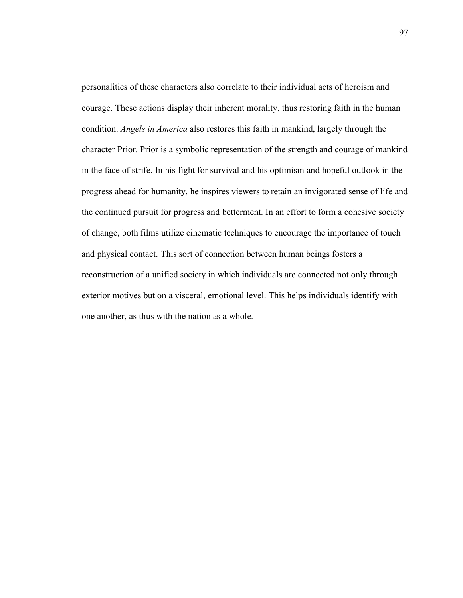personalities of these characters also correlate to their individual acts of heroism and courage. These actions display their inherent morality, thus restoring faith in the human condition. *Angels in America* also restores this faith in mankind, largely through the character Prior. Prior is a symbolic representation of the strength and courage of mankind in the face of strife. In his fight for survival and his optimism and hopeful outlook in the progress ahead for humanity, he inspires viewers to retain an invigorated sense of life and the continued pursuit for progress and betterment. In an effort to form a cohesive society of change, both films utilize cinematic techniques to encourage the importance of touch and physical contact. This sort of connection between human beings fosters a reconstruction of a unified society in which individuals are connected not only through exterior motives but on a visceral, emotional level. This helps individuals identify with one another, as thus with the nation as a whole.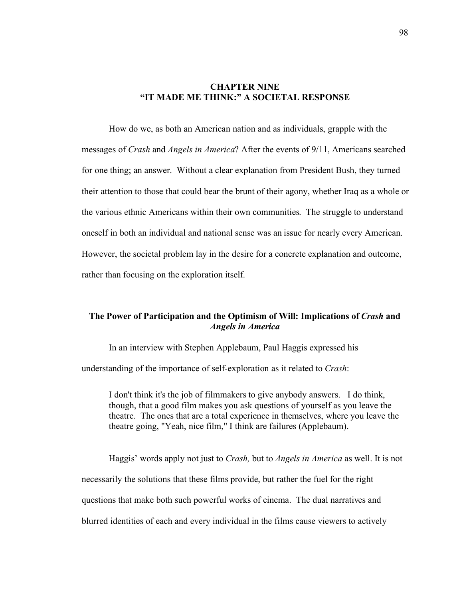## **CHAPTER NINE "IT MADE ME THINK:" A SOCIETAL RESPONSE**

How do we, as both an American nation and as individuals, grapple with the messages of *Crash* and *Angels in America*? After the events of 9/11, Americans searched for one thing; an answer. Without a clear explanation from President Bush, they turned their attention to those that could bear the brunt of their agony, whether Iraq as a whole or the various ethnic Americans within their own communities. The struggle to understand oneself in both an individual and national sense was an issue for nearly every American. However, the societal problem lay in the desire for a concrete explanation and outcome, rather than focusing on the exploration itself.

## **The Power of Participation and the Optimism of Will: Implications of** *Crash* **and**  *Angels in America*

In an interview with Stephen Applebaum, Paul Haggis expressed his

understanding of the importance of self-exploration as it related to *Crash*:

I don't think it's the job of filmmakers to give anybody answers. I do think, though, that a good film makes you ask questions of yourself as you leave the theatre. The ones that are a total experience in themselves, where you leave the theatre going, "Yeah, nice film," I think are failures (Applebaum).

Haggis' words apply not just to *Crash,* but to *Angels in America* as well. It is not necessarily the solutions that these films provide, but rather the fuel for the right questions that make both such powerful works of cinema. The dual narratives and blurred identities of each and every individual in the films cause viewers to actively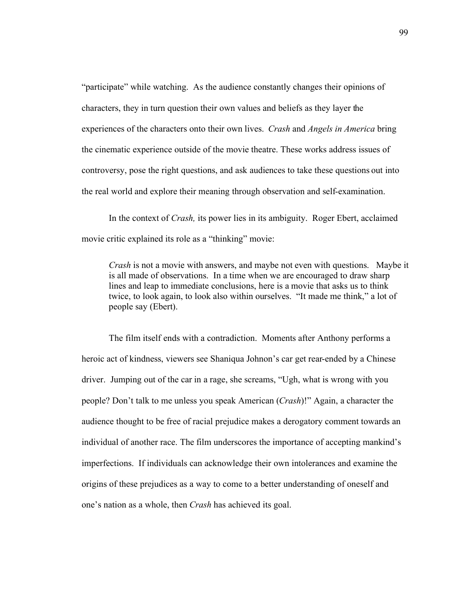"participate" while watching. As the audience constantly changes their opinions of characters, they in turn question their own values and beliefs as they layer the experiences of the characters onto their own lives. *Crash* and *Angels in America* bring the cinematic experience outside of the movie theatre. These works address issues of controversy, pose the right questions, and ask audiences to take these questions out into the real world and explore their meaning through observation and self-examination.

In the context of *Crash,* its power lies in its ambiguity. Roger Ebert, acclaimed movie critic explained its role as a "thinking" movie:

*Crash* is not a movie with answers, and maybe not even with questions. Maybe it is all made of observations. In a time when we are encouraged to draw sharp lines and leap to immediate conclusions, here is a movie that asks us to think twice, to look again, to look also within ourselves. "It made me think," a lot of people say (Ebert).

The film itself ends with a contradiction. Moments after Anthony performs a heroic act of kindness, viewers see Shaniqua Johnon's car get rear-ended by a Chinese driver. Jumping out of the car in a rage, she screams, "Ugh, what is wrong with you people? Don't talk to me unless you speak American (*Crash*)!" Again, a character the audience thought to be free of racial prejudice makes a derogatory comment towards an individual of another race. The film underscores the importance of accepting mankind's imperfections. If individuals can acknowledge their own intolerances and examine the origins of these prejudices as a way to come to a better understanding of oneself and one's nation as a whole, then *Crash* has achieved its goal.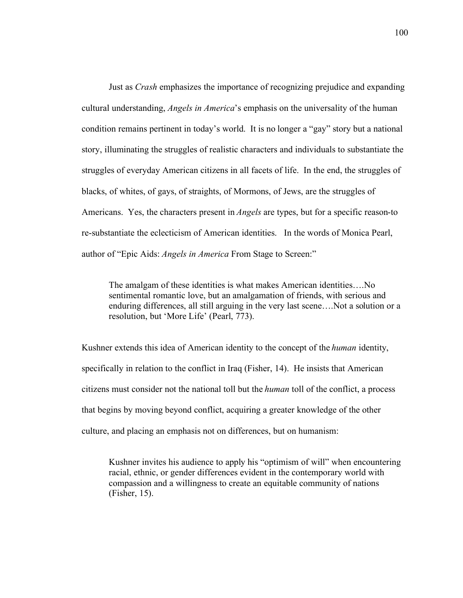Just as *Crash* emphasizes the importance of recognizing prejudice and expanding cultural understanding, *Angels in America*'s emphasis on the universality of the human condition remains pertinent in today's world. It is no longer a "gay" story but a national story, illuminating the struggles of realistic characters and individuals to substantiate the struggles of everyday American citizens in all facets of life. In the end, the struggles of blacks, of whites, of gays, of straights, of Mormons, of Jews, are the struggles of Americans.Yes, the characters present in *Angels* are types, but for a specific reason-to re-substantiate the eclecticism of American identities. In the words of Monica Pearl, author of "Epic Aids: *Angels in America* From Stage to Screen:"

The amalgam of these identities is what makes American identities….No sentimental romantic love, but an amalgamation of friends, with serious and enduring differences, all still arguing in the very last scene….Not a solution or a resolution, but 'More Life' (Pearl, 773).

Kushner extends this idea of American identity to the concept of the *human* identity, specifically in relation to the conflict in Iraq (Fisher, 14). He insists that American citizens must consider not the national toll but the *human* toll of the conflict, a process that begins by moving beyond conflict, acquiring a greater knowledge of the other culture, and placing an emphasis not on differences, but on humanism:

Kushner invites his audience to apply his "optimism of will" when encountering racial, ethnic, or gender differences evident in the contemporary world with compassion and a willingness to create an equitable community of nations (Fisher, 15).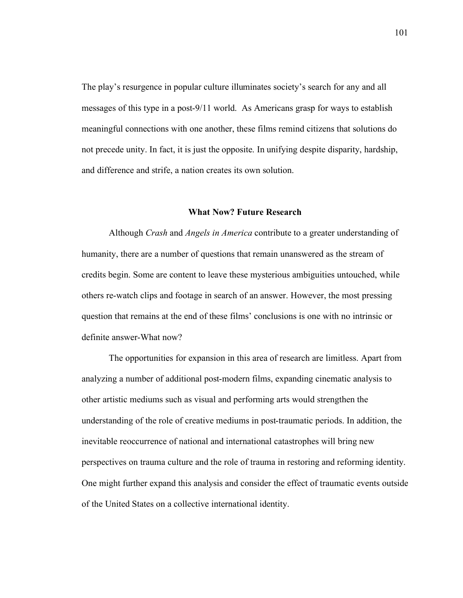The play's resurgence in popular culture illuminates society's search for any and all messages of this type in a post-9/11 world. As Americans grasp for ways to establish meaningful connections with one another, these films remind citizens that solutions do not precede unity. In fact, it is just the opposite. In unifying despite disparity, hardship, and difference and strife, a nation creates its own solution.

## **What Now? Future Research**

Although *Crash* and *Angels in America* contribute to a greater understanding of humanity, there are a number of questions that remain unanswered as the stream of credits begin. Some are content to leave these mysterious ambiguities untouched, while others re-watch clips and footage in search of an answer. However, the most pressing question that remains at the end of these films' conclusions is one with no intrinsic or definite answer-What now?

The opportunities for expansion in this area of research are limitless. Apart from analyzing a number of additional post-modern films, expanding cinematic analysis to other artistic mediums such as visual and performing arts would strengthen the understanding of the role of creative mediums in post-traumatic periods. In addition, the inevitable reoccurrence of national and international catastrophes will bring new perspectives on trauma culture and the role of trauma in restoring and reforming identity. One might further expand this analysis and consider the effect of traumatic events outside of the United States on a collective international identity.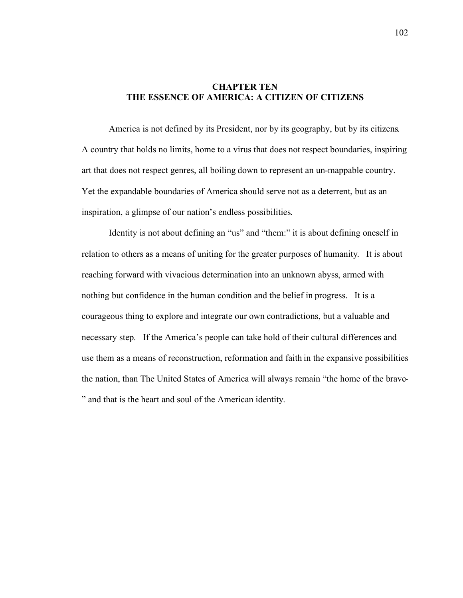# **CHAPTER TEN THE ESSENCE OF AMERICA: A CITIZEN OF CITIZENS**

America is not defined by its President, nor by its geography, but by its citizens. A country that holds no limits, home to a virus that does not respect boundaries, inspiring art that does not respect genres, all boiling down to represent an un-mappable country. Yet the expandable boundaries of America should serve not as a deterrent, but as an inspiration, a glimpse of our nation's endless possibilities.

Identity is not about defining an "us" and "them:" it is about defining oneself in relation to others as a means of uniting for the greater purposes of humanity. It is about reaching forward with vivacious determination into an unknown abyss, armed with nothing but confidence in the human condition and the belief in progress. It is a courageous thing to explore and integrate our own contradictions, but a valuable and necessary step. If the America's people can take hold of their cultural differences and use them as a means of reconstruction, reformation and faith in the expansive possibilities the nation, than The United States of America will always remain "the home of the brave- " and that is the heart and soul of the American identity.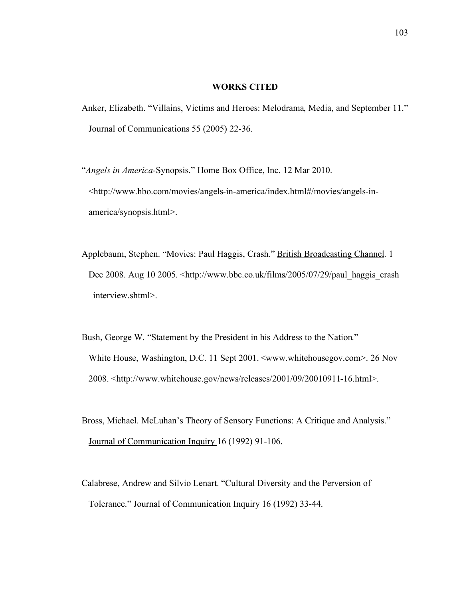## **WORKS CITED**

- Anker, Elizabeth. "Villains, Victims and Heroes: Melodrama, Media, and September 11." Journal of Communications 55 (2005) 22-36.
- "*Angels in America*-Synopsis." Home Box Office, Inc. 12 Mar 2010. <http://www.hbo.com/movies/angels-in-america/index.html#/movies/angels-in america/synopsis.html>.
- Applebaum, Stephen. "Movies: Paul Haggis, Crash." British Broadcasting Channel. 1 Dec 2008. Aug 10 2005.  $\langle \text{http://www.bbc.co.uk/films/2005/07/29/paul haggis crash} \rangle$ interview.shtml>.
- Bush, George W. "Statement by the President in his Address to the Nation." White House, Washington, D.C. 11 Sept 2001. <www.whitehousegov.com>. 26 Nov 2008. <http://www.whitehouse.gov/news/releases/2001/09/20010911-16.html>.
- Bross, Michael. McLuhan's Theory of Sensory Functions: A Critique and Analysis." Journal of Communication Inquiry 16 (1992) 91-106.
- Calabrese, Andrew and Silvio Lenart. "Cultural Diversity and the Perversion of Tolerance." Journal of Communication Inquiry 16 (1992) 33-44.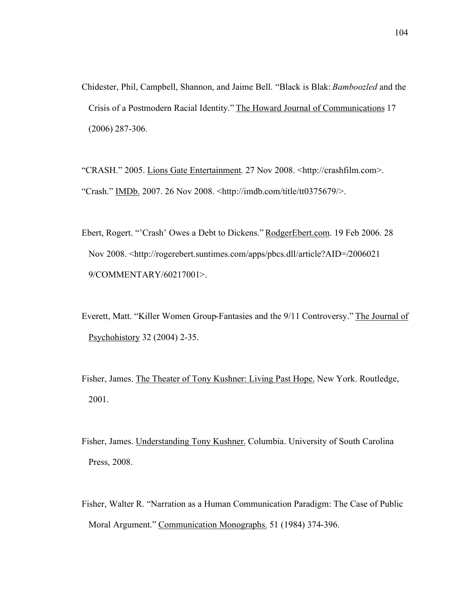Chidester, Phil, Campbell, Shannon, and Jaime Bell. "Black is Blak: *Bamboozled* and the Crisis of a Postmodern Racial Identity." The Howard Journal of Communications 17 (2006) 287-306.

"CRASH." 2005. Lions Gate Entertainment. 27 Nov 2008. <http://crashfilm.com>. "Crash." IMDb. 2007. 26 Nov 2008. <http://imdb.com/title/tt0375679/>.

Ebert, Rogert. "'Crash' Owes a Debt to Dickens." RodgerEbert.com. 19 Feb 2006. 28 Nov 2008. <http://rogerebert.suntimes.com/apps/pbcs.dll/article?AID=/2006021 9/COMMENTARY/60217001>.

Everett, Matt. "Killer Women Group-Fantasies and the 9/11 Controversy." The Journal of Psychohistory 32 (2004) 2-35.

Fisher, James. The Theater of Tony Kushner: Living Past Hope. New York. Routledge, 2001.

Fisher, James. Understanding Tony Kushner. Columbia. University of South Carolina Press, 2008.

Fisher, Walter R. "Narration as a Human Communication Paradigm: The Case of Public Moral Argument." Communication Monographs. 51 (1984) 374-396.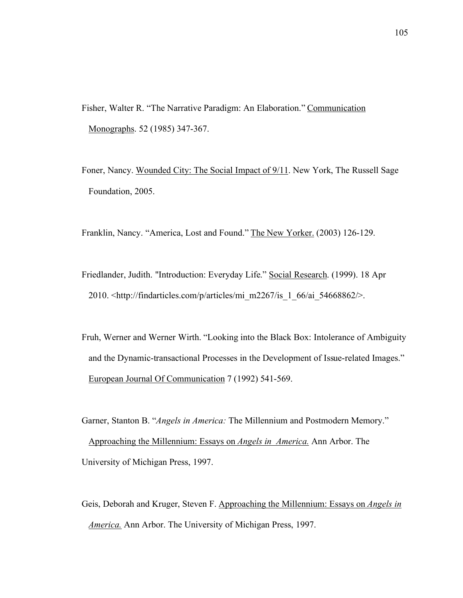- Fisher, Walter R. "The Narrative Paradigm: An Elaboration." Communication Monographs. 52 (1985) 347-367.
- Foner, Nancy. Wounded City: The Social Impact of 9/11. New York, The Russell Sage Foundation, 2005.

Franklin, Nancy. "America, Lost and Found." The New Yorker. (2003) 126-129.

- Friedlander, Judith. "Introduction: Everyday Life." Social Research. (1999). 18 Apr 2010.  $\frac{\text{th}}{\text{10}}$  //findarticles.com/p/articles/mi\_m2267/is\_1\_66/ai\_54668862/>.
- Fruh, Werner and Werner Wirth. "Looking into the Black Box: Intolerance of Ambiguity and the Dynamic-transactional Processes in the Development of Issue-related Images." European Journal Of Communication 7 (1992) 541-569.
- Garner, Stanton B. "*Angels in America:* The Millennium and Postmodern Memory." Approaching the Millennium: Essays on *Angels in America.* Ann Arbor. The University of Michigan Press, 1997.
- Geis, Deborah and Kruger, Steven F. Approaching the Millennium: Essays on *Angels in America.* Ann Arbor. The University of Michigan Press, 1997.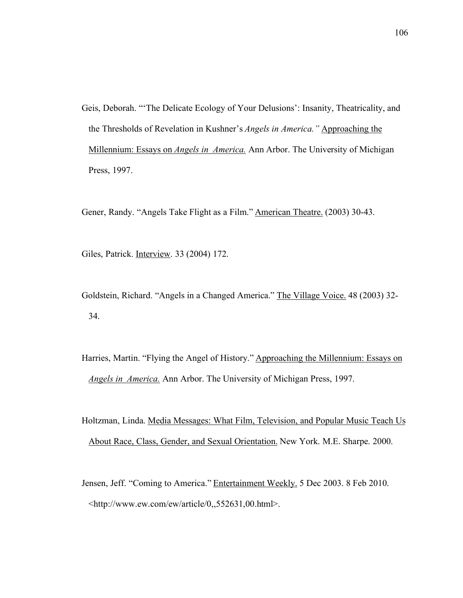Geis, Deborah. "'The Delicate Ecology of Your Delusions': Insanity, Theatricality, and the Thresholds of Revelation in Kushner's *Angels in America."* Approaching the Millennium: Essays on *Angels in America.* Ann Arbor. The University of Michigan Press, 1997.

Gener, Randy. "Angels Take Flight as a Film." American Theatre. (2003) 30-43.

Giles, Patrick. Interview. 33 (2004) 172.

- Goldstein, Richard. "Angels in a Changed America." The Village Voice. 48 (2003) 32- 34.
- Harries, Martin. "Flying the Angel of History." Approaching the Millennium: Essays on *Angels in America.* Ann Arbor. The University of Michigan Press, 1997.
- Holtzman, Linda. Media Messages: What Film, Television, and Popular Music Teach Us About Race, Class, Gender, and Sexual Orientation. New York. M.E. Sharpe. 2000.
- Jensen, Jeff. "Coming to America." Entertainment Weekly. 5 Dec 2003. 8 Feb 2010. <http://www.ew.com/ew/article/0,,552631,00.html>.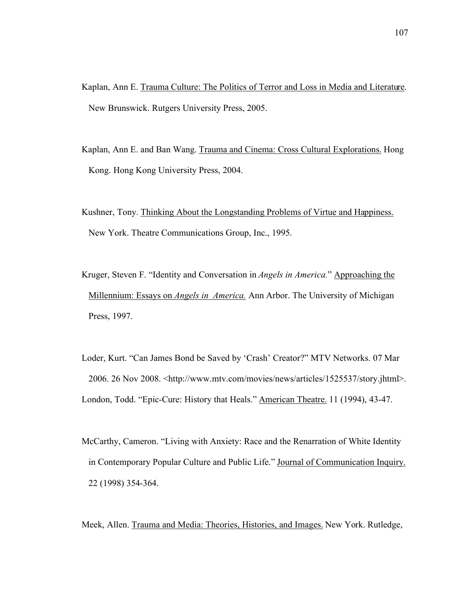- Kaplan, Ann E. Trauma Culture: The Politics of Terror and Loss in Media and Literature. New Brunswick. Rutgers University Press, 2005.
- Kaplan, Ann E. and Ban Wang. Trauma and Cinema: Cross Cultural Explorations. Hong Kong. Hong Kong University Press, 2004.
- Kushner, Tony. Thinking About the Longstanding Problems of Virtue and Happiness. New York. Theatre Communications Group, Inc., 1995.
- Kruger, Steven F. "Identity and Conversation in *Angels in America.*" Approaching the Millennium: Essays on *Angels in America.* Ann Arbor. The University of Michigan Press, 1997.
- Loder, Kurt. "Can James Bond be Saved by 'Crash' Creator?" MTV Networks. 07 Mar 2006. 26 Nov 2008. <http://www.mtv.com/movies/news/articles/1525537/story.jhtml>. London, Todd. "Epic-Cure: History that Heals." American Theatre. 11 (1994), 43-47.
- McCarthy, Cameron. "Living with Anxiety: Race and the Renarration of White Identity in Contemporary Popular Culture and Public Life." Journal of Communication Inquiry. 22 (1998) 354-364.

Meek, Allen. Trauma and Media: Theories, Histories, and Images. New York. Rutledge,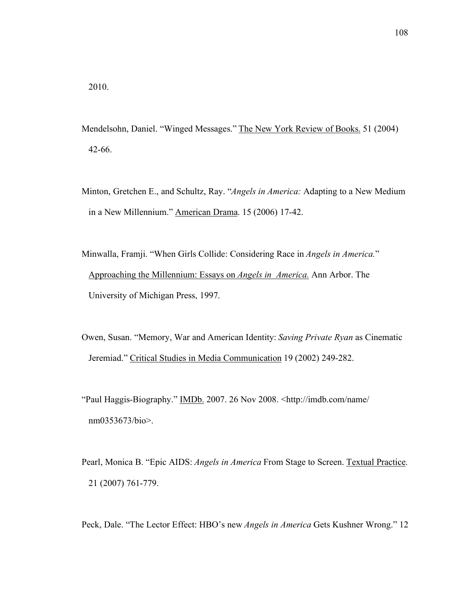- Mendelsohn, Daniel. "Winged Messages." The New York Review of Books. 51 (2004) 42-66.
- Minton, Gretchen E., and Schultz, Ray. "*Angels in America:* Adapting to a New Medium in a New Millennium." American Drama. 15 (2006) 17-42.
- Minwalla, Framji. "When Girls Collide: Considering Race in *Angels in America.*" Approaching the Millennium: Essays on *Angels in America.* Ann Arbor. The University of Michigan Press, 1997.
- Owen, Susan. "Memory, War and American Identity: *Saving Private Ryan* as Cinematic Jeremiad." Critical Studies in Media Communication 19 (2002) 249-282.
- "Paul Haggis-Biography." IMDb. 2007. 26 Nov 2008. <http://imdb.com/name/ nm0353673/bio>.
- Pearl, Monica B. "Epic AIDS: *Angels in America* From Stage to Screen. Textual Practice. 21 (2007) 761-779.
- Peck, Dale. "The Lector Effect: HBO's new *Angels in America* Gets Kushner Wrong." 12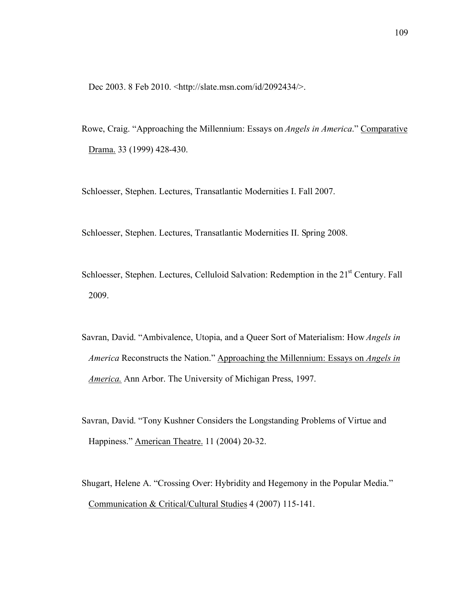Dec 2003. 8 Feb 2010. <http://slate.msn.com/id/2092434/>.

Rowe, Craig. "Approaching the Millennium: Essays on *Angels in America*." Comparative Drama. 33 (1999) 428-430.

Schloesser, Stephen. Lectures, Transatlantic Modernities I. Fall 2007.

Schloesser, Stephen. Lectures, Transatlantic Modernities II. Spring 2008.

- Schloesser, Stephen. Lectures, Celluloid Salvation: Redemption in the 21<sup>st</sup> Century. Fall 2009.
- Savran, David. "Ambivalence, Utopia, and a Queer Sort of Materialism: How *Angels in America* Reconstructs the Nation." Approaching the Millennium: Essays on *Angels in America.* Ann Arbor. The University of Michigan Press, 1997.
- Savran, David. "Tony Kushner Considers the Longstanding Problems of Virtue and Happiness." American Theatre. 11 (2004) 20-32.
- Shugart, Helene A. "Crossing Over: Hybridity and Hegemony in the Popular Media." Communication & Critical/Cultural Studies 4 (2007) 115-141.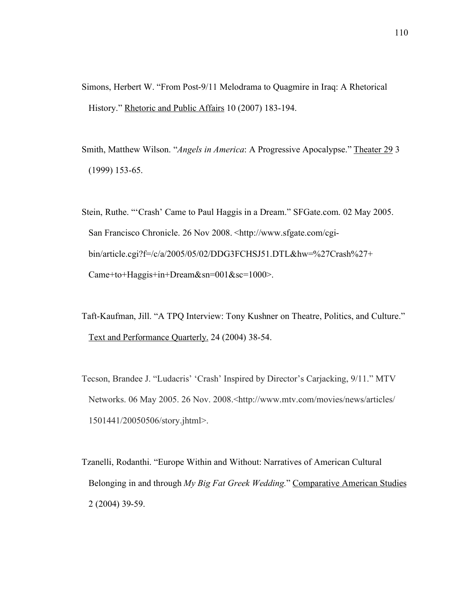- Simons, Herbert W. "From Post-9/11 Melodrama to Quagmire in Iraq: A Rhetorical History." Rhetoric and Public Affairs 10 (2007) 183-194.
- Smith, Matthew Wilson. "*Angels in America*: A Progressive Apocalypse." Theater 29 3 (1999) 153-65.
- Stein, Ruthe. "'Crash' Came to Paul Haggis in a Dream." SFGate.com. 02 May 2005. San Francisco Chronicle. 26 Nov 2008. <http://www.sfgate.com/cgi bin/article.cgi?f=/c/a/2005/05/02/DDG3FCHSJ51.DTL&hw=%27Crash%27+ Came+to+Haggis+in+Dream&sn=001&sc=1000>.
- Taft-Kaufman, Jill. "A TPQ Interview: Tony Kushner on Theatre, Politics, and Culture." Text and Performance Quarterly. 24 (2004) 38-54.
- Tecson, Brandee J. "Ludacris' 'Crash' Inspired by Director's Carjacking, 9/11." MTV Networks. 06 May 2005. 26 Nov. 2008.<http://www.mtv.com/movies/news/articles/ 1501441/20050506/story.jhtml>.
- Tzanelli, Rodanthi. "Europe Within and Without: Narratives of American Cultural Belonging in and through *My Big Fat Greek Wedding.*" Comparative American Studies 2 (2004) 39-59.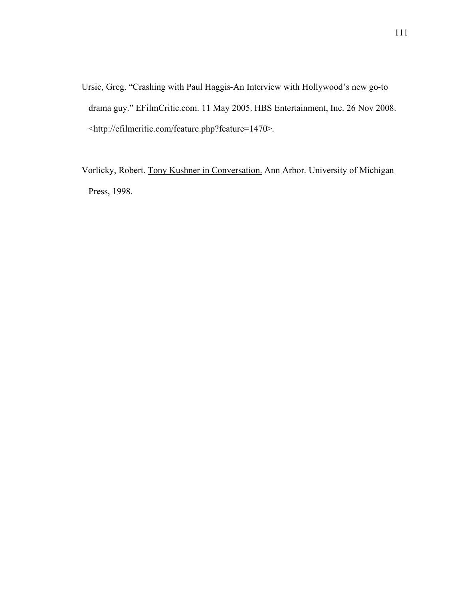Ursic, Greg. "Crashing with Paul Haggis-An Interview with Hollywood's new go-to drama guy." EFilmCritic.com. 11 May 2005. HBS Entertainment, Inc. 26 Nov 2008. <http://efilmcritic.com/feature.php?feature=1470>.

Vorlicky, Robert. Tony Kushner in Conversation. Ann Arbor. University of Michigan Press, 1998.